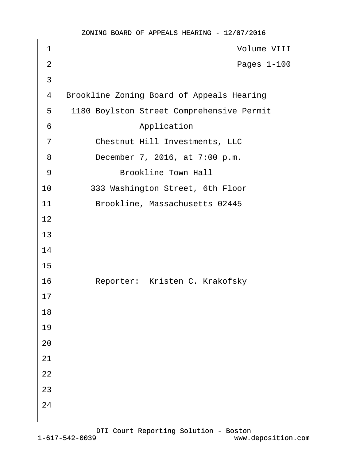| 1              | <b>Volume VIII</b>                               |
|----------------|--------------------------------------------------|
| $\overline{2}$ | Pages 1-100                                      |
| 3              |                                                  |
| 4              | <b>Brookline Zoning Board of Appeals Hearing</b> |
| 5              | 1180 Boylston Street Comprehensive Permit        |
| 6              | Application                                      |
| $\overline{7}$ | <b>Chestnut Hill Investments, LLC</b>            |
| 8              | December 7, 2016, at 7:00 p.m.                   |
| 9              | <b>Brookline Town Hall</b>                       |
| 10             | 333 Washington Street, 6th Floor                 |
| 11             | Brookline, Massachusetts 02445                   |
| 12             |                                                  |
| 13             |                                                  |
| 14             |                                                  |
| 15             |                                                  |
| 16             | Reporter: Kristen C. Krakofsky                   |
| 17             |                                                  |
| 18             |                                                  |
| 19             |                                                  |
| 20             |                                                  |
| 21             |                                                  |
| 22             |                                                  |
| 23             |                                                  |
| 24             |                                                  |
|                |                                                  |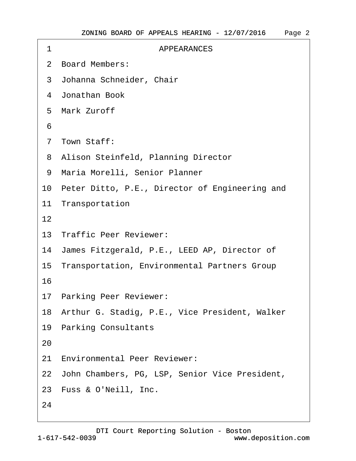| 1  | <b>APPEARANCES</b>                                |
|----|---------------------------------------------------|
|    | 2 Board Members:                                  |
|    | 3 Johanna Schneider, Chair                        |
|    | 4 Jonathan Book                                   |
|    | 5 Mark Zuroff                                     |
| 6  |                                                   |
|    | 7 Town Staff:                                     |
|    | 8 Alison Steinfeld, Planning Director             |
|    | 9 Maria Morelli, Senior Planner                   |
|    | 10 Peter Ditto, P.E., Director of Engineering and |
|    | 11 Transportation                                 |
| 12 |                                                   |
|    | 13 Traffic Peer Reviewer:                         |
|    | 14 James Fitzgerald, P.E., LEED AP, Director of   |
|    | 15 Transportation, Environmental Partners Group   |
| 16 |                                                   |
|    | 17 Parking Peer Reviewer:                         |
|    | 18 Arthur G. Stadig, P.E., Vice President, Walker |
|    | 19 Parking Consultants                            |
| 20 |                                                   |
|    | 21 Environmental Peer Reviewer:                   |
|    | 22 John Chambers, PG, LSP, Senior Vice President, |
|    | 23 Fuss & O'Neill, Inc.                           |
| 24 |                                                   |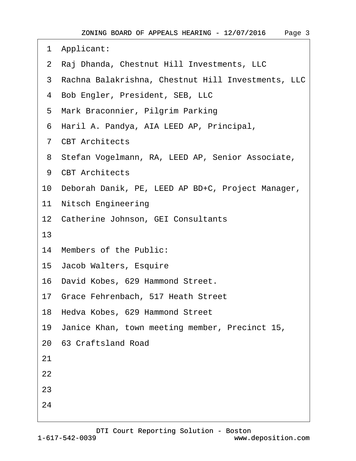- ·1· Applicant:
- ·2· Raj Dhanda, Chestnut Hill Investments, LLC
- ·3· Rachna Balakrishna, Chestnut Hill Investments, LLC
- 4 Bob Engler, President, SEB, LLC
- 5 Mark Braconnier, Pilgrim Parking
- ·6· Haril A. Pandya, AIA LEED AP, Principal,
- ·7· CBT Architects
- 8 Stefan Vogelmann, RA, LEED AP, Senior Associate,
- 9 CBT Architects
- 10· Deborah Danik, PE, LEED AP BD+C, Project Manager,
- 11 Nitsch Engineering
- 12 Catherine Johnson, GEI Consultants
- 13
- 14 Members of the Public:
- 15· Jacob Walters, Esquire
- 16· David Kobes, 629 Hammond Street.
- 17· Grace Fehrenbach, 517 Heath Street
- 18 Hedva Kobes, 629 Hammond Street
- 19· Janice Khan, town meeting member, Precinct 15,
- 20· 63 Craftsland Road

21

- 22
- 23
- 
- 24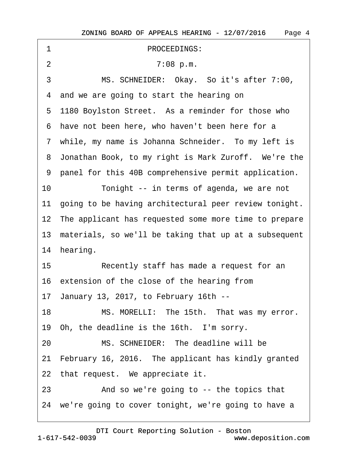| 1  | PROCEEDINGS:                                             |
|----|----------------------------------------------------------|
| 2  | 7:08 p.m.                                                |
| 3  | MS. SCHNEIDER: Okay. So it's after 7:00,                 |
|    | 4 and we are going to start the hearing on               |
|    | 5 1180 Boylston Street. As a reminder for those who      |
|    | 6 have not been here, who haven't been here for a        |
|    | 7 while, my name is Johanna Schneider. To my left is     |
|    | 8 Jonathan Book, to my right is Mark Zuroff. We're the   |
|    | 9 panel for this 40B comprehensive permit application.   |
| 10 | Tonight -- in terms of agenda, we are not                |
|    | 11 going to be having architectural peer review tonight. |
|    | 12 The applicant has requested some more time to prepare |
|    | 13 materials, so we'll be taking that up at a subsequent |
|    | 14 hearing.                                              |
| 15 | Recently staff has made a request for an                 |
|    | 16 extension of the close of the hearing from            |
|    | 17 January 13, 2017, to February 16th --                 |
| 18 | MS. MORELLI: The 15th. That was my error.                |
|    | 19 Oh, the deadline is the 16th. I'm sorry.              |
| 20 | MS. SCHNEIDER: The deadline will be                      |
|    | 21 February 16, 2016. The applicant has kindly granted   |
|    | 22 that request. We appreciate it.                       |
| 23 | And so we're going to -- the topics that                 |
|    | 24 we're going to cover tonight, we're going to have a   |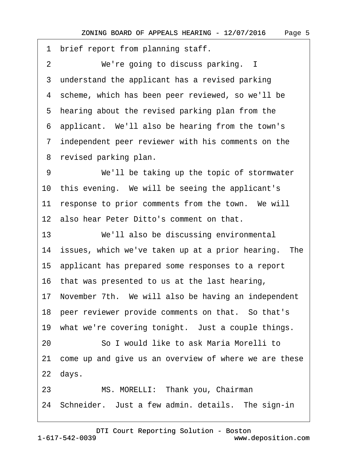1 brief report from planning staff.

2 We're going to discuss parking. I

3 understand the applicant has a revised parking

4 scheme, which has been peer reviewed, so we'll be

5 hearing about the revised parking plan from the

·6· applicant.· We'll also be hearing from the town's

·7· independent peer reviewer with his comments on the

8 revised parking plan.

9 We'll be taking up the topic of stormwater 10 this evening. We will be seeing the applicant's 11 response to prior comments from the town. We will 12· also hear Peter Ditto's comment on that.

13 We'll also be discussing environmental

14 issues, which we've taken up at a prior hearing. The

15· applicant has prepared some responses to a report

16 that was presented to us at the last hearing,

17 November 7th. We will also be having an independent

18 peer reviewer provide comments on that. So that's

19 what we're covering tonight. Just a couple things.

20· · · · · ·So I would like to ask Maria Morelli to

21 come up and give us an overview of where we are these 22 days.

23 MS. MORELLI: Thank you, Chairman

24 Schneider. Just a few admin. details. The sign-in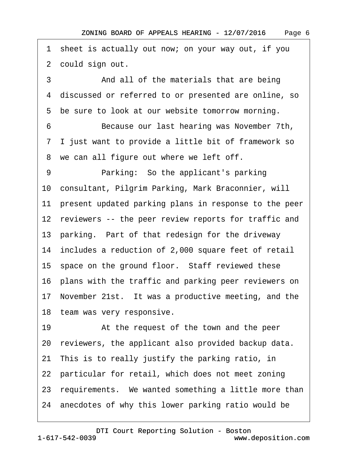2 could sign out. 3 **• • And all of the materials that are being** ·4· discussed or referred to or presented are online, so 5 be sure to look at our website tomorrow morning. ·6· · · · · ·Because our last hearing was November 7th, ·7· I just want to provide a little bit of framework so 8 we can all figure out where we left off. 9 • • Parking: So the applicant's parking 10· consultant, Pilgrim Parking, Mark Braconnier, will 11 present updated parking plans in response to the peer 12 reviewers -- the peer review reports for traffic and 13 parking. Part of that redesign for the driveway 14· includes a reduction of 2,000 square feet of retail 15 space on the ground floor. Staff reviewed these 16· plans with the traffic and parking peer reviewers on 17 November 21st. It was a productive meeting, and the 18 team was very responsive. 19 • At the request of the town and the peer 20 reviewers, the applicant also provided backup data. 21· This is to really justify the parking ratio, in 22 particular for retail, which does not meet zoning

1 sheet is actually out now; on your way out, if you

23 requirements. We wanted something a little more than

24· anecdotes of why this lower parking ratio would be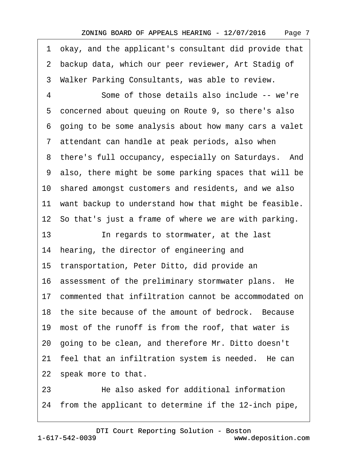·1· okay, and the applicant's consultant did provide that 2 backup data, which our peer reviewer, Art Stadig of 3 Walker Parking Consultants, was able to review. 4 Some of those details also include -- we're 5 concerned about queuing on Route 9, so there's also ·6· going to be some analysis about how many cars a valet 7 attendant can handle at peak periods, also when 8 there's full occupancy, especially on Saturdays. And ·9· also, there might be some parking spaces that will be 10· shared amongst customers and residents, and we also 11 want backup to understand how that might be feasible. 12 So that's just a frame of where we are with parking. 13 **In regards to stormwater, at the last** 14 hearing, the director of engineering and 15· transportation, Peter Ditto, did provide an 16 assessment of the preliminary stormwater plans. He 17 commented that infiltration cannot be accommodated on 18 the site because of the amount of bedrock. Because 19· most of the runoff is from the roof, that water is 20· going to be clean, and therefore Mr. Ditto doesn't 21 feel that an infiltration system is needed. He can 22 speak more to that. 23· · · · · ·He also asked for additional information

24 from the applicant to determine if the 12-inch pipe,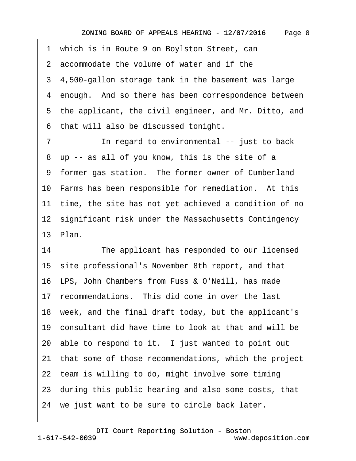1 which is in Route 9 on Boylston Street, can ·2· accommodate the volume of water and if the 3 4,500-gallon storage tank in the basement was large 4 enough. And so there has been correspondence between 5 the applicant, the civil engineer, and Mr. Ditto, and ·6· that will also be discussed tonight. 7 **In regard to environmental -- just to back** 8 up -- as all of you know, this is the site of a 9 former gas station. The former owner of Cumberland 10 Farms has been responsible for remediation. At this 11 time, the site has not yet achieved a condition of no 12 significant risk under the Massachusetts Contingency 13· Plan.

14 The applicant has responded to our licensed 15· site professional's November 8th report, and that 16· LPS, John Chambers from Fuss & O'Neill, has made 17 recommendations. This did come in over the last 18 week, and the final draft today, but the applicant's 19· consultant did have time to look at that and will be 20 able to respond to it. I just wanted to point out 21· that some of those recommendations, which the project 22 team is willing to do, might involve some timing 23· during this public hearing and also some costs, that 24 we just want to be sure to circle back later.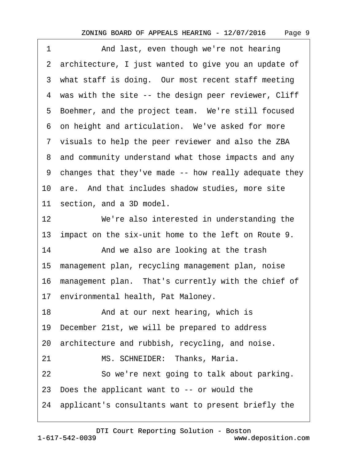1 And last, even though we're not hearing ·2· architecture, I just wanted to give you an update of 3 what staff is doing. Our most recent staff meeting 4 was with the site -- the design peer reviewer, Cliff 5 Boehmer, and the project team. We're still focused 6 on height and articulation. We've asked for more ·7· visuals to help the peer reviewer and also the ZBA 8 and community understand what those impacts and any ·9· changes that they've made -- how really adequate they 10 are. And that includes shadow studies, more site 11 section, and a 3D model. 12 We're also interested in understanding the 13 impact on the six-unit home to the left on Route 9. 14 • And we also are looking at the trash 15· management plan, recycling management plan, noise 16 management plan. That's currently with the chief of 17 environmental health, Pat Maloney. 18 • **And at our next hearing, which is** 19· December 21st, we will be prepared to address 20 architecture and rubbish, recycling, and noise. 21 MS. SCHNEIDER: Thanks, Maria. 22 So we're next going to talk about parking. 23· Does the applicant want to -- or would the

24· applicant's consultants want to present briefly the

[DTI Court Reporting Solution - Boston](http://www.deposition.com)

Page 9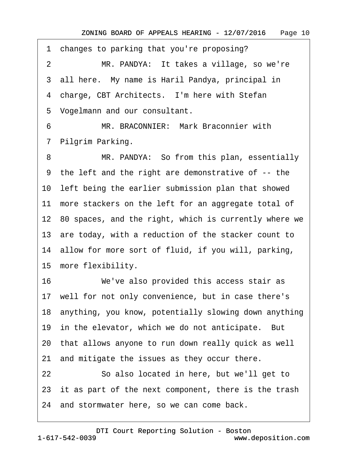·1· changes to parking that you're proposing? 2 MR. PANDYA: It takes a village, so we're 3 all here. My name is Haril Pandya, principal in 4 charge, CBT Architects. I'm here with Stefan 5 Vogelmann and our consultant.

6 MR. BRACONNIER: Mark Braconnier with 7 Pilgrim Parking.

8 MR. PANDYA: So from this plan, essentially ·9· the left and the right are demonstrative of -- the 10 left being the earlier submission plan that showed 11 more stackers on the left for an aggregate total of 12 80 spaces, and the right, which is currently where we 13 are today, with a reduction of the stacker count to 14· allow for more sort of fluid, if you will, parking, 15 more flexibility.

16 We've also provided this access stair as 17 well for not only convenience, but in case there's 18· anything, you know, potentially slowing down anything 19 in the elevator, which we do not anticipate. But 20· that allows anyone to run down really quick as well 21 and mitigate the issues as they occur there. 22 So also located in here, but we'll get to 23 it as part of the next component, there is the trash 24· and stormwater here, so we can come back.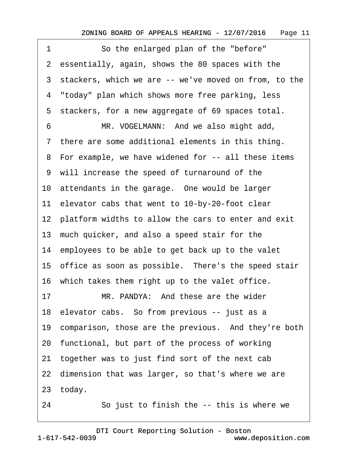1 So the enlarged plan of the "before" 2 essentially, again, shows the 80 spaces with the 3 stackers, which we are -- we've moved on from, to the 4 "today" plan which shows more free parking, less 5 stackers, for a new aggregate of 69 spaces total. 6 MR. VOGELMANN: And we also might add, 7 there are some additional elements in this thing. 8 For example, we have widened for -- all these items ·9· will increase the speed of turnaround of the 10 attendants in the garage. One would be larger 11 elevator cabs that went to 10-by-20-foot clear 12 platform widths to allow the cars to enter and exit 13· much quicker, and also a speed stair for the 14 employees to be able to get back up to the valet 15 office as soon as possible. There's the speed stair 16 which takes them right up to the valet office. 17 MR. PANDYA: And these are the wider 18 elevator cabs. So from previous -- just as a 19 comparison, those are the previous. And they're both 20· functional, but part of the process of working 21· together was to just find sort of the next cab 22 dimension that was larger, so that's where we are 23 today. 24 So just to finish the -- this is where we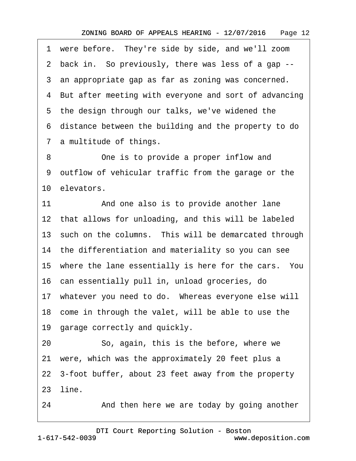1 were before. They're side by side, and we'll zoom ·2· back in.· So previously, there was less of a gap -- 3 an appropriate gap as far as zoning was concerned. 4 But after meeting with everyone and sort of advancing 5 the design through our talks, we've widened the ·6· distance between the building and the property to do 7 a multitude of things. 8 One is to provide a proper inflow and ·9· outflow of vehicular traffic from the garage or the 10 elevators. 11 And one also is to provide another lane 12 that allows for unloading, and this will be labeled 13 such on the columns. This will be demarcated through 14 the differentiation and materiality so you can see 15 where the lane essentially is here for the cars. You 16· can essentially pull in, unload groceries, do 17 whatever you need to do. Whereas everyone else will 18 come in through the valet, will be able to use the 19 garage correctly and quickly. 20 So, again, this is the before, where we 21· were, which was the approximately 20 feet plus a

22· 3-foot buffer, about 23 feet away from the property

23· line.

24 • And then here we are today by going another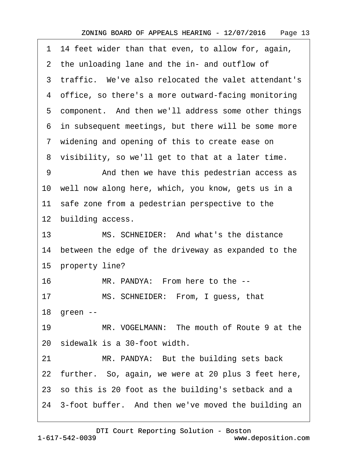|    | 1 14 feet wider than that even, to allow for, again,   |
|----|--------------------------------------------------------|
|    | 2 the unloading lane and the in- and outflow of        |
|    | 3 traffic. We've also relocated the valet attendant's  |
|    | 4 office, so there's a more outward-facing monitoring  |
|    | 5 component. And then we'll address some other things  |
|    | 6 in subsequent meetings, but there will be some more  |
|    | 7 widening and opening of this to create ease on       |
|    | 8 visibility, so we'll get to that at a later time.    |
| 9  | And then we have this pedestrian access as             |
|    | 10 well now along here, which, you know, gets us in a  |
|    | 11 safe zone from a pedestrian perspective to the      |
|    | 12 building access.                                    |
| 13 | MS. SCHNEIDER: And what's the distance                 |
|    | 14 between the edge of the driveway as expanded to the |
|    | 15 property line?                                      |
| 16 | MR. PANDYA: From here to the --                        |
| 17 | MS. SCHNEIDER: From, I guess, that                     |
|    | 18 green --                                            |
| 19 | MR. VOGELMANN: The mouth of Route 9 at the             |
|    | 20 sidewalk is a 30-foot width.                        |
| 21 | MR. PANDYA: But the building sets back                 |
|    | 22 further. So, again, we were at 20 plus 3 feet here, |
|    | 23 so this is 20 foot as the building's setback and a  |
|    | 24 3-foot buffer. And then we've moved the building an |
|    |                                                        |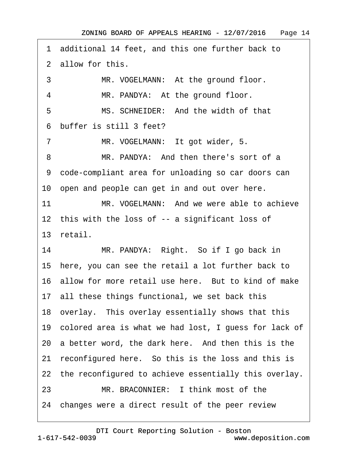·1· additional 14 feet, and this one further back to ·2· allow for this. 3 MR. VOGELMANN: At the ground floor. 4 MR. PANDYA: At the ground floor. 5 MS. SCHNEIDER: And the width of that ·6· buffer is still 3 feet? 7 MR. VOGELMANN: It got wider, 5. 8 MR. PANDYA: And then there's sort of a ·9· code-compliant area for unloading so car doors can 10 open and people can get in and out over here. 11 MR. VOGELMANN: And we were able to achieve 12 this with the loss of -- a significant loss of 13· retail. 14 MR. PANDYA: Right. So if I go back in 15· here, you can see the retail a lot further back to 16 allow for more retail use here. But to kind of make 17 all these things functional, we set back this 18 overlay. This overlay essentially shows that this 19· colored area is what we had lost, I guess for lack of 20 a better word, the dark here. And then this is the 21 reconfigured here. So this is the loss and this is 22 the reconfigured to achieve essentially this overlay. 23 MR. BRACONNIER: I think most of the 24 changes were a direct result of the peer review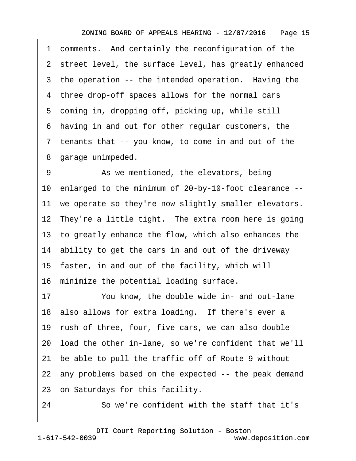1 comments. And certainly the reconfiguration of the 2 street level, the surface level, has greatly enhanced 3 the operation -- the intended operation. Having the 4 three drop-off spaces allows for the normal cars 5 coming in, dropping off, picking up, while still ·6· having in and out for other regular customers, the ·7· tenants that -- you know, to come in and out of the 8 garage unimpeded. 9 • As we mentioned, the elevators, being 10· enlarged to the minimum of 20-by-10-foot clearance -- 11 we operate so they're now slightly smaller elevators. 12 They're a little tight. The extra room here is going 13· to greatly enhance the flow, which also enhances the 14 ability to get the cars in and out of the driveway 15· faster, in and out of the facility, which will 16 minimize the potential loading surface. 17 You know, the double wide in- and out-lane 18 also allows for extra loading. If there's ever a 19 rush of three, four, five cars, we can also double 20· load the other in-lane, so we're confident that we'll 21· be able to pull the traffic off of Route 9 without 22 any problems based on the expected -- the peak demand 23 on Saturdays for this facility. 24 **· · So we're confident with the staff that it's**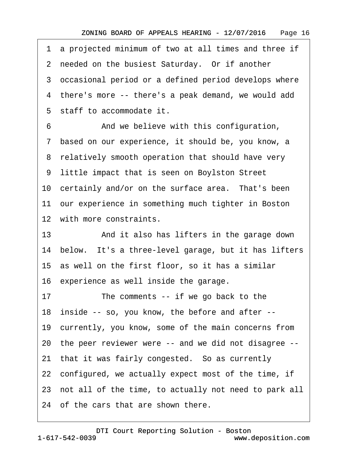·1· a projected minimum of two at all times and three if 2 needed on the busiest Saturday. Or if another 3 occasional period or a defined period develops where ·4· there's more -- there's a peak demand, we would add 5 staff to accommodate it. 6 • Common And we believe with this configuration, ·7· based on our experience, it should be, you know, a 8 relatively smooth operation that should have very ·9· little impact that is seen on Boylston Street 10 certainly and/or on the surface area. That's been 11 our experience in something much tighter in Boston 12 with more constraints. 13 • And it also has lifters in the garage down 14 below. It's a three-level garage, but it has lifters 15· as well on the first floor, so it has a similar 16· experience as well inside the garage. 17 The comments -- if we go back to the 18· inside -- so, you know, the before and after -- 19· currently, you know, some of the main concerns from 20· the peer reviewer were -- and we did not disagree -- 21 that it was fairly congested. So as currently 22 configured, we actually expect most of the time, if 23 not all of the time, to actually not need to park all 24 of the cars that are shown there.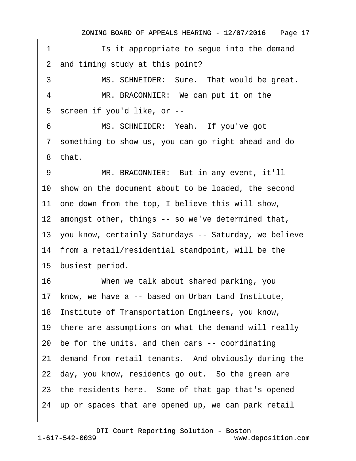1 **Is it appropriate to seque into the demand** 2 and timing study at this point? 3 MS. SCHNEIDER: Sure. That would be great. 4 MR. BRACONNIER: We can put it on the 5 screen if you'd like, or --6 MS. SCHNEIDER: Yeah. If you've got ·7· something to show us, you can go right ahead and do ·8· that. 9 MR. BRACONNIER: But in any event, it'll 10 show on the document about to be loaded, the second 11 one down from the top, I believe this will show, 12 amongst other, things -- so we've determined that, 13· you know, certainly Saturdays -- Saturday, we believe 14· from a retail/residential standpoint, will be the 15 busiest period. 16 When we talk about shared parking, you 17 know, we have a -- based on Urban Land Institute, 18 Institute of Transportation Engineers, you know, 19 there are assumptions on what the demand will really 20· be for the units, and then cars -- coordinating 21 demand from retail tenants. And obviously during the 22 day, you know, residents go out. So the green are 23 the residents here. Some of that gap that's opened 24 up or spaces that are opened up, we can park retail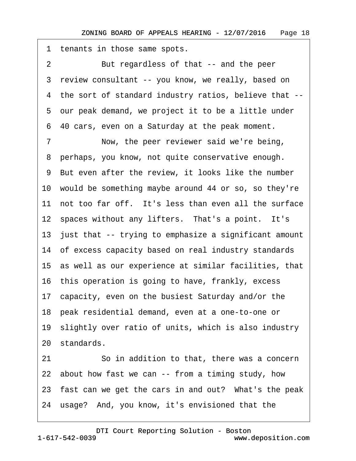1 tenants in those same spots. 2 But regardless of that -- and the peer 3 review consultant -- you know, we really, based on ·4· the sort of standard industry ratios, believe that -- ·5· our peak demand, we project it to be a little under ·6· 40 cars, even on a Saturday at the peak moment. 7 Now, the peer reviewer said we're being, 8 perhaps, you know, not quite conservative enough. 9 But even after the review, it looks like the number 10· would be something maybe around 44 or so, so they're 11 not too far off. It's less than even all the surface 12 spaces without any lifters. That's a point. It's 13 just that -- trying to emphasize a significant amount 14 of excess capacity based on real industry standards 15· as well as our experience at similar facilities, that 16· this operation is going to have, frankly, excess 17· capacity, even on the busiest Saturday and/or the 18· peak residential demand, even at a one-to-one or 19· slightly over ratio of units, which is also industry 20 standards. 21 **· · · · So in addition to that, there was a concern** 22 about how fast we can -- from a timing study, how 23 fast can we get the cars in and out? What's the peak 24· usage?· And, you know, it's envisioned that the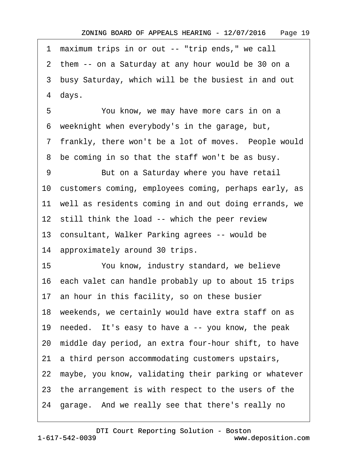1 maximum trips in or out -- "trip ends," we call 2 them -- on a Saturday at any hour would be 30 on a 3 busy Saturday, which will be the busiest in and out 4 days. 5 You know, we may have more cars in on a 6 weeknight when everybody's in the garage, but, 7 frankly, there won't be a lot of moves. People would 8 be coming in so that the staff won't be as busy. 9 But on a Saturday where you have retail 10· customers coming, employees coming, perhaps early, as 11 well as residents coming in and out doing errands, we 12 still think the load -- which the peer review 13· consultant, Walker Parking agrees -- would be 14 approximately around 30 trips. 15 You know, industry standard, we believe 16· each valet can handle probably up to about 15 trips 17· an hour in this facility, so on these busier 18 weekends, we certainly would have extra staff on as 19 needed. It's easy to have a -- you know, the peak 20· middle day period, an extra four-hour shift, to have 21 a third person accommodating customers upstairs, 22 maybe, you know, validating their parking or whatever 23 the arrangement is with respect to the users of the 24 garage. And we really see that there's really no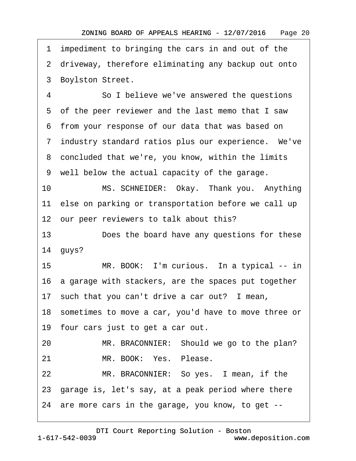·1· impediment to bringing the cars in and out of the 2 driveway, therefore eliminating any backup out onto 3 Boylston Street. 4 So I believe we've answered the questions ·5· of the peer reviewer and the last memo that I saw ·6· from your response of our data that was based on 7 industry standard ratios plus our experience. We've 8 concluded that we're, you know, within the limits ·9· well below the actual capacity of the garage. 10 MS. SCHNEIDER: Okay. Thank you. Anything 11 else on parking or transportation before we call up 12 our peer reviewers to talk about this? 13 Does the board have any questions for these 14 quys? 15 MR. BOOK: I'm curious. In a typical -- in 16· a garage with stackers, are the spaces put together 17 such that you can't drive a car out? I mean, 18 sometimes to move a car, you'd have to move three or 19 four cars just to get a car out. 20 MR. BRACONNIER: Should we go to the plan? 21 MR. BOOK: Yes. Please. 22 MR. BRACONNIER: So yes. I mean, if the 23· garage is, let's say, at a peak period where there 24· are more cars in the garage, you know, to get --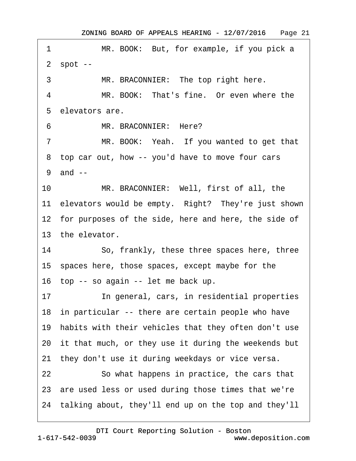| 1       | MR. BOOK: But, for example, if you pick a               |
|---------|---------------------------------------------------------|
|         | $2$ spot $-$                                            |
| 3       | MR. BRACONNIER: The top right here.                     |
| 4       | MR. BOOK: That's fine. Or even where the                |
|         | 5 elevators are.                                        |
| 6       | MR. BRACONNIER: Here?                                   |
| 7       | MR. BOOK: Yeah. If you wanted to get that               |
|         | 8 top car out, how -- you'd have to move four cars      |
|         | 9 and --                                                |
| $10-10$ | MR. BRACONNIER: Well, first of all, the                 |
|         | 11 elevators would be empty. Right? They're just shown  |
|         | 12 for purposes of the side, here and here, the side of |
|         | 13 the elevator.                                        |
| 14      | So, frankly, these three spaces here, three             |
|         | 15 spaces here, those spaces, except maybe for the      |
|         | 16 top -- so again -- let me back up.                   |
| 17      | In general, cars, in residential properties             |
|         | 18 in particular -- there are certain people who have   |
|         | 19 habits with their vehicles that they often don't use |
|         | 20 it that much, or they use it during the weekends but |
|         | 21 they don't use it during weekdays or vice versa.     |
| 22      | So what happens in practice, the cars that              |
|         | 23 are used less or used during those times that we're  |
|         | 24 talking about, they'll end up on the top and they'll |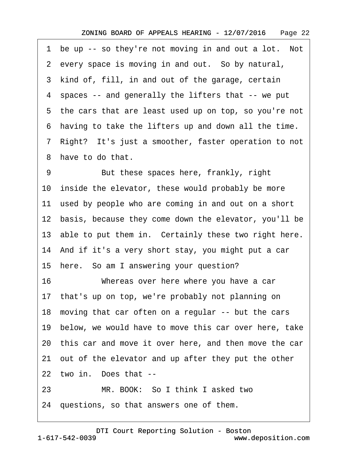1 be up -- so they're not moving in and out a lot. Not 2 every space is moving in and out. So by natural, 3 kind of, fill, in and out of the garage, certain ·4· spaces -- and generally the lifters that -- we put 5 the cars that are least used up on top, so you're not ·6· having to take the lifters up and down all the time. ·7· Right?· It's just a smoother, faster operation to not 8 have to do that. 9 But these spaces here, frankly, right 10 inside the elevator, these would probably be more 11 used by people who are coming in and out on a short 12 basis, because they come down the elevator, you'll be 13 able to put them in. Certainly these two right here. 14· And if it's a very short stay, you might put a car 15 here. So am I answering your question? 16 Whereas over here where you have a car 17· that's up on top, we're probably not planning on 18 moving that car often on a regular -- but the cars 19 below, we would have to move this car over here, take 20· this car and move it over here, and then move the car 21 out of the elevator and up after they put the other 22 two in. Does that --

23 MR. BOOK: So I think I asked two

24· questions, so that answers one of them.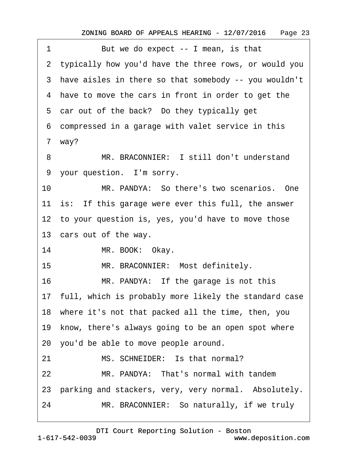| 1  | But we do expect -- I mean, is that                      |
|----|----------------------------------------------------------|
|    | 2 typically how you'd have the three rows, or would you  |
|    | 3 have aisles in there so that somebody -- you wouldn't  |
|    | 4 have to move the cars in front in order to get the     |
|    | 5 car out of the back? Do they typically get             |
|    | 6 compressed in a garage with valet service in this      |
|    | 7 way?                                                   |
| 8  | MR. BRACONNIER: I still don't understand                 |
|    | 9 your question. I'm sorry.                              |
| 10 | MR. PANDYA: So there's two scenarios. One                |
|    | 11 is: If this garage were ever this full, the answer    |
|    | 12 to your question is, yes, you'd have to move those    |
|    | 13 cars out of the way.                                  |
| 14 | MR. BOOK: Okay.                                          |
| 15 | MR. BRACONNIER: Most definitely.                         |
| 16 | MR. PANDYA: If the garage is not this                    |
|    | 17 full, which is probably more likely the standard case |
|    | 18 where it's not that packed all the time, then, you    |
|    | 19 know, there's always going to be an open spot where   |
|    | 20 you'd be able to move people around.                  |
| 21 | MS. SCHNEIDER: Is that normal?                           |
| 22 | MR. PANDYA: That's normal with tandem                    |
|    | 23 parking and stackers, very, very normal. Absolutely.  |
| 24 | MR. BRACONNIER: So naturally, if we truly                |
|    |                                                          |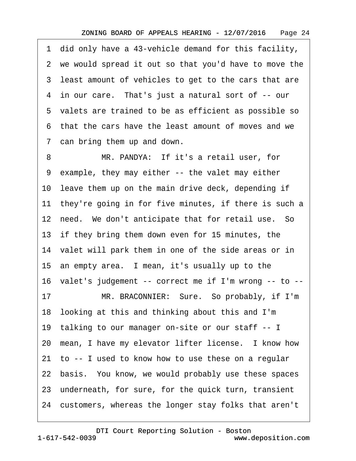·1· did only have a 43-vehicle demand for this facility, 2 we would spread it out so that you'd have to move the 3 least amount of vehicles to get to the cars that are 4 in our care. That's just a natural sort of -- our ·5· valets are trained to be as efficient as possible so ·6· that the cars have the least amount of moves and we 7 can bring them up and down.

8 MR. PANDYA: If it's a retail user, for ·9· example, they may either -- the valet may either 10 leave them up on the main drive deck, depending if 11 they're going in for five minutes, if there is such a 12 need. We don't anticipate that for retail use. So 13 if they bring them down even for 15 minutes, the 14 valet will park them in one of the side areas or in 15 an empty area. I mean, it's usually up to the 16· valet's judgement -- correct me if I'm wrong -- to -- 17 MR. BRACONNIER: Sure. So probably, if I'm 18· looking at this and thinking about this and I'm 19· talking to our manager on-site or our staff -- I 20 mean, I have my elevator lifter license. I know how 21· to -- I used to know how to use these on a regular 22 basis. You know, we would probably use these spaces 23 underneath, for sure, for the quick turn, transient 24· customers, whereas the longer stay folks that aren't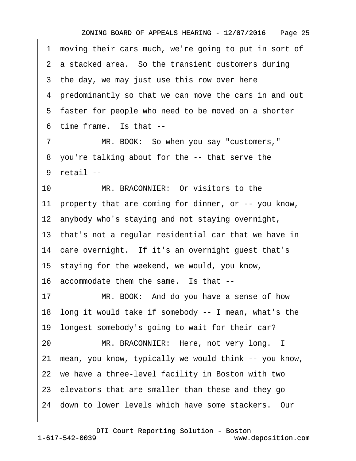1 moving their cars much, we're going to put in sort of 2 a stacked area. So the transient customers during 3 the day, we may just use this row over here ·4· predominantly so that we can move the cars in and out 5 faster for people who need to be moved on a shorter 6 time frame. Is that --7 MR. BOOK: So when you say "customers," 8 you're talking about for the -- that serve the ·9· retail -- 10 MR. BRACONNIER: Or visitors to the 11 property that are coming for dinner, or -- you know, 12 anybody who's staying and not staying overnight, 13 that's not a regular residential car that we have in 14 care overnight. If it's an overnight guest that's 15 staying for the weekend, we would, you know, 16 accommodate them the same. Is that --17 MR. BOOK: And do you have a sense of how 18· long it would take if somebody -- I mean, what's the 19· longest somebody's going to wait for their car? 20 MR. BRACONNIER: Here, not very long. I 21· mean, you know, typically we would think -- you know, 22· we have a three-level facility in Boston with two 23· elevators that are smaller than these and they go 24· down to lower levels which have some stackers.· Our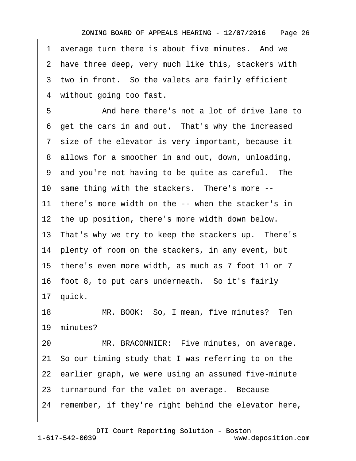1 average turn there is about five minutes. And we 2 have three deep, very much like this, stackers with 3 two in front. So the valets are fairly efficient 4 without going too fast.

5 • Source **And here there's not a lot of drive lane to** 6 get the cars in and out. That's why the increased ·7· size of the elevator is very important, because it 8 allows for a smoother in and out, down, unloading, ·9· and you're not having to be quite as careful.· The 10 same thing with the stackers. There's more --11 there's more width on the -- when the stacker's in 12 the up position, there's more width down below. 13 That's why we try to keep the stackers up. There's 14 plenty of room on the stackers, in any event, but 15· there's even more width, as much as 7 foot 11 or 7 16 foot 8, to put cars underneath. So it's fairly 17 quick. 18 MR. BOOK: So, I mean, five minutes? Ten 19 minutes? 20 MR. BRACONNIER: Five minutes, on average. 21· So our timing study that I was referring to on the 22 earlier graph, we were using an assumed five-minute 23 turnaround for the valet on average. Because 24 remember, if they're right behind the elevator here,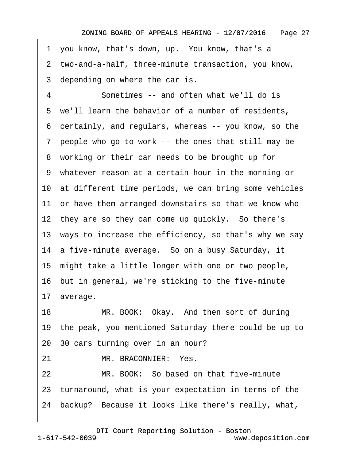1 you know, that's down, up. You know, that's a

·2· two-and-a-half, three-minute transaction, you know,

3 depending on where the car is.

4 Sometimes -- and often what we'll do is 5 we'll learn the behavior of a number of residents, ·6· certainly, and regulars, whereas -- you know, so the ·7· people who go to work -- the ones that still may be 8 working or their car needs to be brought up for ·9· whatever reason at a certain hour in the morning or 10 at different time periods, we can bring some vehicles 11 or have them arranged downstairs so that we know who 12 they are so they can come up quickly. So there's 13 ways to increase the efficiency, so that's why we say 14 a five-minute average. So on a busy Saturday, it 15 might take a little longer with one or two people, 16· but in general, we're sticking to the five-minute 17 average. 18 MR. BOOK: Okay. And then sort of during 19· the peak, you mentioned Saturday there could be up to 20· 30 cars turning over in an hour? 21 MR. BRACONNIER: Yes. 22 MR. BOOK: So based on that five-minute 23· turnaround, what is your expectation in terms of the 24 backup? Because it looks like there's really, what,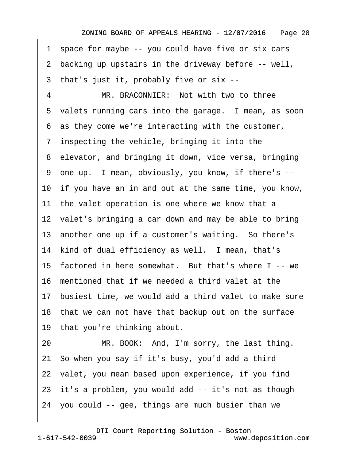1 space for maybe -- you could have five or six cars ·2· backing up upstairs in the driveway before -- well, ·3· that's just it, probably five or six -- 4 MR. BRACONNIER: Not with two to three 5 valets running cars into the garage. I mean, as soon ·6· as they come we're interacting with the customer, 7 inspecting the vehicle, bringing it into the 8 elevator, and bringing it down, vice versa, bringing ·9· one up.· I mean, obviously, you know, if there's -- 10 if you have an in and out at the same time, you know, 11 the valet operation is one where we know that a 12 valet's bringing a car down and may be able to bring 13 another one up if a customer's waiting. So there's 14 kind of dual efficiency as well. I mean, that's 15 factored in here somewhat. But that's where I -- we 16· mentioned that if we needed a third valet at the 17· busiest time, we would add a third valet to make sure 18 that we can not have that backup out on the surface 19 that you're thinking about. 20 MR. BOOK: And, I'm sorry, the last thing. 21· So when you say if it's busy, you'd add a third 22 valet, you mean based upon experience, if you find 23 it's a problem, you would add -- it's not as though 24· you could -- gee, things are much busier than we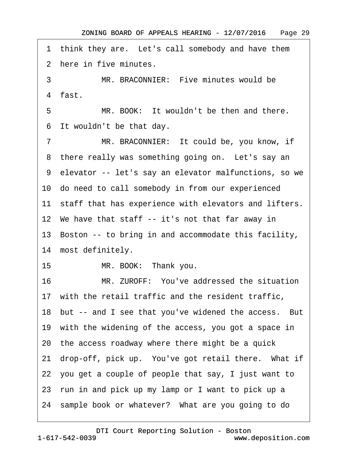1 think they are. Let's call somebody and have them 2 here in five minutes. 3 MR. BRACONNIER: Five minutes would be 4 fast. 5 MR. BOOK: It wouldn't be then and there. 6 It wouldn't be that day. 7 MR. BRACONNIER: It could be, you know, if 8 there really was something going on. Let's say an ·9· elevator -- let's say an elevator malfunctions, so we 10· do need to call somebody in from our experienced 11 staff that has experience with elevators and lifters. 12 We have that staff -- it's not that far away in 13· Boston -- to bring in and accommodate this facility, 14 most definitely. 15 MR. BOOK: Thank you. 16 MR. ZUROFF: You've addressed the situation 17 with the retail traffic and the resident traffic, 18 but -- and I see that you've widened the access. But 19 with the widening of the access, you got a space in 20· the access roadway where there might be a quick 21 drop-off, pick up. You've got retail there. What if 22· you get a couple of people that say, I just want to 23· run in and pick up my lamp or I want to pick up a 24 sample book or whatever? What are you going to do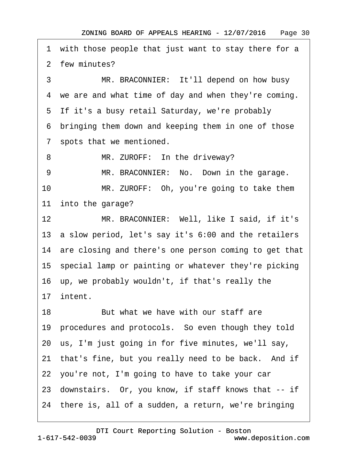1 with those people that just want to stay there for a 2 few minutes? 3 MR. BRACONNIER: It'll depend on how busy 4 we are and what time of day and when they're coming. 5 If it's a busy retail Saturday, we're probably ·6· bringing them down and keeping them in one of those 7 spots that we mentioned. 8 MR. ZUROFF: In the driveway? 9 MR. BRACONNIER: No. Down in the garage. 10 MR. ZUROFF: Oh, you're going to take them 11 into the garage? 12 MR. BRACONNIER: Well, like I said, if it's 13· a slow period, let's say it's 6:00 and the retailers 14 are closing and there's one person coming to get that 15 special lamp or painting or whatever they're picking 16· up, we probably wouldn't, if that's really the 17· intent. 18 But what we have with our staff are 19 procedures and protocols. So even though they told 20· us, I'm just going in for five minutes, we'll say, 21 that's fine, but you really need to be back. And if 22· you're not, I'm going to have to take your car 23· downstairs.· Or, you know, if staff knows that -- if 24· there is, all of a sudden, a return, we're bringing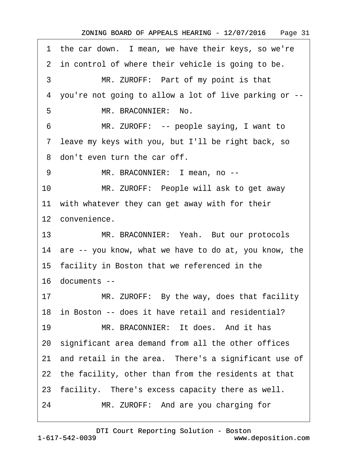1 the car down. I mean, we have their keys, so we're 2 in control of where their vehicle is going to be. 3 MR. ZUROFF: Part of my point is that ·4· you're not going to allow a lot of live parking or -- 5 MR. BRACONNIER: No. 6 MR. ZUROFF: -- people saying, I want to ·7· leave my keys with you, but I'll be right back, so 8 don't even turn the car off. 9 MR. BRACONNIER: I mean, no --10 MR. ZUROFF: People will ask to get away 11 with whatever they can get away with for their 12 convenience. 13 MR. BRACONNIER: Yeah. But our protocols 14 are -- you know, what we have to do at, you know, the 15 facility in Boston that we referenced in the 16· documents -- 17 MR. ZUROFF: By the way, does that facility 18 in Boston -- does it have retail and residential? 19 MR. BRACONNIER: It does. And it has 20· significant area demand from all the other offices 21 and retail in the area. There's a significant use of 22 the facility, other than from the residents at that 23 facility. There's excess capacity there as well. 24 MR. ZUROFF: And are you charging for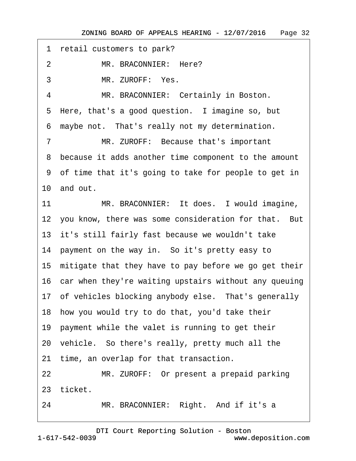1 retail customers to park?

2 MR. BRACONNIER: Here?

3 MR. ZUROFF: Yes.

4 MR. BRACONNIER: Certainly in Boston. 5 Here, that's a good question. I imagine so, but

6 maybe not. That's really not my determination.

7 MR. ZUROFF: Because that's important ·8· because it adds another time component to the amount ·9· of time that it's going to take for people to get in 10· and out.

11 MR. BRACONNIER: It does. I would imagine,

12 you know, there was some consideration for that. But

13 it's still fairly fast because we wouldn't take

14 payment on the way in. So it's pretty easy to

15 mitigate that they have to pay before we go get their

16 car when they're waiting upstairs without any queuing

17 of vehicles blocking anybody else. That's generally

18· how you would try to do that, you'd take their

19 payment while the valet is running to get their

20· vehicle.· So there's really, pretty much all the

21 time, an overlap for that transaction.

22 MR. ZUROFF: Or present a prepaid parking

23 ticket.

24 MR. BRACONNIER: Right. And if it's a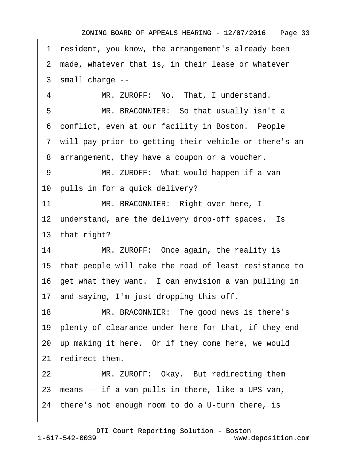1 resident, you know, the arrangement's already been 2 made, whatever that is, in their lease or whatever ·3· small charge -- 4 MR. ZUROFF: No. That, I understand. 5 MR. BRACONNIER: So that usually isn't a 6 conflict, even at our facility in Boston. People 7 will pay prior to getting their vehicle or there's an 8 arrangement, they have a coupon or a voucher. 9 MR. ZUROFF: What would happen if a van 10 pulls in for a quick delivery? 11 MR. BRACONNIER: Right over here, I 12 understand, are the delivery drop-off spaces. Is 13 that right? 14 MR. ZUROFF: Once again, the reality is 15· that people will take the road of least resistance to 16 get what they want. I can envision a van pulling in 17· and saying, I'm just dropping this off. 18 MR. BRACONNIER: The good news is there's 19 plenty of clearance under here for that, if they end 20 up making it here. Or if they come here, we would 21 redirect them. 22 MR. ZUROFF: Okay. But redirecting them 23 means -- if a van pulls in there, like a UPS van, 24 there's not enough room to do a U-turn there, is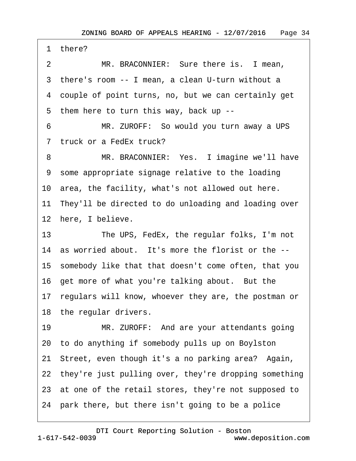1 there? 2 MR. BRACONNIER: Sure there is. I mean, 3 there's room -- I mean, a clean U-turn without a ·4· couple of point turns, no, but we can certainly get 5 them here to turn this way, back up --6 MR. ZUROFF: So would you turn away a UPS 7 truck or a FedEx truck? 8 MR. BRACONNIER: Yes. I imagine we'll have ·9· some appropriate signage relative to the loading 10· area, the facility, what's not allowed out here. 11 They'll be directed to do unloading and loading over 12 here, I believe. 13 The UPS, FedEx, the regular folks, I'm not 14 as worried about. It's more the florist or the --15· somebody like that that doesn't come often, that you 16 get more of what you're talking about. But the 17 regulars will know, whoever they are, the postman or 18 the regular drivers. 19 MR. ZUROFF: And are your attendants going 20· to do anything if somebody pulls up on Boylston 21· Street, even though it's a no parking area?· Again, 22 they're just pulling over, they're dropping something 23 at one of the retail stores, they're not supposed to 24· park there, but there isn't going to be a police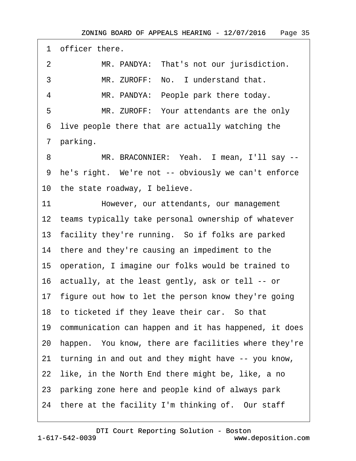1 officer there. 2 MR. PANDYA: That's not our jurisdiction. 3 MR. ZUROFF: No. I understand that. 4 MR. PANDYA: People park there today. 5 MR. ZUROFF: Your attendants are the only ·6· live people there that are actually watching the 7 parking. 8 MR. BRACONNIER: Yeah. I mean, I'll say --9 he's right. We're not -- obviously we can't enforce 10 the state roadway, I believe. 11 However, our attendants, our management 12 teams typically take personal ownership of whatever 13 facility they're running. So if folks are parked 14 there and they're causing an impediment to the 15· operation, I imagine our folks would be trained to 16· actually, at the least gently, ask or tell -- or 17 figure out how to let the person know they're going 18 to ticketed if they leave their car. So that 19 communication can happen and it has happened, it does 20· happen.· You know, there are facilities where they're 21· turning in and out and they might have -- you know, 22 like, in the North End there might be, like, a no 23· parking zone here and people kind of always park 24 there at the facility I'm thinking of. Our staff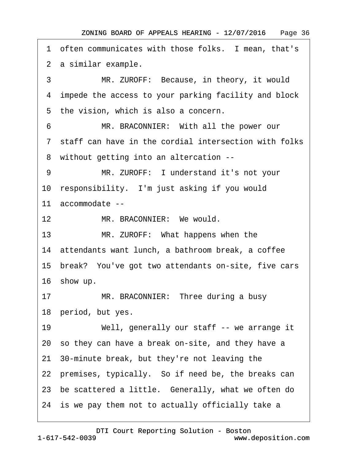1 often communicates with those folks. I mean, that's 2 a similar example.

3 MR. ZUROFF: Because, in theory, it would ·4· impede the access to your parking facility and block 5 the vision, which is also a concern.

6 MR. BRACONNIER: With all the power our ·7· staff can have in the cordial intersection with folks ·8· without getting into an altercation --

9 MR. ZUROFF: I understand it's not your

10 responsibility. I'm just asking if you would

11· accommodate --

12 MR. BRACONNIER: We would.

13 MR. ZUROFF: What happens when the

14· attendants want lunch, a bathroom break, a coffee

15· break?· You've got two attendants on-site, five cars

16 show up.

17 MR. BRACONNIER: Three during a busy 18 period, but yes.

19 Well, generally our staff -- we arrange it 20· so they can have a break on-site, and they have a 21· 30-minute break, but they're not leaving the 22 premises, typically. So if need be, the breaks can 23 be scattered a little. Generally, what we often do 24 is we pay them not to actually officially take a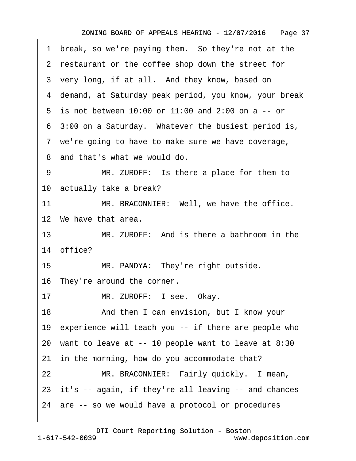| 1 break, so we're paying them. So they're not at the    |  |
|---------------------------------------------------------|--|
| 2 restaurant or the coffee shop down the street for     |  |
| 3 very long, if at all. And they know, based on         |  |
| 4 demand, at Saturday peak period, you know, your break |  |
| 5 is not between 10:00 or 11:00 and 2:00 on a -- or     |  |
| 6 3:00 on a Saturday. Whatever the busiest period is,   |  |
| 7 we're going to have to make sure we have coverage,    |  |
| 8 and that's what we would do.                          |  |
| MR. ZUROFF: Is there a place for them to<br>9           |  |
| 10 actually take a break?                               |  |
| MR. BRACONNIER: Well, we have the office.<br>11         |  |
| 12 We have that area.                                   |  |
| 13<br>MR. ZUROFF: And is there a bathroom in the        |  |
| 14 office?                                              |  |
| MR. PANDYA: They're right outside.<br>15                |  |
| 16 They're around the corner.                           |  |
| MR. ZUROFF: I see. Okay.<br>17                          |  |
| And then I can envision, but I know your<br>18          |  |
| 19 experience will teach you -- if there are people who |  |
| 20 want to leave at -- 10 people want to leave at 8:30  |  |
| 21 in the morning, how do you accommodate that?         |  |
| MR. BRACONNIER: Fairly quickly. I mean,<br>22           |  |
| 23 it's -- again, if they're all leaving -- and chances |  |
| 24 are -- so we would have a protocol or procedures     |  |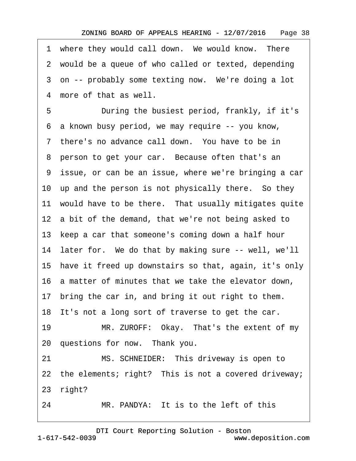1 where they would call down. We would know. There 2 would be a queue of who called or texted, depending 3 on -- probably some texting now. We're doing a lot 4 more of that as well.

5 During the busiest period, frankly, if it's ·6· a known busy period, we may require -- you know, 7 there's no advance call down. You have to be in 8 person to get your car. Because often that's an ·9· issue, or can be an issue, where we're bringing a car 10 up and the person is not physically there. So they 11 would have to be there. That usually mitigates quite 12 a bit of the demand, that we're not being asked to 13 keep a car that someone's coming down a half hour 14 later for. We do that by making sure -- well, we'll 15· have it freed up downstairs so that, again, it's only 16· a matter of minutes that we take the elevator down, 17 bring the car in, and bring it out right to them. 18 It's not a long sort of traverse to get the car. 19 MR. ZUROFF: Okay. That's the extent of my 20 questions for now. Thank you. 21 MS. SCHNEIDER: This driveway is open to 22 the elements; right? This is not a covered driveway; 23 right?

24 MR. PANDYA: It is to the left of this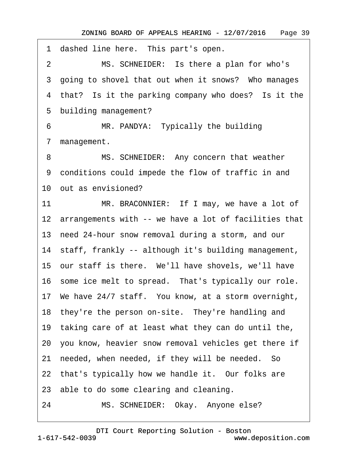1 dashed line here. This part's open. 2 MS. SCHNEIDER: Is there a plan for who's 3 going to shovel that out when it snows? Who manages 4 that? Is it the parking company who does? Is it the 5 building management? 6 MR. PANDYA: Typically the building 7 management. 8 MS. SCHNEIDER: Any concern that weather ·9· conditions could impede the flow of traffic in and 10· out as envisioned? 11 MR. BRACONNIER: If I may, we have a lot of 12 arrangements with -- we have a lot of facilities that 13· need 24-hour snow removal during a storm, and our 14 staff, frankly -- although it's building management, 15 our staff is there. We'll have shovels, we'll have 16 some ice melt to spread. That's typically our role. 17· We have 24/7 staff.· You know, at a storm overnight, 18 they're the person on-site. They're handling and 19 taking care of at least what they can do until the, 20· you know, heavier snow removal vehicles get there if 21 needed, when needed, if they will be needed. So 22 that's typically how we handle it. Our folks are 23 able to do some clearing and cleaning. 24 MS. SCHNEIDER: Okay. Anyone else?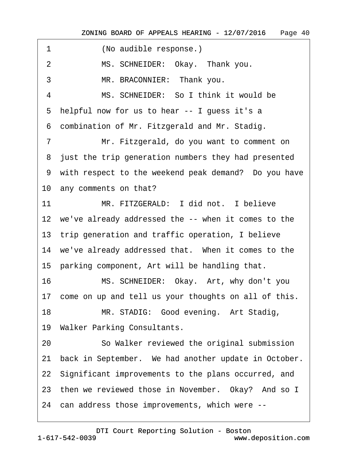| 1  | (No audible response.)                                  |
|----|---------------------------------------------------------|
| 2  | MS. SCHNEIDER: Okay. Thank you.                         |
| 3  | MR. BRACONNIER: Thank you.                              |
| 4  | MS. SCHNEIDER: So I think it would be                   |
|    | 5 helpful now for us to hear -- I guess it's a          |
|    | 6 combination of Mr. Fitzgerald and Mr. Stadig.         |
| 7  | Mr. Fitzgerald, do you want to comment on               |
|    | 8 just the trip generation numbers they had presented   |
|    | 9 with respect to the weekend peak demand? Do you have  |
|    | 10 any comments on that?                                |
| 11 | MR. FITZGERALD: I did not. I believe                    |
|    | 12 we've already addressed the -- when it comes to the  |
|    | 13 trip generation and traffic operation, I believe     |
|    | 14 we've already addressed that. When it comes to the   |
|    | 15 parking component, Art will be handling that.        |
| 16 | MS. SCHNEIDER: Okay. Art, why don't you                 |
|    | 17 come on up and tell us your thoughts on all of this. |
| 18 | MR. STADIG: Good evening. Art Stadig,                   |
|    | 19 Walker Parking Consultants.                          |
| 20 | So Walker reviewed the original submission              |
| 21 | back in September. We had another update in October.    |
|    | 22 Significant improvements to the plans occurred, and  |
|    | 23 then we reviewed those in November. Okay? And so I   |
|    | 24 can address those improvements, which were --        |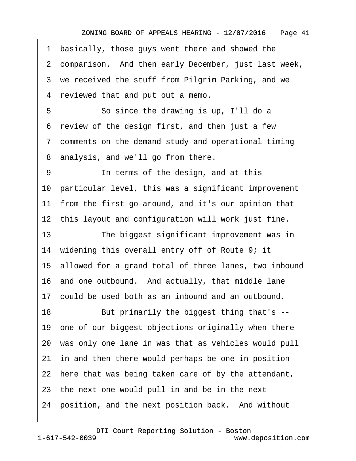- ·1· basically, those guys went there and showed the
- 2 comparison. And then early December, just last week,
- 3 we received the stuff from Pilgrim Parking, and we
- 4 reviewed that and put out a memo.
- 5 **· · · · So since the drawing is up, I'll do a**
- ·6· review of the design first, and then just a few
- ·7· comments on the demand study and operational timing
- 8 analysis, and we'll go from there.
- 9 **In terms of the design, and at this** 10· particular level, this was a significant improvement 11 from the first go-around, and it's our opinion that 12 this layout and configuration will work just fine. 13 The biggest significant improvement was in 14 widening this overall entry off of Route 9; it 15· allowed for a grand total of three lanes, two inbound 16 and one outbound. And actually, that middle lane 17· could be used both as an inbound and an outbound. 18 But primarily the biggest thing that's --19 one of our biggest objections originally when there 20· was only one lane in was that as vehicles would pull 21 in and then there would perhaps be one in position 22 here that was being taken care of by the attendant, 23 the next one would pull in and be in the next 24 position, and the next position back. And without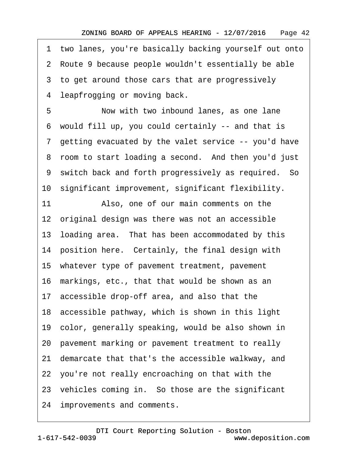1 two lanes, you're basically backing yourself out onto 2 Route 9 because people wouldn't essentially be able 3 to get around those cars that are progressively

4 leapfrogging or moving back.

5 **· · · Now with two inbound lanes, as one lane** ·6· would fill up, you could certainly -- and that is 7 getting evacuated by the valet service -- you'd have 8 room to start loading a second. And then you'd just 9 switch back and forth progressively as required. So 10· significant improvement, significant flexibility.

11 Also, one of our main comments on the 12 original design was there was not an accessible 13· loading area.· That has been accommodated by this 14 position here. Certainly, the final design with 15· whatever type of pavement treatment, pavement 16 markings, etc., that that would be shown as an 17· accessible drop-off area, and also that the 18· accessible pathway, which is shown in this light 19· color, generally speaking, would be also shown in 20· pavement marking or pavement treatment to really 21· demarcate that that's the accessible walkway, and 22· you're not really encroaching on that with the 23 vehicles coming in. So those are the significant 24 improvements and comments.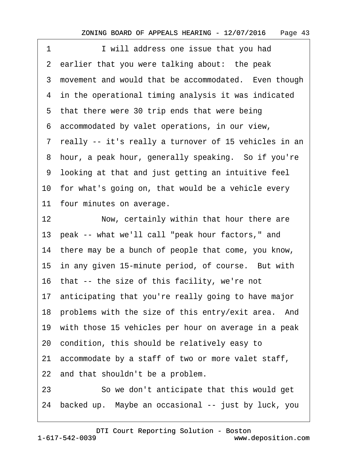| I will address one issue that you had<br>1                   |
|--------------------------------------------------------------|
| 2 earlier that you were talking about: the peak              |
| 3 movement and would that be accommodated. Even though       |
| 4 in the operational timing analysis it was indicated        |
| 5 that there were 30 trip ends that were being               |
| 6 accommodated by valet operations, in our view,             |
| 7 really -- it's really a turnover of 15 vehicles in an      |
| 8 hour, a peak hour, generally speaking. So if you're        |
| 9 looking at that and just getting an intuitive feel         |
| 10 for what's going on, that would be a vehicle every        |
| 11 four minutes on average.                                  |
| 12 <sub>2</sub><br>Now, certainly within that hour there are |
| 13 peak -- what we'll call "peak hour factors," and          |
| 14 there may be a bunch of people that come, you know,       |
| 15 in any given 15-minute period, of course. But with        |
| 16 that -- the size of this facility, we're not              |
| 17 anticipating that you're really going to have major       |
| 18 problems with the size of this entry/exit area. And       |
| 19 with those 15 vehicles per hour on average in a peak      |
| 20 condition, this should be relatively easy to              |
| 21 accommodate by a staff of two or more valet staff,        |
| 22 and that shouldn't be a problem.                          |
| 23<br>So we don't anticipate that this would get             |
|                                                              |

24 backed up. Maybe an occasional -- just by luck, you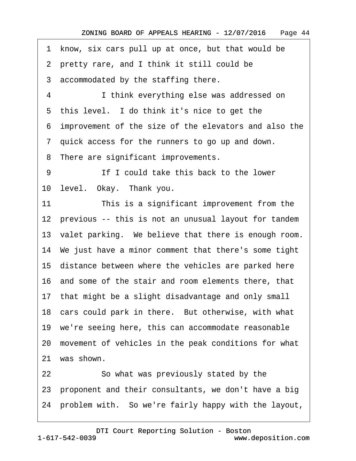1 know, six cars pull up at once, but that would be

·2· pretty rare, and I think it still could be

3 accommodated by the staffing there.

4 I think everything else was addressed on

5 this level. I do think it's nice to get the

·6· improvement of the size of the elevators and also the

·7· quick access for the runners to go up and down.

8 There are significant improvements.

9 **If I could take this back to the lower** 

10 level. Okay. Thank you.

11 This is a significant improvement from the

12 previous -- this is not an unusual layout for tandem

13 valet parking. We believe that there is enough room.

14· We just have a minor comment that there's some tight

15 distance between where the vehicles are parked here

16· and some of the stair and room elements there, that

17 that might be a slight disadvantage and only small

18 cars could park in there. But otherwise, with what

19· we're seeing here, this can accommodate reasonable

20· movement of vehicles in the peak conditions for what

21 was shown.

22 So what was previously stated by the 23 proponent and their consultants, we don't have a big 24· problem with.· So we're fairly happy with the layout,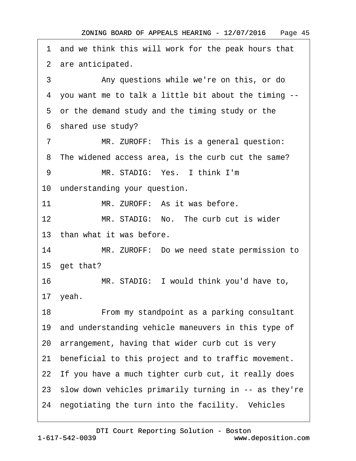1 and we think this will work for the peak hours that 2 are anticipated. 3 • • Any questions while we're on this, or do ·4· you want me to talk a little bit about the timing -- 5 or the demand study and the timing study or the ·6· shared use study? 7 MR. ZUROFF: This is a general question: 8 The widened access area, is the curb cut the same? 9 MR. STADIG: Yes. I think I'm 10 understanding your question. 11 MR. ZUROFF: As it was before. 12 MR. STADIG: No. The curb cut is wider 13 than what it was before. 14 MR. ZUROFF: Do we need state permission to 15 get that? 16 MR. STADIG: I would think you'd have to, 17· yeah. 18 • From my standpoint as a parking consultant 19 and understanding vehicle maneuvers in this type of 20 arrangement, having that wider curb cut is very 21 beneficial to this project and to traffic movement. 22 If you have a much tighter curb cut, it really does 23· slow down vehicles primarily turning in -- as they're 24 negotiating the turn into the facility. Vehicles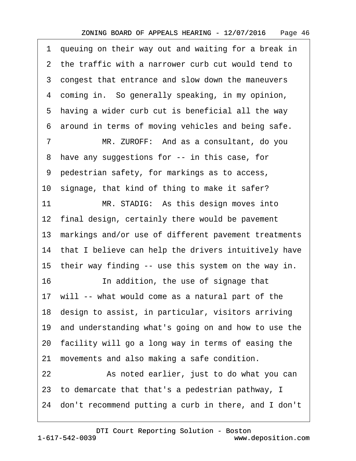1 queuing on their way out and waiting for a break in ·2· the traffic with a narrower curb cut would tend to 3 congest that entrance and slow down the maneuvers 4 coming in. So generally speaking, in my opinion, 5 having a wider curb cut is beneficial all the way ·6· around in terms of moving vehicles and being safe. 7 MR. ZUROFF: And as a consultant, do you 8 have any suggestions for -- in this case, for ·9· pedestrian safety, for markings as to access, 10 signage, that kind of thing to make it safer? 11 MR. STADIG: As this design moves into 12 final design, certainly there would be pavement 13 markings and/or use of different pavement treatments 14 that I believe can help the drivers intuitively have 15 their way finding -- use this system on the way in. 16 **In addition, the use of signage that** 17 will -- what would come as a natural part of the 18· design to assist, in particular, visitors arriving 19· and understanding what's going on and how to use the 20· facility will go a long way in terms of easing the 21 movements and also making a safe condition. 22 **8** As noted earlier, just to do what you can 23· to demarcate that that's a pedestrian pathway, I 24· don't recommend putting a curb in there, and I don't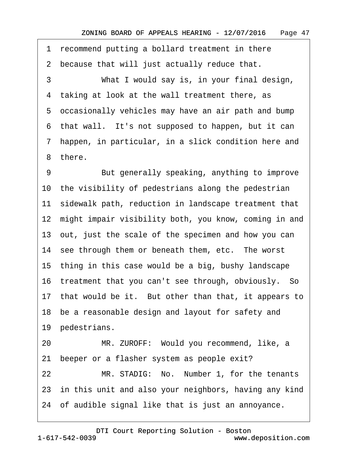1 recommend putting a bollard treatment in there

2 because that will just actually reduce that.

3 What I would say is, in your final design, 4 taking at look at the wall treatment there, as 5 occasionally vehicles may have an air path and bump ·6· that wall.· It's not supposed to happen, but it can ·7· happen, in particular, in a slick condition here and 8 there.

9 But generally speaking, anything to improve 10 the visibility of pedestrians along the pedestrian 11 sidewalk path, reduction in landscape treatment that 12 might impair visibility both, you know, coming in and 13· out, just the scale of the specimen and how you can 14 see through them or beneath them, etc. The worst 15· thing in this case would be a big, bushy landscape 16 treatment that you can't see through, obviously. So 17 that would be it. But other than that, it appears to 18 be a reasonable design and layout for safety and 19 pedestrians. 20 MR. ZUROFF: Would you recommend, like, a

21 beeper or a flasher system as people exit?

22 MR. STADIG: No. Number 1, for the tenants 23 in this unit and also your neighbors, having any kind 24· of audible signal like that is just an annoyance.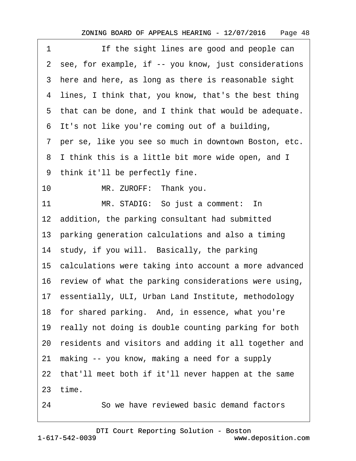| 1  | If the sight lines are good and people can               |
|----|----------------------------------------------------------|
|    | 2 see, for example, if -- you know, just considerations  |
|    | 3 here and here, as long as there is reasonable sight    |
|    | 4 lines, I think that, you know, that's the best thing   |
|    | 5 that can be done, and I think that would be adequate.  |
|    | 6 It's not like you're coming out of a building,         |
|    | 7 per se, like you see so much in downtown Boston, etc.  |
| 8  | I think this is a little bit more wide open, and I       |
|    | 9 think it'll be perfectly fine.                         |
| 10 | MR. ZUROFF: Thank you.                                   |
| 11 | MR. STADIG: So just a comment: In                        |
|    | 12 addition, the parking consultant had submitted        |
|    | 13 parking generation calculations and also a timing     |
|    | 14 study, if you will. Basically, the parking            |
|    | 15 calculations were taking into account a more advanced |
|    | 16 review of what the parking considerations were using, |
|    | 17 essentially, ULI, Urban Land Institute, methodology   |
|    | 18 for shared parking. And, in essence, what you're      |
|    | 19 really not doing is double counting parking for both  |
|    | 20 residents and visitors and adding it all together and |
| 21 | making -- you know, making a need for a supply           |
|    | 22 that'll meet both if it'll never happen at the same   |
|    | 23 time.                                                 |
| 24 | So we have reviewed basic demand factors                 |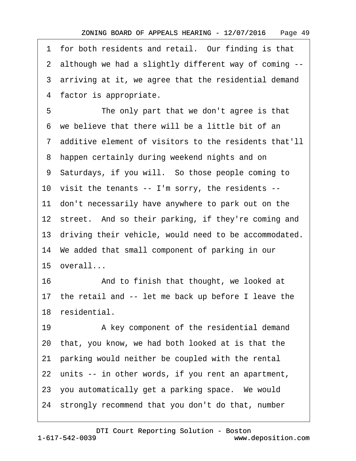1 for both residents and retail. Our finding is that ·2· although we had a slightly different way of coming -- 3 arriving at it, we agree that the residential demand 4 factor is appropriate. 5 The only part that we don't agree is that ·6· we believe that there will be a little bit of an ·7· additive element of visitors to the residents that'll 8 happen certainly during weekend nights and on ·9· Saturdays, if you will.· So those people coming to 10 visit the tenants -- I'm sorry, the residents --11 don't necessarily have anywhere to park out on the 12 street. And so their parking, if they're coming and 13 driving their vehicle, would need to be accommodated. 14· We added that small component of parking in our 15 overall... 16 • And to finish that thought, we looked at 17 the retail and -- let me back up before I leave the 18 residential. 19 • A key component of the residential demand 20· that, you know, we had both looked at is that the 21· parking would neither be coupled with the rental 22 units -- in other words, if you rent an apartment,

23 you automatically get a parking space. We would

24· strongly recommend that you don't do that, number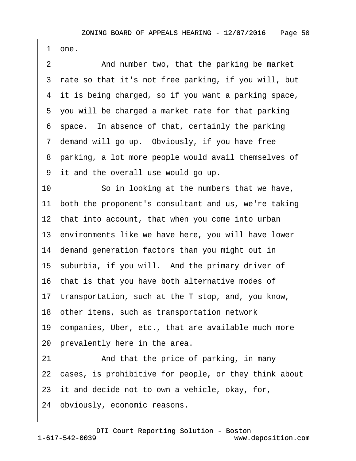·1· one.

2 And number two, that the parking be market 3 rate so that it's not free parking, if you will, but 4 it is being charged, so if you want a parking space, 5 you will be charged a market rate for that parking ·6· space.· In absence of that, certainly the parking 7 demand will go up. Obviously, if you have free 8 parking, a lot more people would avail themselves of ·9· it and the overall use would go up. 10 So in looking at the numbers that we have, 11 both the proponent's consultant and us, we're taking 12 that into account, that when you come into urban 13 environments like we have here, you will have lower 14· demand generation factors than you might out in 15 suburbia, if you will. And the primary driver of 16· that is that you have both alternative modes of 17 transportation, such at the T stop, and, you know, 18· other items, such as transportation network 19· companies, Uber, etc., that are available much more 20 prevalently here in the area. 21 • And that the price of parking, in many 22 cases, is prohibitive for people, or they think about 23 it and decide not to own a vehicle, okay, for, 24 obviously, economic reasons.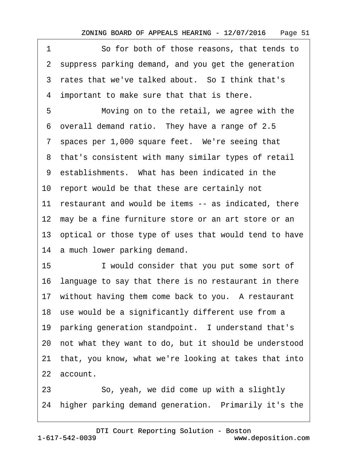1 **So for both of those reasons, that tends to** 2 suppress parking demand, and you get the generation 3 rates that we've talked about. So I think that's ·4· important to make sure that that is there. 5 Moving on to the retail, we agree with the ·6· overall demand ratio.· They have a range of 2.5 7 spaces per 1,000 square feet. We're seeing that 8 that's consistent with many similar types of retail 9 establishments. What has been indicated in the 10 report would be that these are certainly not 11 restaurant and would be items -- as indicated, there 12 may be a fine furniture store or an art store or an 13 optical or those type of uses that would tend to have 14 a much lower parking demand. 15 • I would consider that you put some sort of 16· language to say that there is no restaurant in there 17 without having them come back to you. A restaurant 18 use would be a significantly different use from a 19 parking generation standpoint. I understand that's 20· not what they want to do, but it should be understood 21· that, you know, what we're looking at takes that into 22 account. 23 So, yeah, we did come up with a slightly

24 higher parking demand generation. Primarily it's the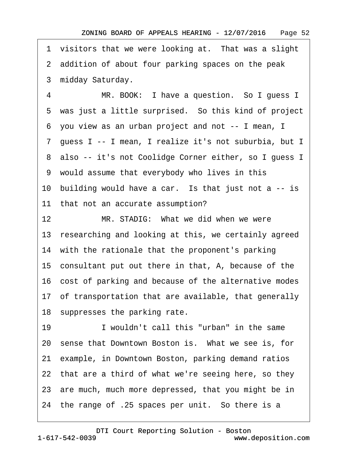1 visitors that we were looking at. That was a slight 2 addition of about four parking spaces on the peak 3 midday Saturday.

4 MR. BOOK: I have a question. So I guess I 5 was just a little surprised. So this kind of project ·6· you view as an urban project and not -- I mean, I ·7· guess I -- I mean, I realize it's not suburbia, but I 8 also -- it's not Coolidge Corner either, so I guess I ·9· would assume that everybody who lives in this 10 building would have a car. Is that just not a  $-$  is 11 that not an accurate assumption? 12 MR. STADIG: What we did when we were 13 researching and looking at this, we certainly agreed 14 with the rationale that the proponent's parking

15· consultant put out there in that, A, because of the

16· cost of parking and because of the alternative modes

17 of transportation that are available, that generally

18 suppresses the parking rate.

19 I wouldn't call this "urban" in the same 20 sense that Downtown Boston is. What we see is, for 21· example, in Downtown Boston, parking demand ratios 22 that are a third of what we're seeing here, so they 23 are much, much more depressed, that you might be in 24 the range of .25 spaces per unit. So there is a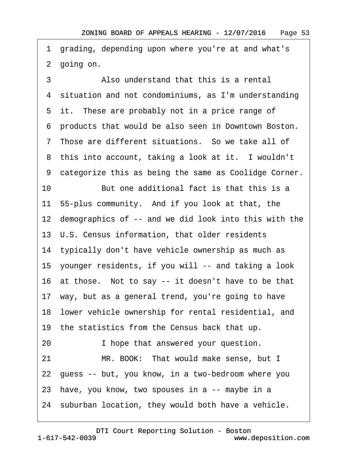·1· grading, depending upon where you're at and what's 2 going on.

3 • • Also understand that this is a rental ·4· situation and not condominiums, as I'm understanding 5 it. These are probably not in a price range of ·6· products that would be also seen in Downtown Boston. ·7· Those are different situations.· So we take all of 8 this into account, taking a look at it. I wouldn't 9 categorize this as being the same as Coolidge Corner. 10 But one additional fact is that this is a 11· 55-plus community.· And if you look at that, the 12 demographics of -- and we did look into this with the 13· U.S. Census information, that older residents 14 typically don't have vehicle ownership as much as 15· younger residents, if you will -- and taking a look 16 at those. Not to say -- it doesn't have to be that 17· way, but as a general trend, you're going to have 18· lower vehicle ownership for rental residential, and 19 the statistics from the Census back that up. 20 • I hope that answered your question. 21 MR. BOOK: That would make sense, but I 22· guess -- but, you know, in a two-bedroom where you 23 have, you know, two spouses in a -- maybe in a 24 suburban location, they would both have a vehicle.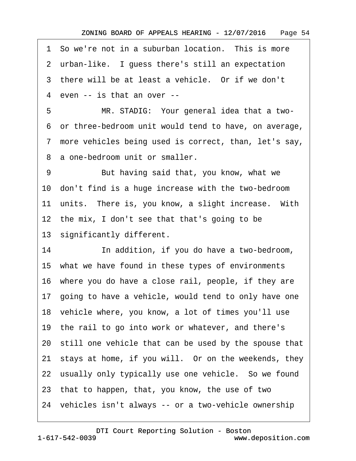1 So we're not in a suburban location. This is more

2 urban-like. I guess there's still an expectation

3 there will be at least a vehicle. Or if we don't

4 even -- is that an over --

5 MR. STADIG: Your general idea that a two-·6· or three-bedroom unit would tend to have, on average,

·7· more vehicles being used is correct, than, let's say,

8 a one-bedroom unit or smaller.

9 But having said that, you know, what we 10· don't find is a huge increase with the two-bedroom 11 units. There is, you know, a slight increase. With 12 the mix, I don't see that that's going to be 13 significantly different. 14 **In addition, if you do have a two-bedroom,** 15· what we have found in these types of environments 16 where you do have a close rail, people, if they are 17· going to have a vehicle, would tend to only have one 18 vehicle where, you know, a lot of times you'll use 19 the rail to go into work or whatever, and there's 20· still one vehicle that can be used by the spouse that 21· stays at home, if you will.· Or on the weekends, they 22 usually only typically use one vehicle. So we found 23· that to happen, that, you know, the use of two 24 vehicles isn't always -- or a two-vehicle ownership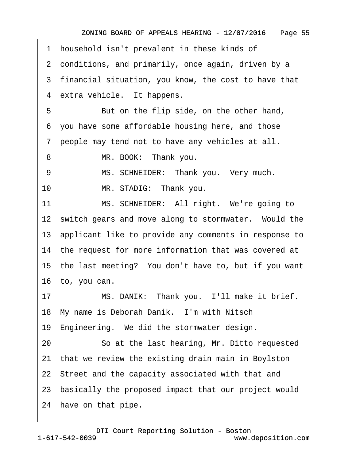|    | 1 household isn't prevalent in these kinds of            |
|----|----------------------------------------------------------|
|    | 2 conditions, and primarily, once again, driven by a     |
|    | 3 financial situation, you know, the cost to have that   |
|    | 4 extra vehicle. It happens.                             |
| 5  | But on the flip side, on the other hand,                 |
|    | 6 you have some affordable housing here, and those       |
|    | 7 people may tend not to have any vehicles at all.       |
| 8  | MR. BOOK: Thank you.                                     |
| 9  | MS. SCHNEIDER: Thank you. Very much.                     |
| 10 | MR. STADIG: Thank you.                                   |
| 11 | MS. SCHNEIDER: All right. We're going to                 |
|    | 12 switch gears and move along to stormwater. Would the  |
|    | 13 applicant like to provide any comments in response to |
|    | 14 the request for more information that was covered at  |
|    | 15 the last meeting? You don't have to, but if you want  |
|    | 16 to, you can.                                          |
| 17 | MS. DANIK: Thank you. I'll make it brief.                |
|    | 18 My name is Deborah Danik. I'm with Nitsch             |
|    | 19 Engineering. We did the stormwater design.            |
| 20 | So at the last hearing, Mr. Ditto requested              |
|    | 21 that we review the existing drain main in Boylston    |
|    | 22 Street and the capacity associated with that and      |
|    | 23 basically the proposed impact that our project would  |
|    | 24 have on that pipe.                                    |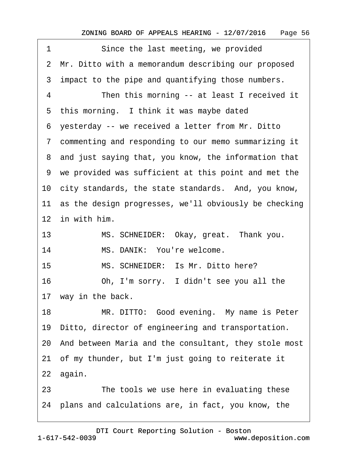| Since the last meeting, we provided<br>1                 |
|----------------------------------------------------------|
| 2 Mr. Ditto with a memorandum describing our proposed    |
| 3 impact to the pipe and quantifying those numbers.      |
| 4<br>Then this morning -- at least I received it         |
| 5 this morning. I think it was maybe dated               |
| 6 yesterday -- we received a letter from Mr. Ditto       |
| 7 commenting and responding to our memo summarizing it   |
| 8 and just saying that, you know, the information that   |
| 9 we provided was sufficient at this point and met the   |
| 10 city standards, the state standards. And, you know,   |
| 11 as the design progresses, we'll obviously be checking |
| 12 in with him.                                          |
| MS. SCHNEIDER: Okay, great. Thank you.<br>13             |
| 14<br>MS. DANIK: You're welcome.                         |
| MS. SCHNEIDER: Is Mr. Ditto here?<br>15                  |
| 16<br>Oh, I'm sorry. I didn't see you all the            |
| 17 way in the back.                                      |
| MR. DITTO: Good evening. My name is Peter<br>18          |
| 19 Ditto, director of engineering and transportation.    |
| 20 And between Maria and the consultant, they stole most |
| 21 of my thunder, but I'm just going to reiterate it     |
| 22 again.                                                |
| The tools we use here in evaluating these<br>23          |
| 24 plans and calculations are, in fact, you know, the    |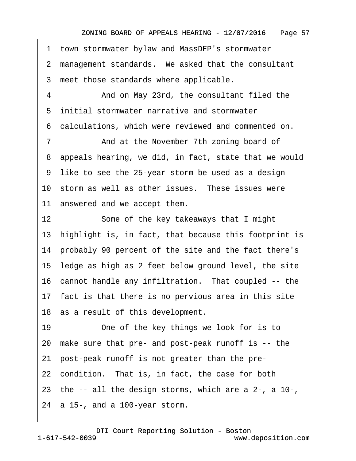·1· town stormwater bylaw and MassDEP's stormwater 2 management standards. We asked that the consultant 3 meet those standards where applicable. 4 • • And on May 23rd, the consultant filed the ·5· initial stormwater narrative and stormwater ·6· calculations, which were reviewed and commented on. 7 **2008** And at the November 7th zoning board of ·8· appeals hearing, we did, in fact, state that we would ·9· like to see the 25-year storm be used as a design 10 storm as well as other issues. These issues were 11 answered and we accept them. 12 Some of the key takeaways that I might 13 highlight is, in fact, that because this footprint is 14 probably 90 percent of the site and the fact there's 15· ledge as high as 2 feet below ground level, the site 16 cannot handle any infiltration. That coupled -- the 17 fact is that there is no pervious area in this site 18 as a result of this development. 19 One of the key things we look for is to 20· make sure that pre- and post-peak runoff is -- the 21· post-peak runoff is not greater than the pre-22 condition. That is, in fact, the case for both 23 the  $-$  all the design storms, which are a 2-, a 10-, 24  $\alpha$  15-, and a 100-year storm.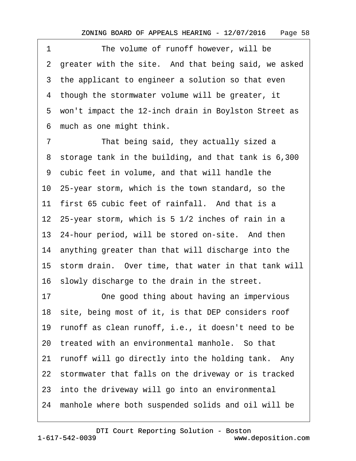1 The volume of runoff however, will be 2 greater with the site. And that being said, we asked 3 the applicant to engineer a solution so that even 4 though the stormwater volume will be greater, it 5 won't impact the 12-inch drain in Boylston Street as ·6· much as one might think.

7 That being said, they actually sized a 8 storage tank in the building, and that tank is 6,300 9 cubic feet in volume, and that will handle the 10· 25-year storm, which is the town standard, so the 11 first 65 cubic feet of rainfall. And that is a 12 25-year storm, which is 5 1/2 inches of rain in a 13 24-hour period, will be stored on-site. And then 14· anything greater than that will discharge into the 15 storm drain. Over time, that water in that tank will 16· slowly discharge to the drain in the street.

17 One good thing about having an impervious 18 site, being most of it, is that DEP considers roof 19· runoff as clean runoff, i.e., it doesn't need to be 20 treated with an environmental manhole. So that 21 runoff will go directly into the holding tank. Any 22 stormwater that falls on the driveway or is tracked 23 into the driveway will go into an environmental 24 manhole where both suspended solids and oil will be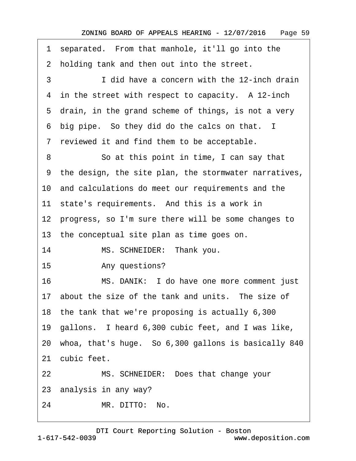| 1              | separated. From that manhole, it'll go into the         |
|----------------|---------------------------------------------------------|
|                | 2 holding tank and then out into the street.            |
| 3              | I did have a concern with the 12-inch drain             |
|                | 4 in the street with respect to capacity. A 12-inch     |
|                | 5 drain, in the grand scheme of things, is not a very   |
|                | 6 big pipe. So they did do the calcs on that. I         |
| $7\phantom{.}$ | reviewed it and find them to be acceptable.             |
| 8              | So at this point in time, I can say that                |
|                | 9 the design, the site plan, the stormwater narratives, |
|                | 10 and calculations do meet our requirements and the    |
|                | 11 state's requirements. And this is a work in          |
|                | 12 progress, so I'm sure there will be some changes to  |
|                | 13 the conceptual site plan as time goes on.            |
| 14             | MS. SCHNEIDER: Thank you.                               |
| 15             | Any questions?                                          |
| 16             | MS. DANIK: I do have one more comment just              |
|                | 17 about the size of the tank and units. The size of    |
|                | 18 the tank that we're proposing is actually 6,300      |
|                | 19 gallons. I heard 6,300 cubic feet, and I was like,   |
|                | 20 whoa, that's huge. So 6,300 gallons is basically 840 |
|                | 21 cubic feet.                                          |
| 22             | MS. SCHNEIDER: Does that change your                    |
|                | 23 analysis in any way?                                 |
| 24             | MR. DITTO: No.                                          |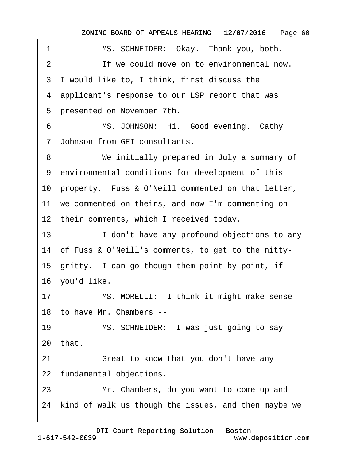| 1  | MS. SCHNEIDER: Okay. Thank you, both.                   |
|----|---------------------------------------------------------|
| 2  | If we could move on to environmental now.               |
|    | 3 I would like to, I think, first discuss the           |
|    | 4 applicant's response to our LSP report that was       |
|    | 5 presented on November 7th.                            |
| 6  | MS. JOHNSON: Hi. Good evening. Cathy                    |
|    | 7 Johnson from GEI consultants.                         |
| 8  | We initially prepared in July a summary of              |
|    | 9 environmental conditions for development of this      |
|    | 10 property. Fuss & O'Neill commented on that letter,   |
|    | 11 we commented on theirs, and now I'm commenting on    |
|    | 12 their comments, which I received today.              |
| 13 | I don't have any profound objections to any             |
|    | 14 of Fuss & O'Neill's comments, to get to the nitty-   |
|    | 15 gritty. I can go though them point by point, if      |
|    | 16 you'd like.                                          |
| 17 | MS. MORELLI: I think it might make sense                |
|    | 18 to have Mr. Chambers --                              |
| 19 | MS. SCHNEIDER: I was just going to say                  |
|    | 20 that.                                                |
| 21 | Great to know that you don't have any                   |
|    | 22 fundamental objections.                              |
| 23 | Mr. Chambers, do you want to come up and                |
|    | 24 kind of walk us though the issues, and then maybe we |
|    |                                                         |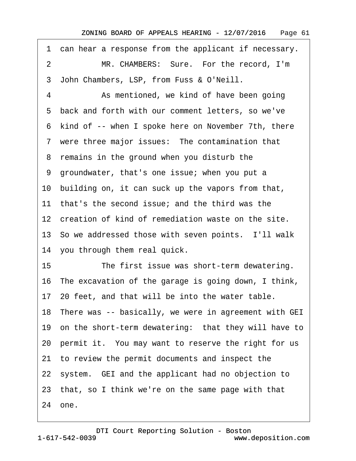·1· can hear a response from the applicant if necessary. 2 MR. CHAMBERS: Sure. For the record, I'm ·3· John Chambers, LSP, from Fuss & O'Neill. 4 As mentioned, we kind of have been going ·5· back and forth with our comment letters, so we've 6 kind of -- when I spoke here on November 7th, there 7 were three major issues: The contamination that 8 remains in the ground when you disturb the ·9· groundwater, that's one issue; when you put a 10· building on, it can suck up the vapors from that, 11 that's the second issue; and the third was the 12 creation of kind of remediation waste on the site. 13 So we addressed those with seven points. I'll walk 14 you through them real quick. 15 The first issue was short-term dewatering. 16· The excavation of the garage is going down, I think, 17· 20 feet, and that will be into the water table. 18 There was -- basically, we were in agreement with GEI 19 on the short-term dewatering: that they will have to 20 permit it. You may want to reserve the right for us 21· to review the permit documents and inspect the 22 system. GEI and the applicant had no objection to 23· that, so I think we're on the same page with that 24· one.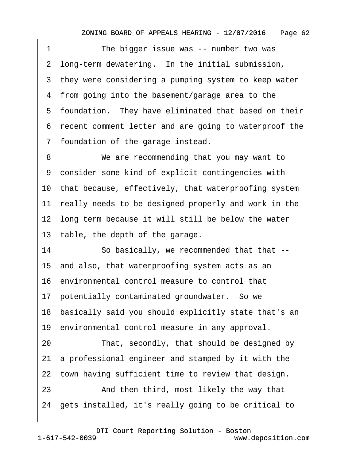1 The bigger issue was -- number two was 2 long-term dewatering. In the initial submission, 3 they were considering a pumping system to keep water 4 from going into the basement/garage area to the 5 foundation. They have eliminated that based on their ·6· recent comment letter and are going to waterproof the ·7· foundation of the garage instead.

8 We are recommending that you may want to 9 consider some kind of explicit contingencies with 10 that because, effectively, that waterproofing system 11 really needs to be designed properly and work in the 12 long term because it will still be below the water 13 table, the depth of the garage.

14 So basically, we recommended that that --15· and also, that waterproofing system acts as an 16· environmental control measure to control that 17 potentially contaminated groundwater. So we 18· basically said you should explicitly state that's an 19 environmental control measure in any approval. 20 That, secondly, that should be designed by 21· a professional engineer and stamped by it with the 22 town having sufficient time to review that design. 23 • And then third, most likely the way that 24· gets installed, it's really going to be critical to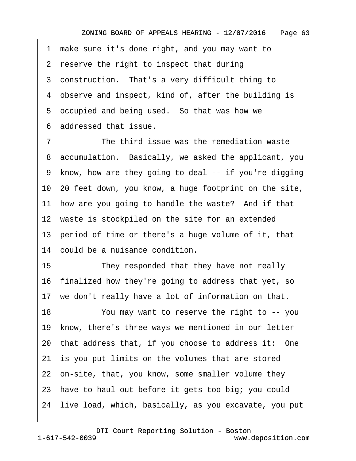·1· make sure it's done right, and you may want to 2 reserve the right to inspect that during 3 construction. That's a very difficult thing to 4 observe and inspect, kind of, after the building is 5 occupied and being used. So that was how we ·6· addressed that issue.

7 The third issue was the remediation waste ·8· accumulation.· Basically, we asked the applicant, you ·9· know, how are they going to deal -- if you're digging 10· 20 feet down, you know, a huge footprint on the site, 11 how are you going to handle the waste? And if that 12 waste is stockpiled on the site for an extended 13 period of time or there's a huge volume of it, that 14 could be a nuisance condition.

15 They responded that they have not really 16· finalized how they're going to address that yet, so 17 we don't really have a lot of information on that.

18 You may want to reserve the right to -- you 19 know, there's three ways we mentioned in our letter 20 that address that, if you choose to address it: One 21 is you put limits on the volumes that are stored 22 on-site, that, you know, some smaller volume they 23· have to haul out before it gets too big; you could 24· live load, which, basically, as you excavate, you put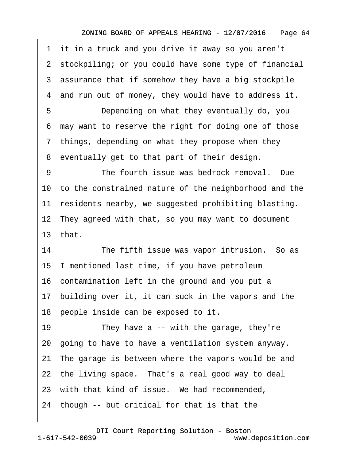·1· it in a truck and you drive it away so you aren't 2 stockpiling; or you could have some type of financial 3 assurance that if somehow they have a big stockpile 4 and run out of money, they would have to address it. 5 **Depending on what they eventually do, you** ·6· may want to reserve the right for doing one of those 7 things, depending on what they propose when they 8 eventually get to that part of their design. 9 The fourth issue was bedrock removal. Due 10· to the constrained nature of the neighborhood and the 11 residents nearby, we suggested prohibiting blasting. 12 They agreed with that, so you may want to document 13 $that$ 14 The fifth issue was vapor intrusion. So as 15· I mentioned last time, if you have petroleum 16· contamination left in the ground and you put a 17 building over it, it can suck in the vapors and the 18 people inside can be exposed to it. 19 They have a  $\cdot$ - with the garage, they're 20· going to have to have a ventilation system anyway. 21 The garage is between where the vapors would be and 22 the living space. That's a real good way to deal 23 with that kind of issue. We had recommended, 24· though -- but critical for that is that the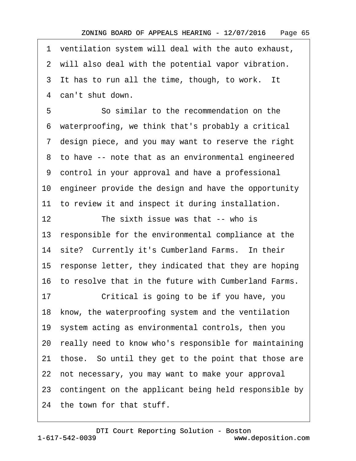·1· ventilation system will deal with the auto exhaust, 2 will also deal with the potential vapor vibration. 3 It has to run all the time, though, to work. It 4 can't shut down. 5 **5** • So similar to the recommendation on the

·6· waterproofing, we think that's probably a critical ·7· design piece, and you may want to reserve the right 8 to have -- note that as an environmental engineered ·9· control in your approval and have a professional 10· engineer provide the design and have the opportunity 11 to review it and inspect it during installation. 12 The sixth issue was that -- who is 13 responsible for the environmental compliance at the 14 site? Currently it's Cumberland Farms. In their 15 response letter, they indicated that they are hoping 16· to resolve that in the future with Cumberland Farms. 17 Critical is going to be if you have, you 18· know, the waterproofing system and the ventilation 19· system acting as environmental controls, then you 20 really need to know who's responsible for maintaining 21 those. So until they get to the point that those are 22 not necessary, you may want to make your approval 23 contingent on the applicant being held responsible by 24 the town for that stuff.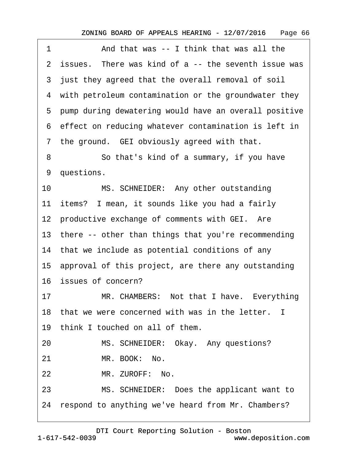| 1  | And that was -- I think that was all the                |
|----|---------------------------------------------------------|
|    | 2 issues. There was kind of a -- the seventh issue was  |
|    | 3 just they agreed that the overall removal of soil     |
|    | 4 with petroleum contamination or the groundwater they  |
|    | 5 pump during dewatering would have an overall positive |
|    | 6 effect on reducing whatever contamination is left in  |
|    | 7 the ground. GEI obviously agreed with that.           |
| 8  | So that's kind of a summary, if you have                |
|    | 9 questions.                                            |
| 10 | MS. SCHNEIDER: Any other outstanding                    |
|    | 11 items? I mean, it sounds like you had a fairly       |
|    | 12 productive exchange of comments with GEI. Are        |
|    | 13 there -- other than things that you're recommending  |
|    | 14 that we include as potential conditions of any       |
|    | 15 approval of this project, are there any outstanding  |
|    | 16 issues of concern?                                   |
| 17 | MR. CHAMBERS: Not that I have. Everything               |
|    | 18 that we were concerned with was in the letter. I     |
|    | 19 think I touched on all of them.                      |
| 20 | MS. SCHNEIDER: Okay. Any questions?                     |
| 21 | MR. BOOK: No.                                           |
| 22 | MR. ZUROFF: No.                                         |
| 23 | MS. SCHNEIDER: Does the applicant want to               |
|    | 24 respond to anything we've heard from Mr. Chambers?   |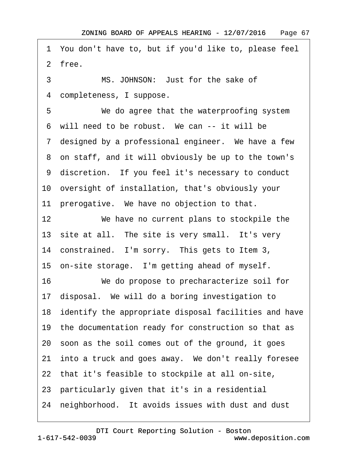·1· You don't have to, but if you'd like to, please feel 2 free.

3 MS. JOHNSON: Just for the sake of 4 completeness, I suppose.

5 We do agree that the waterproofing system 6 will need to be robust. We can -- it will be 7 designed by a professional engineer. We have a few ·8· on staff, and it will obviously be up to the town's ·9· discretion.· If you feel it's necessary to conduct 10· oversight of installation, that's obviously your 11 prerogative. We have no objection to that. 12 We have no current plans to stockpile the 13 site at all. The site is very small. It's very 14 constrained. I'm sorry. This gets to Item 3, 15 on-site storage. I'm getting ahead of myself. 16 We do propose to precharacterize soil for 17· disposal.· We will do a boring investigation to 18 identify the appropriate disposal facilities and have 19 the documentation ready for construction so that as 20· soon as the soil comes out of the ground, it goes 21 into a truck and goes away. We don't really foresee 22 that it's feasible to stockpile at all on-site, 23· particularly given that it's in a residential 24 neighborhood. It avoids issues with dust and dust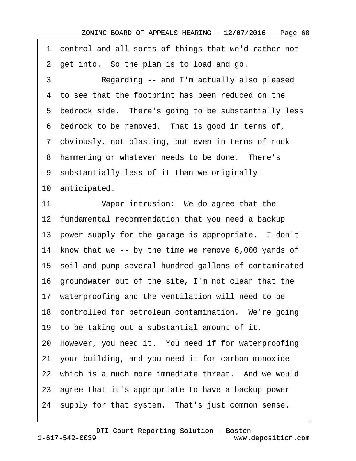·1· control and all sorts of things that we'd rather not 2 get into. So the plan is to load and go.

3 Regarding -- and I'm actually also pleased 4 to see that the footprint has been reduced on the 5 bedrock side. There's going to be substantially less 6 bedrock to be removed. That is good in terms of, ·7· obviously, not blasting, but even in terms of rock 8 hammering or whatever needs to be done. There's ·9· substantially less of it than we originally 10 anticipated. 11 Vapor intrusion: We do agree that the 12 fundamental recommendation that you need a backup 13 power supply for the garage is appropriate. I don't 14 know that we -- by the time we remove 6,000 yards of

15· soil and pump several hundred gallons of contaminated

16· groundwater out of the site, I'm not clear that the

17 waterproofing and the ventilation will need to be

18 controlled for petroleum contamination. We're going

19· to be taking out a substantial amount of it.

20· However, you need it.· You need if for waterproofing

21· your building, and you need it for carbon monoxide

22 which is a much more immediate threat. And we would

23· agree that it's appropriate to have a backup power

24 supply for that system. That's just common sense.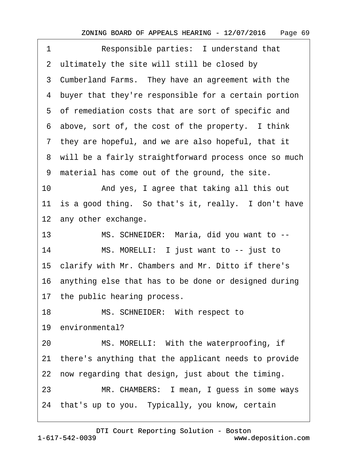| 1  | Responsible parties: I understand that                  |
|----|---------------------------------------------------------|
|    | 2 ultimately the site will still be closed by           |
|    | 3 Cumberland Farms. They have an agreement with the     |
|    | 4 buyer that they're responsible for a certain portion  |
|    | 5 of remediation costs that are sort of specific and    |
|    | 6 above, sort of, the cost of the property. I think     |
|    | 7 they are hopeful, and we are also hopeful, that it    |
|    | 8 will be a fairly straightforward process once so much |
|    | 9 material has come out of the ground, the site.        |
| 10 | And yes, I agree that taking all this out               |
|    | 11 is a good thing. So that's it, really. I don't have  |
|    | 12 any other exchange.                                  |
| 13 | MS. SCHNEIDER: Maria, did you want to --                |
| 14 | MS. MORELLI: I just want to -- just to                  |
|    | 15 clarify with Mr. Chambers and Mr. Ditto if there's   |
|    | 16 anything else that has to be done or designed during |
|    | 17 the public hearing process.                          |
| 18 | MS. SCHNEIDER: With respect to                          |
|    | 19 environmental?                                       |
| 20 | MS. MORELLI: With the waterproofing, if                 |
|    | 21 there's anything that the applicant needs to provide |
|    | 22 now regarding that design, just about the timing.    |
| 23 | MR. CHAMBERS: I mean, I guess in some ways              |
|    | 24 that's up to you. Typically, you know, certain       |
|    |                                                         |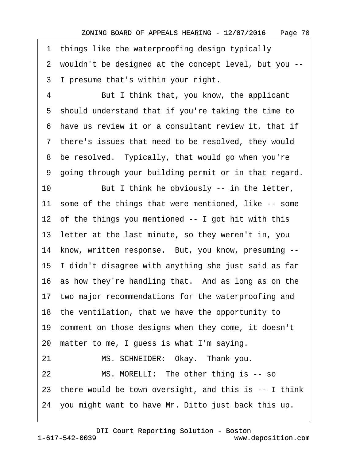1 things like the waterproofing design typically

·2· wouldn't be designed at the concept level, but you --

3 I presume that's within your right.

4 But I think that, you know, the applicant 5 should understand that if you're taking the time to ·6· have us review it or a consultant review it, that if 7 there's issues that need to be resolved, they would 8 be resolved. Typically, that would go when you're ·9· going through your building permit or in that regard. 10 But I think he obviously -- in the letter, 11 some of the things that were mentioned, like -- some 12 of the things you mentioned -- I got hit with this 13 letter at the last minute, so they weren't in, you 14 know, written response. But, you know, presuming --15· I didn't disagree with anything she just said as far 16 as how they're handling that. And as long as on the 17 two major recommendations for the waterproofing and 18 the ventilation, that we have the opportunity to 19 comment on those designs when they come, it doesn't 20· matter to me, I guess is what I'm saying. 21 MS. SCHNEIDER: Okay. Thank you. 22 MS. MORELLI: The other thing is -- so 23· there would be town oversight, and this is -- I think 24· you might want to have Mr. Ditto just back this up.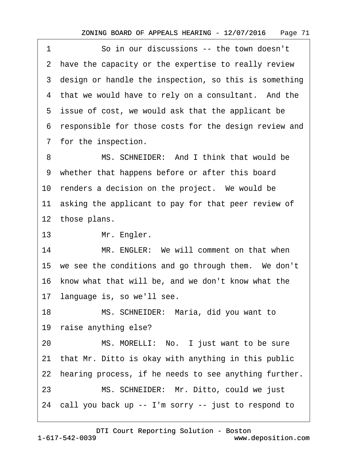1 **·** · So in our discussions -- the town doesn't 2 have the capacity or the expertise to really review 3 design or handle the inspection, so this is something 4 that we would have to rely on a consultant. And the 5 issue of cost, we would ask that the applicant be ·6· responsible for those costs for the design review and 7 for the inspection.

8 MS. SCHNEIDER: And I think that would be 9 whether that happens before or after this board 10 renders a decision on the project. We would be 11 asking the applicant to pay for that peer review of 12 those plans.

13 Mr. Engler.

14 MR. ENGLER: We will comment on that when 15 we see the conditions and go through them. We don't 16 know what that will be, and we don't know what the 17· language is, so we'll see.

18 MS. SCHNEIDER: Maria, did you want to

19 raise anything else?

20 MS. MORELLI: No. I just want to be sure

21 that Mr. Ditto is okay with anything in this public

22 hearing process, if he needs to see anything further.

23 MS. SCHNEIDER: Mr. Ditto, could we just

24· call you back up -- I'm sorry -- just to respond to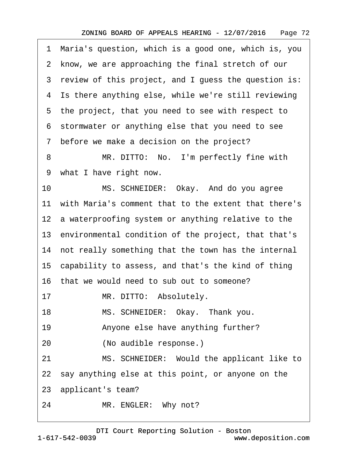·1· Maria's question, which is a good one, which is, you 2 know, we are approaching the final stretch of our 3 review of this project, and I guess the question is: 4 Is there anything else, while we're still reviewing 5 the project, that you need to see with respect to ·6· stormwater or anything else that you need to see 7 before we make a decision on the project? 8 MR. DITTO: No. I'm perfectly fine with ·9· what I have right now. 10 MS. SCHNEIDER: Okay. And do you agree 11 with Maria's comment that to the extent that there's 12 a waterproofing system or anything relative to the 13· environmental condition of the project, that that's 14 not really something that the town has the internal 15· capability to assess, and that's the kind of thing

16· that we would need to sub out to someone?

17 MR. DITTO: Absolutely.

18 MS. SCHNEIDER: Okay. Thank you.

19 • Anyone else have anything further?

20 (No audible response.)

21 MS. SCHNEIDER: Would the applicant like to

22 say anything else at this point, or anyone on the

23· applicant's team?

24 MR. ENGLER: Why not?

1-617-542-0039 [DTI Court Reporting Solution - Boston](http://www.deposition.com) www.deposition.com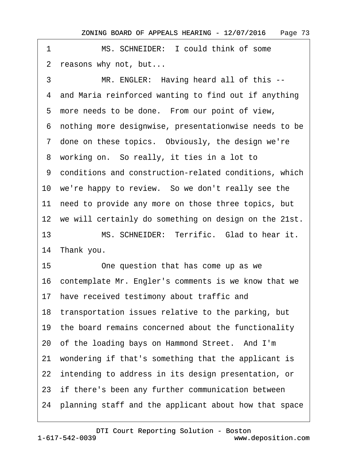<span id="page-72-0"></span>1 MS. SCHNEIDER: I could think of some 2 reasons why not, but... 3 MR. ENGLER: Having heard all of this --4 and Maria reinforced wanting to find out if anything 5 more needs to be done. From our point of view, ·6· nothing more designwise, presentationwise needs to be 7 done on these topics. Obviously, the design we're 8 working on. So really, it ties in a lot to ·9· conditions and construction-related conditions, which 10 we're happy to review. So we don't really see the 11 need to provide any more on those three topics, but 12 we will certainly do something on design on the 21st. 13 MS. SCHNEIDER: Terrific. Glad to hear it. 14 Thank you. 15 One question that has come up as we 16· contemplate Mr. Engler's comments is we know that we 17 have received testimony about traffic and 18 transportation issues relative to the parking, but 19 the board remains concerned about the functionality 20 of the loading bays on Hammond Street. And I'm 21· wondering if that's something that the applicant is 22 intending to address in its design presentation, or 23 if there's been any further communication between 24· planning staff and the applicant about how that space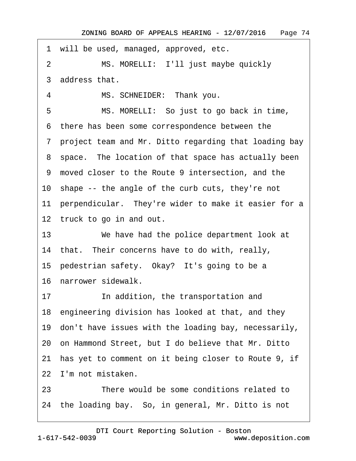<span id="page-73-0"></span>1 will be used, managed, approved, etc. 2 MS. MORELLI: I'll just maybe quickly 3 address that. 4 MS. SCHNEIDER: Thank you. 5 MS. MORELLI: So just to go back in time, 6 there has been some correspondence between the ·7· project team and Mr. Ditto regarding that loading bay 8 space. The location of that space has actually been ·9· moved closer to the Route 9 intersection, and the 10· shape -- the angle of the curb cuts, they're not 11 perpendicular. They're wider to make it easier for a 12 truck to go in and out. 13 We have had the police department look at 14 that. Their concerns have to do with, really, 15 pedestrian safety. Okay? It's going to be a 16 narrower sidewalk. 17 **In addition, the transportation and** 18· engineering division has looked at that, and they 19· don't have issues with the loading bay, necessarily, 20· on Hammond Street, but I do believe that Mr. Ditto 21 has yet to comment on it being closer to Route 9, if 22 I'm not mistaken. 23 **• There would be some conditions related to** 

24 the loading bay. So, in general, Mr. Ditto is not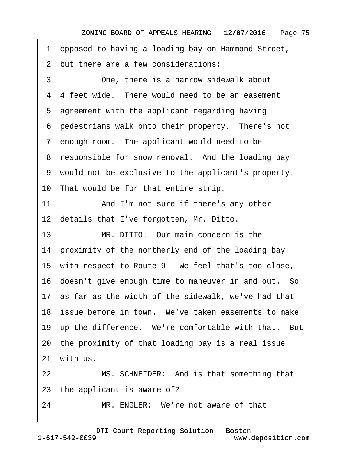- <span id="page-74-0"></span>·1· opposed to having a loading bay on Hammond Street,
- 2 but there are a few considerations:

3 **3** One, there is a narrow sidewalk about 4 4 feet wide. There would need to be an easement 5 agreement with the applicant regarding having 6 pedestrians walk onto their property. There's not 7 enough room. The applicant would need to be 8 responsible for snow removal. And the loading bay ·9· would not be exclusive to the applicant's property. 10 That would be for that entire strip. 11 And I'm not sure if there's any other 12 details that I've forgotten, Mr. Ditto. 13 MR. DITTO: Our main concern is the 14 proximity of the northerly end of the loading bay 15 with respect to Route 9. We feel that's too close, 16 doesn't give enough time to maneuver in and out. So 17· as far as the width of the sidewalk, we've had that 18 issue before in town. We've taken easements to make 19 up the difference. We're comfortable with that. But 20· the proximity of that loading bay is a real issue 21 with us. 22 MS. SCHNEIDER: And is that something that 23 the applicant is aware of? 24 MR. ENGLER: We're not aware of that.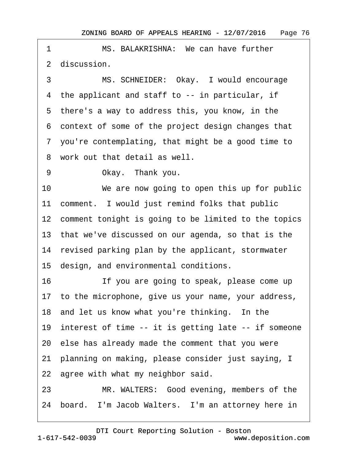<span id="page-75-0"></span>1 MS. BALAKRISHNA: We can have further 2 discussion. 3 MS. SCHNEIDER: Okay. I would encourage 4 the applicant and staff to -- in particular, if 5 there's a way to address this, you know, in the ·6· context of some of the project design changes that ·7· you're contemplating, that might be a good time to 8 work out that detail as well. 9 Okay. Thank you. 10 We are now going to open this up for public 11 comment. I would just remind folks that public 12 comment tonight is going to be limited to the topics 13· that we've discussed on our agenda, so that is the 14 revised parking plan by the applicant, stormwater 15· design, and environmental conditions. 16 If you are going to speak, please come up 17 to the microphone, give us your name, your address, 18 and let us know what you're thinking. In the 19 interest of time -- it is getting late -- if someone 20· else has already made the comment that you were 21· planning on making, please consider just saying, I 22 agree with what my neighbor said. 23 MR. WALTERS: Good evening, members of the 24 board. I'm Jacob Walters. I'm an attorney here in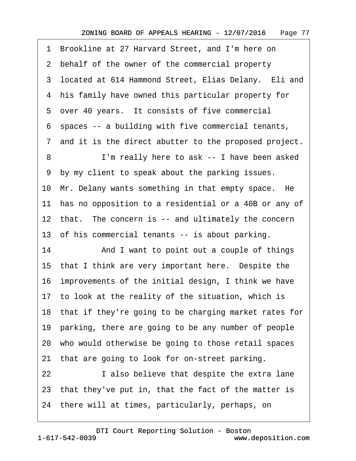<span id="page-76-0"></span>

| 1  | Brookline at 27 Harvard Street, and I'm here on          |  |  |  |  |
|----|----------------------------------------------------------|--|--|--|--|
|    | 2 behalf of the owner of the commercial property         |  |  |  |  |
|    | 3 located at 614 Hammond Street, Elias Delany. Eli and   |  |  |  |  |
| 4  | his family have owned this particular property for       |  |  |  |  |
|    | 5 over 40 years. It consists of five commercial          |  |  |  |  |
|    | 6 spaces -- a building with five commercial tenants,     |  |  |  |  |
|    | 7 and it is the direct abutter to the proposed project.  |  |  |  |  |
| 8  | I'm really here to ask -- I have been asked              |  |  |  |  |
| 9  | by my client to speak about the parking issues.          |  |  |  |  |
|    | 10 Mr. Delany wants something in that empty space. He    |  |  |  |  |
|    | 11 has no opposition to a residential or a 40B or any of |  |  |  |  |
|    | 12 that. The concern is -- and ultimately the concern    |  |  |  |  |
|    | 13 of his commercial tenants -- is about parking.        |  |  |  |  |
| 14 | And I want to point out a couple of things               |  |  |  |  |
|    | 15 that I think are very important here. Despite the     |  |  |  |  |
|    | 16 improvements of the initial design, I think we have   |  |  |  |  |
|    | 17 to look at the reality of the situation, which is     |  |  |  |  |
|    | 18 that if they're going to be charging market rates for |  |  |  |  |
|    | 19 parking, there are going to be any number of people   |  |  |  |  |
|    | 20 who would otherwise be going to those retail spaces   |  |  |  |  |
| 21 | that are going to look for on-street parking.            |  |  |  |  |
| 22 | I also believe that despite the extra lane               |  |  |  |  |
|    | 23 that they've put in, that the fact of the matter is   |  |  |  |  |
|    | 24 there will at times, particularly, perhaps, on        |  |  |  |  |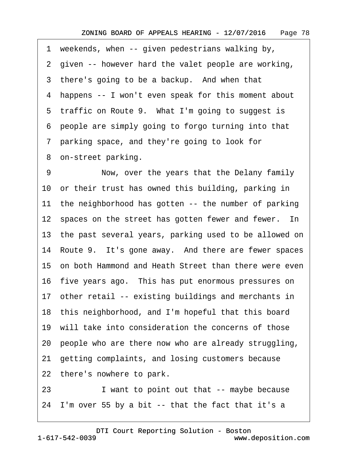<span id="page-77-0"></span>1 weekends, when -- given pedestrians walking by, 2 given -- however hard the valet people are working, 3 there's going to be a backup. And when that ·4· happens -- I won't even speak for this moment about 5 traffic on Route 9. What I'm going to suggest is ·6· people are simply going to forgo turning into that ·7· parking space, and they're going to look for 8 on-street parking. 9 Now, over the years that the Delany family 10 or their trust has owned this building, parking in

11 the neighborhood has gotten -- the number of parking

12 spaces on the street has gotten fewer and fewer. In

13 the past several years, parking used to be allowed on

14 Route 9. It's gone away. And there are fewer spaces

15 on both Hammond and Heath Street than there were even

16 five years ago. This has put enormous pressures on

17 other retail -- existing buildings and merchants in

18· this neighborhood, and I'm hopeful that this board

19· will take into consideration the concerns of those

20· people who are there now who are already struggling,

21· getting complaints, and losing customers because

22 there's nowhere to park.

23 I want to point out that -- maybe because

24· I'm over 55 by a bit -- that the fact that it's a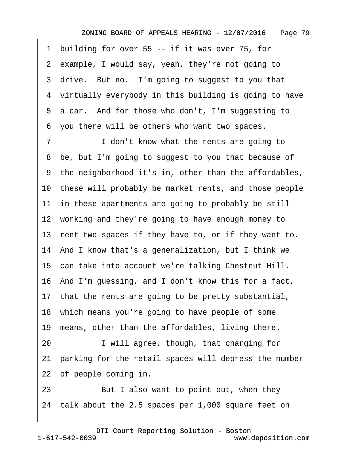<span id="page-78-0"></span>1 building for over 55 -- if it was over 75, for 2 example, I would say, yeah, they're not going to 3 drive. But no. I'm going to suggest to you that 4 virtually everybody in this building is going to have 5 a car. And for those who don't, I'm suggesting to ·6· you there will be others who want two spaces. 7 I don't know what the rents are going to 8 be, but I'm going to suggest to you that because of ·9· the neighborhood it's in, other than the affordables, 10 these will probably be market rents, and those people 11 in these apartments are going to probably be still 12 working and they're going to have enough money to 13 rent two spaces if they have to, or if they want to. 14· And I know that's a generalization, but I think we 15· can take into account we're talking Chestnut Hill. 16 And I'm guessing, and I don't know this for a fact, 17 that the rents are going to be pretty substantial, 18 which means you're going to have people of some 19 means, other than the affordables, living there. 20 I will agree, though, that charging for 21 parking for the retail spaces will depress the number 22 of people coming in. 23 But I also want to point out, when they 24· talk about the 2.5 spaces per 1,000 square feet on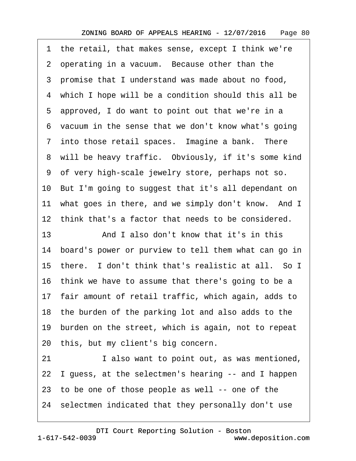<span id="page-79-0"></span>·1· the retail, that makes sense, except I think we're 2 operating in a vacuum. Because other than the ·3· promise that I understand was made about no food, 4 which I hope will be a condition should this all be 5 approved, I do want to point out that we're in a 6 vacuum in the sense that we don't know what's going 7 into those retail spaces. Imagine a bank. There 8 will be heavy traffic. Obviously, if it's some kind ·9· of very high-scale jewelry store, perhaps not so. 10· But I'm going to suggest that it's all dependant on 11 what goes in there, and we simply don't know. And I 12· think that's a factor that needs to be considered. 13· · · · · ·And I also don't know that it's in this 14· board's power or purview to tell them what can go in 15 there. I don't think that's realistic at all. So I 16 think we have to assume that there's going to be a 17 fair amount of retail traffic, which again, adds to 18· the burden of the parking lot and also adds to the 19· burden on the street, which is again, not to repeat 20 this, but my client's big concern. 21 also want to point out, as was mentioned, 22 I guess, at the selectmen's hearing -- and I happen 23 to be one of those people as well -- one of the

24· selectmen indicated that they personally don't use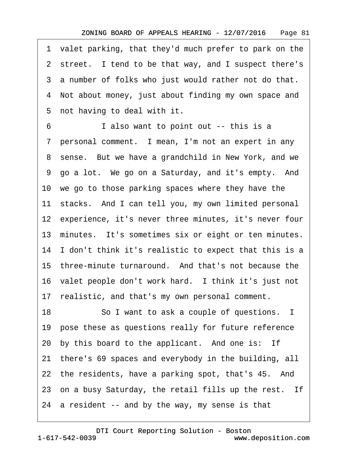<span id="page-80-0"></span>·1· valet parking, that they'd much prefer to park on the 2 street. I tend to be that way, and I suspect there's 3 a number of folks who just would rather not do that. 4 Not about money, just about finding my own space and 5 not having to deal with it.

6 **I** also want to point out -- this is a 7 personal comment. I mean, I'm not an expert in any 8 sense. But we have a grandchild in New York, and we 9 go a lot. We go on a Saturday, and it's empty. And 10· we go to those parking spaces where they have the 11 stacks. And I can tell you, my own limited personal 12 experience, it's never three minutes, it's never four 13 minutes. It's sometimes six or eight or ten minutes. 14 I don't think it's realistic to expect that this is a 15 three-minute turnaround. And that's not because the 16· valet people don't work hard.· I think it's just not 17 realistic, and that's my own personal comment. 18 So I want to ask a couple of questions. I 19 pose these as questions really for future reference 20 by this board to the applicant. And one is: If 21· there's 69 spaces and everybody in the building, all 22 the residents, have a parking spot, that's 45. And 23 on a busy Saturday, the retail fills up the rest. If 24 a resident -- and by the way, my sense is that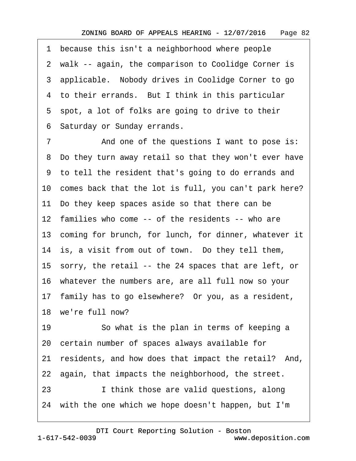<span id="page-81-0"></span>1 because this isn't a neighborhood where people 2 walk -- again, the comparison to Coolidge Corner is 3 applicable. Nobody drives in Coolidge Corner to go 4 to their errands. But I think in this particular 5 spot, a lot of folks are going to drive to their ·6· Saturday or Sunday errands.

7 And one of the questions I want to pose is: ·8· Do they turn away retail so that they won't ever have ·9· to tell the resident that's going to do errands and 10 comes back that the lot is full, you can't park here? 11· Do they keep spaces aside so that there can be 12 families who come -- of the residents -- who are 13 coming for brunch, for lunch, for dinner, whatever it 14 is, a visit from out of town. Do they tell them, 15· sorry, the retail -- the 24 spaces that are left, or 16· whatever the numbers are, are all full now so your 17· family has to go elsewhere?· Or you, as a resident, 18 we're full now? 19 So what is the plan in terms of keeping a 20· certain number of spaces always available for 21 residents, and how does that impact the retail? And, 22 again, that impacts the neighborhood, the street. 23 I think those are valid questions, along 24 with the one which we hope doesn't happen, but I'm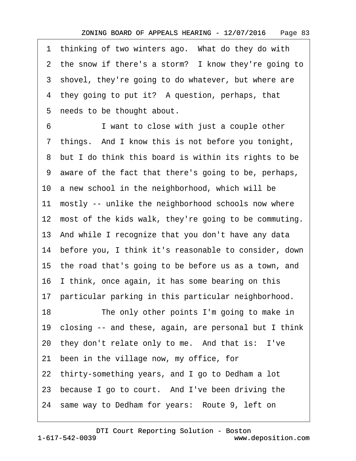<span id="page-82-0"></span>1 thinking of two winters ago. What do they do with 2 the snow if there's a storm? I know they're going to 3 shovel, they're going to do whatever, but where are 4 they going to put it? A question, perhaps, that 5 needs to be thought about.

6 **I** want to close with just a couple other 7 things. And I know this is not before you tonight, 8 but I do think this board is within its rights to be ·9· aware of the fact that there's going to be, perhaps, 10 a new school in the neighborhood, which will be 11 mostly -- unlike the neighborhood schools now where 12 most of the kids walk, they're going to be commuting. 13· And while I recognize that you don't have any data 14· before you, I think it's reasonable to consider, down 15· the road that's going to be before us as a town, and 16· I think, once again, it has some bearing on this 17 particular parking in this particular neighborhood. 18 The only other points I'm going to make in 19· closing -- and these, again, are personal but I think 20 they don't relate only to me. And that is: I've 21· been in the village now, my office, for 22 thirty-something years, and I go to Dedham a lot 23 because I go to court. And I've been driving the 24 same way to Dedham for years: Route 9, left on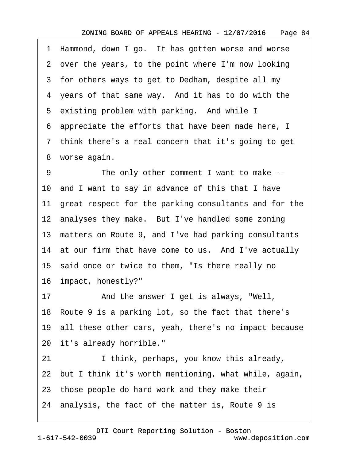<span id="page-83-0"></span>1 Hammond, down I go. It has gotten worse and worse 2 over the years, to the point where I'm now looking 3 for others ways to get to Dedham, despite all my 4 years of that same way. And it has to do with the 5 existing problem with parking. And while I ·6· appreciate the efforts that have been made here, I 7 think there's a real concern that it's going to get 8 worse again. 9 The only other comment I want to make --10· and I want to say in advance of this that I have 11 great respect for the parking consultants and for the 12 analyses they make. But I've handled some zoning 13 matters on Route 9, and I've had parking consultants

14 at our firm that have come to us. And I've actually

15 said once or twice to them, "Is there really no

16· impact, honestly?"

17 • And the answer I get is always, "Well,

18 Route 9 is a parking lot, so the fact that there's

19· all these other cars, yeah, there's no impact because

20 it's already horrible."

21 I think, perhaps, you know this already,

22· but I think it's worth mentioning, what while, again,

23· those people do hard work and they make their

24· analysis, the fact of the matter is, Route 9 is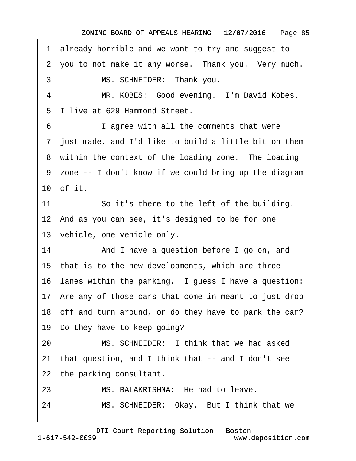<span id="page-84-0"></span>·1· already horrible and we want to try and suggest to

2 you to not make it any worse. Thank you. Very much.

3 MS. SCHNEIDER: Thank you.

4 MR. KOBES: Good evening. I'm David Kobes.

5 I live at 629 Hammond Street.

6 **I** agree with all the comments that were

·7· just made, and I'd like to build a little bit on them

8 within the context of the loading zone. The loading

·9· zone -- I don't know if we could bring up the diagram 10 of it.

11 So it's there to the left of the building.

12· And as you can see, it's designed to be for one

13 vehicle, one vehicle only.

14 And I have a question before I go on, and

15 that is to the new developments, which are three

16 lanes within the parking. I guess I have a question:

17 Are any of those cars that come in meant to just drop

18 off and turn around, or do they have to park the car?

19 Do they have to keep going?

20 MS. SCHNEIDER: I think that we had asked

21· that question, and I think that -- and I don't see

22 the parking consultant.

23 MS. BALAKRISHNA: He had to leave.

24 MS. SCHNEIDER: Okay. But I think that we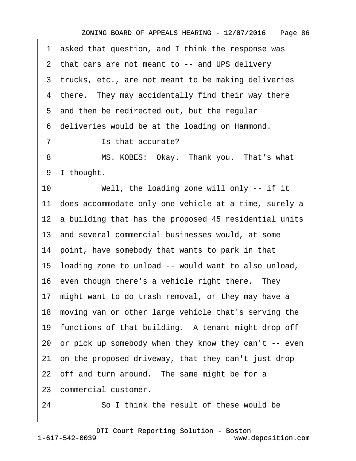<span id="page-85-0"></span>1 asked that question, and I think the response was 2 that cars are not meant to -- and UPS delivery 3 trucks, etc., are not meant to be making deliveries 4 there. They may accidentally find their way there 5 and then be redirected out, but the regular ·6· deliveries would be at the loading on Hammond. 7 **· · · ·** Is that accurate? 8 MS. KOBES: Okay. Thank you. That's what 9 I thought. 10 Well, the loading zone will only -- if it 11 does accommodate only one vehicle at a time, surely a 12 a building that has the proposed 45 residential units 13· and several commercial businesses would, at some 14 point, have somebody that wants to park in that 15· loading zone to unload -- would want to also unload, 16 even though there's a vehicle right there. They 17 might want to do trash removal, or they may have a 18 moving van or other large vehicle that's serving the 19 functions of that building. A tenant might drop off 20· or pick up somebody when they know they can't -- even 21 on the proposed driveway, that they can't just drop 22 off and turn around. The same might be for a 23· commercial customer.

24 **· · · · So I think the result of these would be**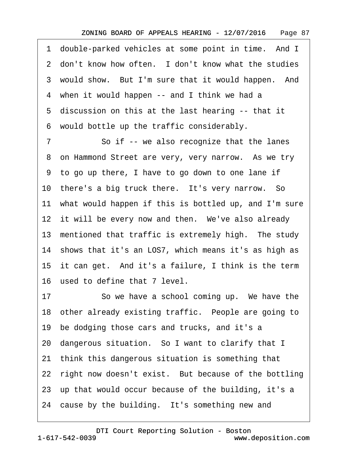<span id="page-86-0"></span>1 double-parked vehicles at some point in time. And I 2 don't know how often. I don't know what the studies 3 would show. But I'm sure that it would happen. And 4 when it would happen -- and I think we had a 5 discussion on this at the last hearing -- that it ·6· would bottle up the traffic considerably.

7 So if -- we also recognize that the lanes 8 on Hammond Street are very, very narrow. As we try ·9· to go up there, I have to go down to one lane if 10 there's a big truck there. It's very narrow. So 11 what would happen if this is bottled up, and I'm sure 12 it will be every now and then. We've also already 13 mentioned that traffic is extremely high. The study 14 shows that it's an LOS7, which means it's as high as 15 it can get. And it's a failure, I think is the term 16· used to define that 7 level.

17 So we have a school coming up. We have the 18 other already existing traffic. People are going to 19 be dodging those cars and trucks, and it's a 20· dangerous situation.· So I want to clarify that I 21· think this dangerous situation is something that 22 right now doesn't exist. But because of the bottling 23· up that would occur because of the building, it's a 24 cause by the building. It's something new and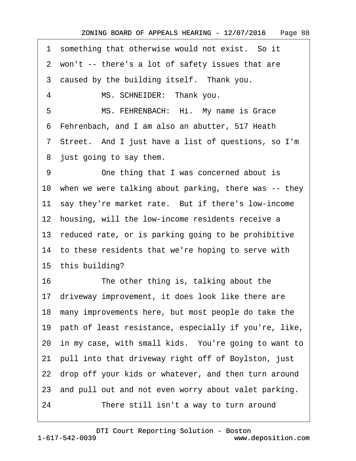<span id="page-87-0"></span>1 something that otherwise would not exist. So it

2 won't -- there's a lot of safety issues that are

3 caused by the building itself. Thank you.

4 MS. SCHNEIDER: Thank you.

5 MS. FEHRENBACH: Hi. My name is Grace

·6· Fehrenbach, and I am also an abutter, 517 Heath

·7· Street.· And I just have a list of questions, so I'm

8 just going to say them.

9 One thing that I was concerned about is 10 when we were talking about parking, there was -- they 11 say they're market rate. But if there's low-income 12 housing, will the low-income residents receive a 13 reduced rate, or is parking going to be prohibitive 14 to these residents that we're hoping to serve with 15 this building? 16 The other thing is, talking about the 17· driveway improvement, it does look like there are 18· many improvements here, but most people do take the 19· path of least resistance, especially if you're, like, 20 in my case, with small kids. You're going to want to 21· pull into that driveway right off of Boylston, just 22 drop off your kids or whatever, and then turn around 23 and pull out and not even worry about valet parking. 24 There still isn't a way to turn around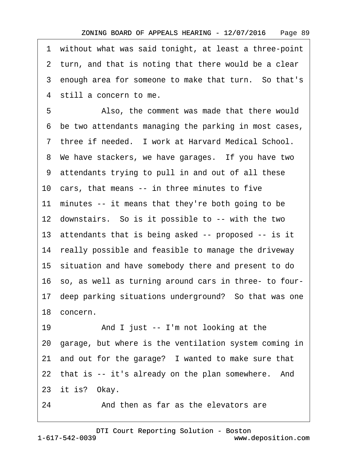<span id="page-88-0"></span>·1· without what was said tonight, at least a three-point 2 turn, and that is noting that there would be a clear 3 enough area for someone to make that turn. So that's 4 still a concern to me. 5 • Also, the comment was made that there would ·6· be two attendants managing the parking in most cases, 7 three if needed. I work at Harvard Medical School. 8 We have stackers, we have garages. If you have two ·9· attendants trying to pull in and out of all these 10 cars, that means -- in three minutes to five 11 minutes -- it means that they're both going to be 12 downstairs. So is it possible to -- with the two 13 attendants that is being asked -- proposed -- is it 14 really possible and feasible to manage the driveway 15· situation and have somebody there and present to do 16· so, as well as turning around cars in three- to four-17· deep parking situations underground?· So that was one 18 concern. 19 • And I just -- I'm not looking at the 20· garage, but where is the ventilation system coming in 21 and out for the garage? I wanted to make sure that 22 that is -- it's already on the plan somewhere. And 23 it is? Okay.

24 • **And then as far as the elevators are**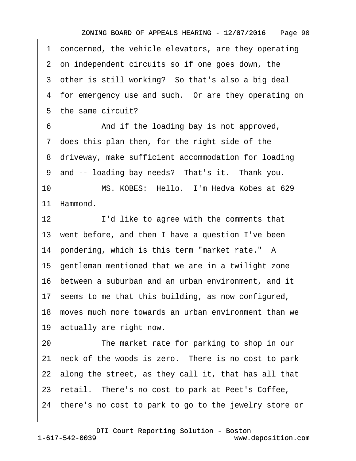<span id="page-89-0"></span>1 concerned, the vehicle elevators, are they operating 2 on independent circuits so if one goes down, the 3 other is still working? So that's also a big deal 4 for emergency use and such. Or are they operating on 5 the same circuit? 6 • • And if the loading bay is not approved, 7 does this plan then, for the right side of the 8 driveway, make sufficient accommodation for loading 9 and -- loading bay needs? That's it. Thank you. 10 MS. KOBES: Hello. I'm Hedva Kobes at 629 11 Hammond. 12 I'd like to agree with the comments that 13 went before, and then I have a question I've been 14· pondering, which is this term "market rate." A 15· gentleman mentioned that we are in a twilight zone 16 between a suburban and an urban environment, and it 17· seems to me that this building, as now configured, 18· moves much more towards an urban environment than we 19 actually are right now. 20 The market rate for parking to shop in our 21 neck of the woods is zero. There is no cost to park 22 along the street, as they call it, that has all that 23 retail. There's no cost to park at Peet's Coffee, 24· there's no cost to park to go to the jewelry store or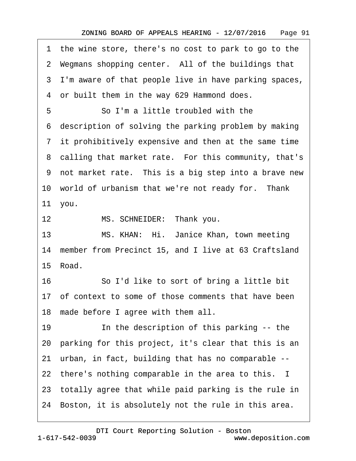<span id="page-90-0"></span>1 the wine store, there's no cost to park to go to the 2 Wegmans shopping center. All of the buildings that 3 I'm aware of that people live in have parking spaces, 4 or built them in the way 629 Hammond does. 5 **· · · So I'm a little troubled with the** ·6· description of solving the parking problem by making ·7· it prohibitively expensive and then at the same time 8 calling that market rate. For this community, that's 9 not market rate. This is a big step into a brave new 10 world of urbanism that we're not ready for. Thank 11· you. 12 MS. SCHNEIDER: Thank you. 13 MS. KHAN: Hi. Janice Khan, town meeting 14 member from Precinct 15, and I live at 63 Craftsland 15 Road. 16 **· · · · So I'd like to sort of bring a little bit** 17 of context to some of those comments that have been 18 made before I agree with them all. 19 **In the description of this parking -- the** 20· parking for this project, it's clear that this is an 21· urban, in fact, building that has no comparable -- 22 there's nothing comparable in the area to this. I 23· totally agree that while paid parking is the rule in 24 Boston, it is absolutely not the rule in this area.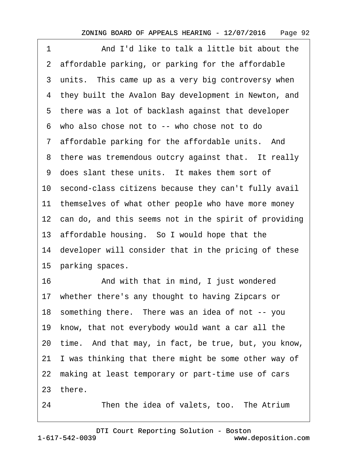<span id="page-91-0"></span>

| 1  | And I'd like to talk a little bit about the              |  |  |  |
|----|----------------------------------------------------------|--|--|--|
|    | 2 affordable parking, or parking for the affordable      |  |  |  |
|    | 3 units. This came up as a very big controversy when     |  |  |  |
|    | 4 they built the Avalon Bay development in Newton, and   |  |  |  |
|    | 5 there was a lot of backlash against that developer     |  |  |  |
|    | 6 who also chose not to -- who chose not to do           |  |  |  |
|    | 7 affordable parking for the affordable units. And       |  |  |  |
|    | 8 there was tremendous outcry against that. It really    |  |  |  |
|    | 9 does slant these units. It makes them sort of          |  |  |  |
|    | 10 second-class citizens because they can't fully avail  |  |  |  |
|    | 11 themselves of what other people who have more money   |  |  |  |
|    | 12 can do, and this seems not in the spirit of providing |  |  |  |
|    | 13 affordable housing. So I would hope that the          |  |  |  |
|    | 14 developer will consider that in the pricing of these  |  |  |  |
|    | 15 parking spaces.                                       |  |  |  |
| 16 | And with that in mind, I just wondered                   |  |  |  |
|    | 17 whether there's any thought to having Zipcars or      |  |  |  |
|    | 18 something there. There was an idea of not -- you      |  |  |  |
|    | 19 know, that not everybody would want a car all the     |  |  |  |
|    | 20 time. And that may, in fact, be true, but, you know,  |  |  |  |
|    | 21 I was thinking that there might be some other way of  |  |  |  |
|    | 22 making at least temporary or part-time use of cars    |  |  |  |
|    | 23 there.                                                |  |  |  |
| 24 | Then the idea of valets, too. The Atrium                 |  |  |  |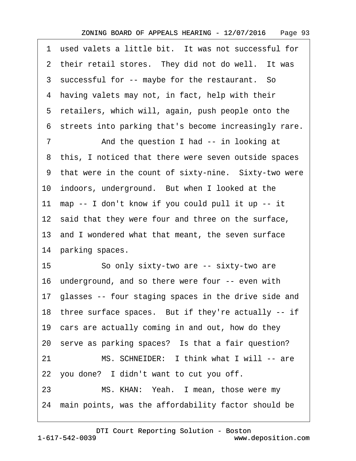<span id="page-92-0"></span>1 used valets a little bit. It was not successful for 2 their retail stores. They did not do well. It was 3 successful for -- maybe for the restaurant. So 4 having valets may not, in fact, help with their 5 retailers, which will, again, push people onto the ·6· streets into parking that's become increasingly rare. 7 • The And the question I had -- in looking at 8 this, I noticed that there were seven outside spaces 9 that were in the count of sixty-nine. Sixty-two were 10 indoors, underground. But when I looked at the 11· map -- I don't know if you could pull it up -- it 12 said that they were four and three on the surface, 13· and I wondered what that meant, the seven surface 14 parking spaces. 15 · · So only sixty-two are -- sixty-two are 16· underground, and so there were four -- even with 17 glasses -- four staging spaces in the drive side and 18 three surface spaces. But if they're actually -- if 19 cars are actually coming in and out, how do they 20 serve as parking spaces? Is that a fair question? 21 MS. SCHNEIDER: I think what I will -- are 22 you done? I didn't want to cut you off. 23 MS. KHAN: Yeah. I mean, those were my 24· main points, was the affordability factor should be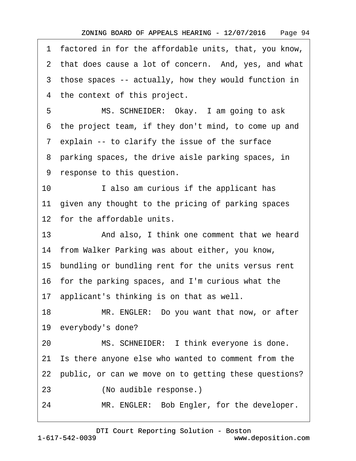<span id="page-93-0"></span>·1· factored in for the affordable units, that, you know,

2 that does cause a lot of concern. And, yes, and what

3 those spaces -- actually, how they would function in

4 the context of this project.

5 MS. SCHNEIDER: Okay. I am going to ask ·6· the project team, if they don't mind, to come up and 7 explain -- to clarify the issue of the surface

8 parking spaces, the drive aisle parking spaces, in

9 response to this question.

10 I also am curious if the applicant has 11 given any thought to the pricing of parking spaces 12 for the affordable units.

13 • And also, I think one comment that we heard 14 from Walker Parking was about either, you know,

15 bundling or bundling rent for the units versus rent

16· for the parking spaces, and I'm curious what the

17· applicant's thinking is on that as well.

18 MR. ENGLER: Do you want that now, or after 19 everybody's done?

20 MS. SCHNEIDER: I think everyone is done.

21· Is there anyone else who wanted to comment from the

22 public, or can we move on to getting these questions?

23 (No audible response.)

24 MR. ENGLER: Bob Engler, for the developer.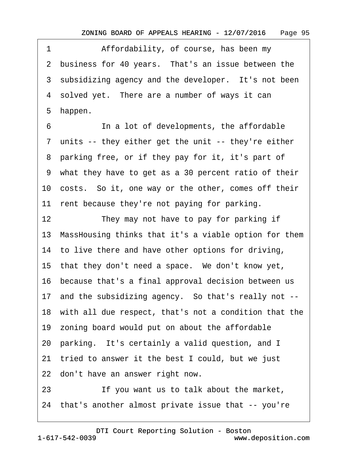<span id="page-94-0"></span>1 Affordability, of course, has been my 2 business for 40 years. That's an issue between the 3 subsidizing agency and the developer. It's not been 4 solved yet. There are a number of ways it can ·5· happen.

6 **In a lot of developments, the affordable** 7 units -- they either get the unit -- they're either 8 parking free, or if they pay for it, it's part of ·9· what they have to get as a 30 percent ratio of their 10· costs.· So it, one way or the other, comes off their 11 rent because they're not paying for parking.

12 They may not have to pay for parking if 13· MassHousing thinks that it's a viable option for them

14 to live there and have other options for driving,

15 that they don't need a space. We don't know yet,

16· because that's a final approval decision between us

17 and the subsidizing agency. So that's really not --

18· with all due respect, that's not a condition that the

19· zoning board would put on about the affordable

20 parking. It's certainly a valid question, and I

21· tried to answer it the best I could, but we just

22 don't have an answer right now.

23 **If you want us to talk about the market,** 

24· that's another almost private issue that -- you're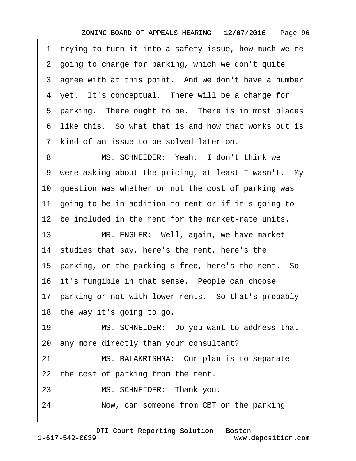<span id="page-95-0"></span>·1· trying to turn it into a safety issue, how much we're ·2· going to charge for parking, which we don't quite 3 agree with at this point. And we don't have a number 4 yet. It's conceptual. There will be a charge for 5 parking. There ought to be. There is in most places ·6· like this.· So what that is and how that works out is 7 kind of an issue to be solved later on.

8 MS. SCHNEIDER: Yeah. I don't think we 9 were asking about the pricing, at least I wasn't. My 10 question was whether or not the cost of parking was 11 going to be in addition to rent or if it's going to 12 be included in the rent for the market-rate units.

13 MR. ENGLER: Well, again, we have market 14 studies that say, here's the rent, here's the 15 parking, or the parking's free, here's the rent. So 16 it's fungible in that sense. People can choose 17 parking or not with lower rents. So that's probably

18 the way it's going to go.

19 MS. SCHNEIDER: Do you want to address that 20· any more directly than your consultant?

21 MS. BALAKRISHNA: Our plan is to separate

22 the cost of parking from the rent.

23 MS. SCHNEIDER: Thank you.

24 Now, can someone from CBT or the parking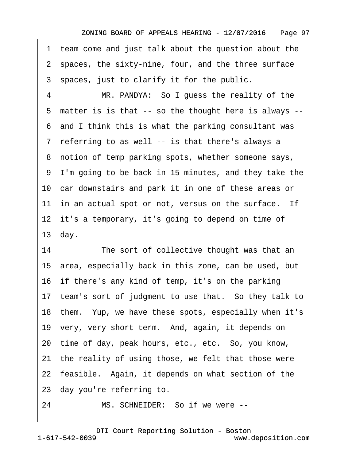<span id="page-96-0"></span>·1· team come and just talk about the question about the 2 spaces, the sixty-nine, four, and the three surface 3 spaces, just to clarify it for the public.

4 MR. PANDYA: So I guess the reality of the ·5· matter is is that -- so the thought here is always -- ·6· and I think this is what the parking consultant was 7 referring to as well -- is that there's always a ·8· notion of temp parking spots, whether someone says, ·9· I'm going to be back in 15 minutes, and they take the 10 car downstairs and park it in one of these areas or 11 in an actual spot or not, versus on the surface. If 12 it's a temporary, it's going to depend on time of 13 $day.$ 

14 The sort of collective thought was that an 15· area, especially back in this zone, can be used, but 16 if there's any kind of temp, it's on the parking 17 team's sort of judgment to use that. So they talk to 18 them. Yup, we have these spots, especially when it's 19· very, very short term.· And, again, it depends on 20 time of day, peak hours, etc., etc. So, you know, 21 the reality of using those, we felt that those were 22 feasible. Again, it depends on what section of the 23· day you're referring to.

24 MS. SCHNEIDER: So if we were --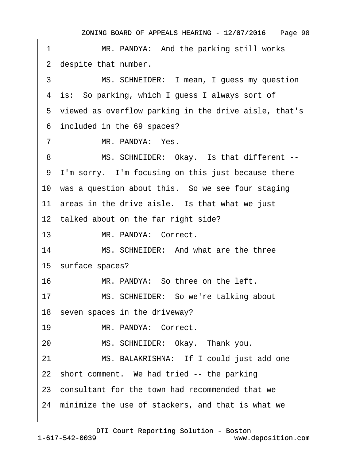ZONING BOARD OF APPEALS HEARING - 12/07/2016 Page 98

<span id="page-97-0"></span>

| 1                                                 | MR. PANDYA: And the parking still works                 |  |  |  |  |
|---------------------------------------------------|---------------------------------------------------------|--|--|--|--|
|                                                   | 2 despite that number.                                  |  |  |  |  |
| 3                                                 | MS. SCHNEIDER: I mean, I guess my question              |  |  |  |  |
|                                                   | 4 is: So parking, which I guess I always sort of        |  |  |  |  |
|                                                   | 5 viewed as overflow parking in the drive aisle, that's |  |  |  |  |
|                                                   | 6 included in the 69 spaces?                            |  |  |  |  |
| $\overline{7}$                                    | MR. PANDYA: Yes.                                        |  |  |  |  |
| 8                                                 | MS. SCHNEIDER: Okay. Is that different --               |  |  |  |  |
|                                                   | 9 I'm sorry. I'm focusing on this just because there    |  |  |  |  |
|                                                   | 10 was a question about this. So we see four staging    |  |  |  |  |
| 11 areas in the drive aisle. Is that what we just |                                                         |  |  |  |  |
| 12 talked about on the far right side?            |                                                         |  |  |  |  |
| 13 <sup>°</sup>                                   | MR. PANDYA: Correct.                                    |  |  |  |  |
| 14                                                | MS. SCHNEIDER: And what are the three                   |  |  |  |  |
|                                                   | 15 surface spaces?                                      |  |  |  |  |
| 16                                                | MR. PANDYA: So three on the left.                       |  |  |  |  |
| 17                                                | MS. SCHNEIDER: So we're talking about                   |  |  |  |  |
|                                                   | 18 seven spaces in the driveway?                        |  |  |  |  |
| 19                                                | MR. PANDYA: Correct.                                    |  |  |  |  |
| 20                                                | MS. SCHNEIDER: Okay. Thank you.                         |  |  |  |  |
| 21                                                | MS. BALAKRISHNA: If I could just add one                |  |  |  |  |
|                                                   | 22 short comment. We had tried -- the parking           |  |  |  |  |
|                                                   | 23 consultant for the town had recommended that we      |  |  |  |  |
|                                                   | 24 minimize the use of stackers, and that is what we    |  |  |  |  |
|                                                   |                                                         |  |  |  |  |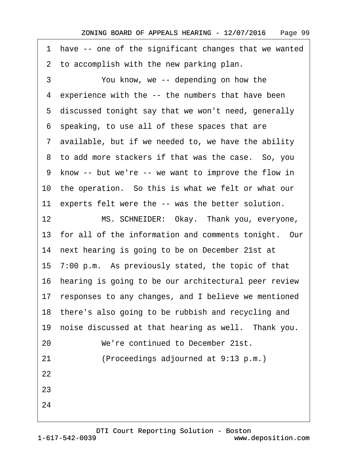<span id="page-98-0"></span>·1· have -- one of the significant changes that we wanted 2 to accomplish with the new parking plan.

3 You know, we -- depending on how the 4 experience with the -- the numbers that have been 5 discussed tonight say that we won't need, generally ·6· speaking, to use all of these spaces that are ·7· available, but if we needed to, we have the ability 8 to add more stackers if that was the case. So, you ·9· know -- but we're -- we want to improve the flow in 10 the operation. So this is what we felt or what our 11 experts felt were the -- was the better solution. 12 MS. SCHNEIDER: Okay. Thank you, everyone, 13 for all of the information and comments tonight. Our 14 next hearing is going to be on December 21st at 15· 7:00 p.m.· As previously stated, the topic of that 16· hearing is going to be our architectural peer review 17 responses to any changes, and I believe we mentioned 18 there's also going to be rubbish and recycling and 19 noise discussed at that hearing as well. Thank you. 20 We're continued to December 21st. 21 • (Proceedings adjourned at 9:13 p.m.) 22 23 24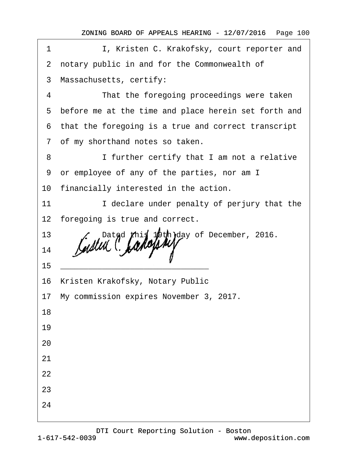ZONING BOARD OF APPEALS HEARING - 12/07/2016 Page 100

| 1  | I, Kristen C. Krakofsky, court reporter and            |
|----|--------------------------------------------------------|
|    | 2 notary public in and for the Commonwealth of         |
|    | 3 Massachusetts, certify:                              |
| 4  | That the foregoing proceedings were taken              |
|    | 5 before me at the time and place herein set forth and |
|    | 6 that the foregoing is a true and correct transcript  |
|    | 7 of my shorthand notes so taken.                      |
| 8  | I further certify that I am not a relative             |
|    | 9 or employee of any of the parties, nor am I          |
|    | 10 financially interested in the action.               |
| 11 | I declare under penalty of perjury that the            |
|    | 12 foregoing is true and correct.                      |
| 13 | Dated this 19th day of December, 2016.                 |
| 14 |                                                        |
| 15 |                                                        |
|    | 16 Kristen Krakofsky, Notary Public                    |
|    | 17 My commission expires November 3, 2017.             |
| 18 |                                                        |
| 19 |                                                        |
| 20 |                                                        |
| 21 |                                                        |
| 22 |                                                        |
| 23 |                                                        |
| 24 |                                                        |
|    |                                                        |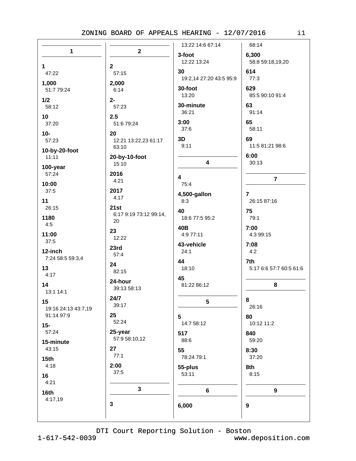|                     |                        | 13:22 14:6 67:14                | 68:14                          |
|---------------------|------------------------|---------------------------------|--------------------------------|
| 1                   | $\mathbf{2}$           | 3-foot<br>12:22 13:24           | 6,300<br>58:8 59:18,19,20      |
| 1                   | $\mathbf{2}$           |                                 |                                |
| 47:22               | 57:15                  | 30<br>19:2,14 27:20 43:5 95:9   | 614<br>77:3                    |
| 1,000<br>51:7 79:24 | 2,000<br>6:14          | 30-foot                         | 629                            |
| 1/2                 | $2 -$                  | 13:20                           | 85:5 90:10 91:4                |
| 58:12               | 57:23                  | 30-minute                       | 63                             |
| 10                  | 2.5                    | 36:21                           | 91:14                          |
| 37:20               | 51:6 79:24             | 3:00                            | 65                             |
| $10-$               | 20                     | 37:6                            | 58:11                          |
| 57:23               | 12:21 13:22,23 61:17   | 3D                              | 69                             |
| 10-by-20-foot       | 63:10                  | 9:11                            | 11:5 81:21 98:6                |
| 11:11               | 20-by-10-foot          |                                 | 6:00                           |
| 100-year            | 15:10                  | $\overline{\mathbf{4}}$         | 30:13                          |
| 57:24               | 2016                   |                                 |                                |
| 10:00               | 4:21                   | $\overline{\mathbf{4}}$<br>75:4 | $\overline{7}$                 |
| 37:5                | 2017                   |                                 |                                |
| 11                  | 4:17                   | 4,500-gallon<br>8:3             | $\overline{7}$<br>26:15 87:16  |
| 26:15               | 21st                   |                                 |                                |
| 1180                | 6:17 9:19 73:12 99:14, | 40<br>18:6 77:5 95:2            | 75<br>79:1                     |
| 4:5                 | 20                     |                                 |                                |
| 11:00               | 23                     | 40B<br>4:9 77:11                | 7:00<br>4:3 99:15              |
| 37:5                | 12:22                  |                                 |                                |
| 12-inch             | 23rd                   | 43-vehicle<br>24:1              | 7:08<br>4:2                    |
| 7:24 58:5 59:3,4    | 57:4                   | 44                              |                                |
| 13                  | 24                     | 18:10                           | 7th<br>5:17 6:6 57:7 60:5 61:6 |
| 4:17                | 82:15                  |                                 |                                |
| 14                  | 24-hour                | 45<br>81:22 86:12               | 8                              |
| 13:1 14:1           | 39:13 58:13            |                                 |                                |
| 15                  | 24/7                   | 5                               | 8                              |
| 19:16 24:13 43:7,19 | 39:17                  |                                 | 26:16                          |
| 91:14 97:9          | 25                     | 5                               | 80                             |
| $15-$               | 52:24                  | 14:7 58:12                      | 10:12 11:2                     |
| 57:24               | 25-year                | 517                             | 840                            |
| 15-minute           | 57:9 58:10,12          | 88:6                            | 59:20                          |
| 43:15               | 27                     | 55                              | 8:30                           |
| 15 <sub>th</sub>    | 77:1                   | 78:24 79:1                      | 37:20                          |
| 4:18                | 2:00                   | 55-plus                         | 8th                            |
| 16                  | 37:5                   | 53:11                           | 8:15                           |
| 4:21                |                        |                                 |                                |
| 16th                | $\mathbf 3$            | $\bf 6$                         | $\boldsymbol{9}$               |
| 4:17,19             | 3                      |                                 |                                |
|                     |                        | 6,000                           | 9                              |
|                     |                        |                                 |                                |

DTI Court Reporting Solution - Boston

 $1 - 617 - 542 - 0039$ 

www.deposition.com

 $i1$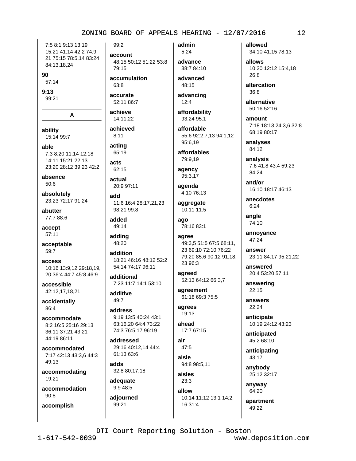7:5 8:1 9:13 13:19 15:21 41:14 42:2 74:9, 21 75:15 78:5,14 83:24 84:13,18,24

90

57:14

 $9:13$ 99:21

A

ability 15:14 99:7

able 7:3 8:20 11:14 12:18 14:11 15:21 22:13 23:20 28:12 39:23 42:2

absence 50:6

absolutely 23:23 72:17 91:24

abutter 77:7 88:6

accept 57:11

acceptable 59:7

access 10:16 13:9.12 29:18.19. 20 36:4 44:7 45:8 46:9

accessible 42:12,17,18,21

accidentally 86:4

accommodate 8:2 16:5 25:16 29:13 36:11 37:21 43:21 44:19 86:11

accommodated 7:17 42:13 43:3,6 44:3 49:13

accommodating 19:21

accommodation  $90:8$ 

accomplish

account 48:15 50:12 51:22 53:8 79:15

accumulation 63:8

99:2

accurate 52:11 86:7

achieve 14:11,22

achieved

acting 65:19

 $8:11$ 

acts 62:15

actual 20:9 97:11

add 11:6 16:4 28:17.21.23 98:21 99:8

added 49:14

adding 48:20

addition 18:21 46:16 48:12 52:2 54:14 74:17 96:11

additional 7:23 11:7 14:1 53:10

additive  $49.7$ 

address 9:19 13:5 40:24 43:1 63:16,20 64:4 73:22 74:3 76:5,17 96:19

addressed 29:16 40:12.14 44:4 61:13 63:6

adds 32:8 80:17,18

adequate 9:9 48:5

adjourned 99:21

admin  $5:24$ advance

38:7 84:10 advanced 48:15

advancing

 $12:4$ 

affordability 93:24 95:1

affordable 55:6 92:2,7,13 94:1,12 95:6.19

affordables 79:9,19

agency 95:3,17

agenda 4:10 76:13

aggregate 10:11 11:5

ago 78:16 83:1

agree 49:3,5 51:5 67:5 68:11, 23 69:10 72:10 76:22 79:20 85:6 90:12 91:18, 23 96:3

agreed 52:13 64:12 66:3.7

agreement 61:18 69:3 75:5

agrees 19:13

ahead 17:7 67:15

> air  $47:5$ aisle 94:8 98:5,11

aisles  $23:3$ allow

10:14 11:12 13:1 14:2, 16 31:4

allowed 34:10 41:15 78:13

allows 10:20 12:12 15:4.18  $26:8$ 

altercation  $36:8$ 

alternative 50:16 52:16

amount 7:18 18:13 24:3,6 32:8 68:19 80:17

analyses 84:12

analysis 7:6 41:8 43:4 59:23 84:24

and/or 16:10 18:17 46:13

anecdotes  $6:24$ 

angle 74:10

annoyance 47:24

answer 23:11 84:17 95:21,22

answered 20:4 53:20 57:11

answering 22:15

answers 22:24

> anticipate 10:19 24:12 43:23

anticipated 45:2 68:10

anticipating 43:17

anybody 25:12 32:17

anyway 64:20

apartment  $49:22$ 

DTI Court Reporting Solution - Boston

www.deposition.com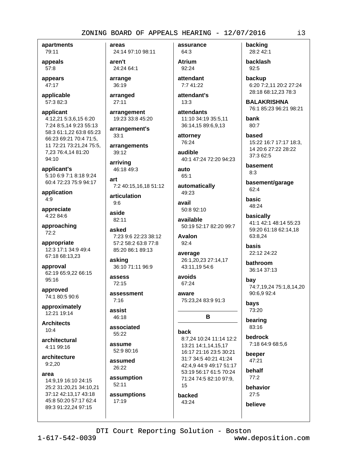apartments 79:11

appeals 57:8

appears 47:17

applicable 57:3 82:3

applicant 4:12,21 5:3,6,15 6:20 7:24 8:5,14 9:23 55:13 58:3 61:1.22 63:8 65:23 66:23 69:21 70:4 71:5. 11 72:21 73:21,24 75:5, 7.23 76:4.14 81:20 94:10

applicant's 5:10 6:9 7:1 8:18 9:24 60:4 72:23 75:9 94:17

application  $4:9$ 

appreciate 4:22 84:6

approaching 72:2

appropriate 12:3 17:1 34:9 49:4 67:18 68:13,23

approval 62:19 65:9,22 66:15 95:16

approved 74:1 80:5 90:6

approximately 12:21 19:14

**Architects**  $10:4$ 

architectural 4:11 99:16

architecture  $9:2.20$ 

area

14:9,19 16:10 24:15 25:2 31:20,21 34:10,21 37:12 42:13,17 43:18 45:8 50:20 57:17 62:4 89:3 91:22,24 97:15

areas 24:14 97:10 98:11

aren't 24:24 64:1

arrange 36:19

arranged  $27:11$ 

arrangement 19:23 33:8 45:20

arrangement's  $33:1$ 

arrangements 39:12

arriving 46:18 49:3

art 7:2 40:15,16,18 51:12

articulation  $9:6$ 

aside 82:11

asked 7:23 9:6 22:23 38:12 57:2 58:2 63:8 77:8 85:20 86:1 89:13

asking 36:10 71:11 96:9

assess  $72:15$ 

assessment  $7.16$ 

assist 46:18

associated 55:22

assume  $52:980:16$ 

assumed 26:22

assumption  $52:11$ assumptions 17:19

assurance 64:3

**Atrium** 92:24 attendant

7:7 41:22

attendant's  $13:3$ 

attendants 11:10 34:19 35:5,11 36:14,15 89:6,9,13

attorney 76:24

audible 40:1 47:24 72:20 94:23

 $_{\rm auto}$  $65:1$ 

automatically 49:23

avail 50:8 92:10

available 50:19 52:17 82:20 99:7

**Avalon**  $92:4$ 

average 26:1,20,23 27:14,17 43:11,19 54:6

avoids 67:24

aware 75:23,24 83:9 91:3

# в

**hack** 

8:7,24 10:24 11:14 12:2 13:21 14:1,14,15,17 16:17 21:16 23:5 30:21 31:7 34:5 40:21 41:24 42:4,9 44:9 49:17 51:17 53:19 56:17 61:5 70:24 71:24 74:5 82:10 97:9, 15 backed 43:24

backing 28:2 42:1

backlash  $92:5$ 

backup 6:20 7:2,11 20:2 27:24 28:18 68:12,23 78:3

**BALAKRISHNA** 76:1 85:23 96:21 98:21

bank  $80:7$ 

based 15:22 16:7 17:17 18:3, 14 20:6 27:22 28:22  $37:362:5$ 

basement  $8:3$ 

basement/garage  $62:4$ 

basic 48:24

basically 41:1 42:1 48:14 55:23 59:20 61:18 62:14,18 63:8,24

hasis 22:12 24:22

bathroom 36:14 37:13

bav 74:7,19,24 75:1,8,14,20 90:6,9 92:4

bays 73:20

bearing 83:16

bedrock 7:18 64:9 68:5,6

beeper 47:21

behalf  $77:2$ 

behavior  $27:5$ 

believe

DTI Court Reporting Solution - Boston

www.deposition.com

i3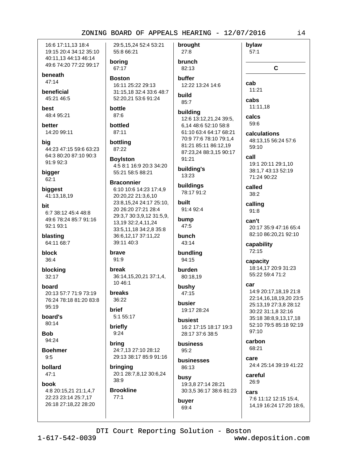16:6 17:11.13 18:4 19:15 20:4 34:12 35:10 40:11,13 44:13 46:14 49:6 74:20 77:22 99:17

beneath

 $47:14$ 

beneficial 45:21 46:5

hest 48:4 95:21

better 14:20 99:11

bia 44:23 47:15 59:6 63:23 64:3 80:20 87:10 90:3 91:9 92:3

bigger  $62:1$ 

biggest 41:13,18,19

bit 6:7 38:12 45:4 48:8 49:6 78:24 85:7 91:16 92:1 93:1

blasting 64:11 68:7

block 36:4

blocking  $32:17$ 

board 20:13 57:7 71:9 73:19 76:24 78:18 81:20 83:8 95:19

board's  $80:14$ 

**Bob** 94:24

**Boehmer**  $9:5$ 

bollard  $47:1$ 

book

4:8 20:15,21 21:1,4,7 22:23 23:14 25:7,17 26:18 27:18,22 28:20

29:5.15.24 52:4 53:21 55:8 66:21 boring 67:17 **Boston** 16:11 25:22 29:13 31:15,18 32:4 33:6 48:7

52:20,21 53:6 91:24

#### bottle 87:6

bottled 87:11

bottling 87:22

**Boylston** 4:5 8:1 16:9 20:3 34:20 55:21 58:5 88:21

**Braconnier** 6:10 10:6 14:23 17:4.9 20:20,22 21:3,6,10 23:8,15,24 24:17 25:10, 20 26:20 27:21 28:4 29:3,7 30:3,9,12 31:5,9, 13,19 32:2,4,11,24

33:5,11,18 34:2,8 35:8 36:6,12,17 37:11,22 39:11 40:3

brave 91:9

hreak 36:14,15,20,21 37:1,4, 10 46:1

**breaks** 36:22

**brief** 5:1 55:17

briefly  $9:24$ 

bring 24:7.13 27:10 28:12 29:13 38:17 85:9 91:16

bringing 20:1 28:7,8,12 30:6,24 38:9

**Brookline**  $77:1$ 

 $27:8$ brunch 82:13 buffer

brought

12:22 13:24 14:6 build

# $85:7$

building 12:6 13:12,21,24 39:5,

6,14 48:6 52:10 58:8 61:10 63:4 64:17 68:21 70:9 77:6 78:10 79:1.4 81:21 85:11 86:12,19 87:23.24 88:3.15 90:17  $91:21$ 

building's 13:23

buildings 78:17 91:2

built 91:4 92:4

bump  $47:5$ 

bunch 43:14

bundling 94:15

burden 80:18.19

bushy  $47:15$ 

busier 19:17 28:24

**busiest** 16:2 17:15 18:17 19:3 28:17 37:6 38:5

**business**  $95:2$ 

businesses 86:13

buyer

69:4

busy 19:3,8 27:14 28:21 30:3,5 36:17 38:6 81:23 cab  $11:21$ cabs 11:11.18 calcs  $596$ 

 $\mathbf C$ 

bylaw

 $57:1$ 

calculations 48:13.15 56:24 57:6 59:10

call 19:1 20:11 29:1,10 38:1,7 43:13 52:19 71:24 90:22

called  $38:2$ 

calling  $91:8$ 

can't 20:17 35:9 47:16 65:4 82:10 86:20,21 92:10

capability 72:15

capacity 18:14,17 20:9 31:23 55:22 59:4 71:2

#### car

14:9 20:17,18,19 21:8 22:14,16,18,19,20 23:5 25:13,19 27:3,8 28:12 30:22 31:1,8 32:16 35:18 38:8.9.13.17.18 52:10 79:5 85:18 92:19 97:10

carbon 68:21

Care 24:4 25:14 39:19 41:22

careful 26:9

cars 7:6 11:12 12:15 15:4,

14,19 16:24 17:20 18:6,

DTI Court Reporting Solution - Boston

www.deposition.com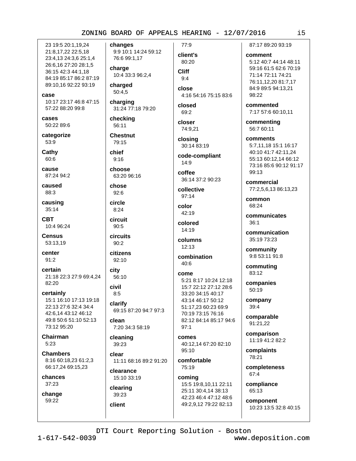23 19:5 20:1.19.24 21:8,17,22 22:5,18 23:4,13 24:3,6 25:1,4 26:6,16 27:20 28:1,5 36:15 42:3 44:1.18 84:19 85:17 86:2 87:19 89:10,16 92:22 93:19

case

10:17 23:17 46:8 47:15 57:22 88:20 99:8

cases 50:22 89:6

categorize 53:9

Cathy  $60.6$ 

cause 87:24 94:2

caused 88:3

causing  $35:14$ 

**CBT** 10:4 96:24

**Census** 53:13.19

center  $91:2$ 

certain 21:18 22:3 27:9 69:4.24  $82:20$ 

certainly 15:1 16:10 17:13 19:18 22:13 27:6 32:4 34:4 42:6,14 43:12 46:12 49:8 50:6 51:10 52:13 73:12 95:20

Chairman  $5:23$ 

**Chambers** 8:16 60:18,23 61:2,3 66:17,24 69:15,23

chances 37:23

change 59:22

changes 9:9 10:1 14:24 59:12 76:6 99:1,17

charge 10:4 33:3 96:2,4

charged 50:4,5

charging 31:24 77:18 79:20

checking 56:11

**Chestnut** 79:15

chief  $9:16$ 

choose 63:20 96:16

## chose

 $92:6$ circle

 $8:24$ circuit  $90:5$ 

circuits

 $90:2$ citizens

 $92:10$ 

city 56:10

civil  $8:5$ clarify

69:15 87:20 94:7 97:3

clean 7:20 34:3 58:19

cleaning 39:23

clear 11:11 68:16 89:2 91:20

clearance 15:10 33:19

## clearing 39:23 client

client's 80:20

77:9

**Cliff**  $9.4$ close

4:16 54:16 75:15 83:6

closed 69:2

closer 74:9.21

closing 30:14 83:19

code-compliant  $14:9$ 

coffee 36:14 37:2 90:23

collective  $97:14$ 

color 42:19

colored 14:19

columns  $12:13$ 

combination 40:6

## come

5:21 8:17 10:24 12:18 15:7 22:12 27:12 28:6 33:20 34:15 40:17 43:14 46:17 50:12 51:17,23 60:23 69:9 70:19 73:15 76:16 82:12 84:14 85:17 94:6  $97:1$ 

comes 40:12.14 67:20 82:10  $95.10$ 

comfortable 75:19

coming 15:5 19:8,10,11 22:11 25:11 30:4,14 38:13 42:23 46:4 47:12 48:6 49:2,9,12 79:22 82:13 87:17 89:20 93:19

#### comment

5:12 40:7 44:14 48:11 59:16 61:5 62:6 70:19 71:14 72:11 74:21 76:11,12,20 81:7,17 84:9 89:5 94:13,21 98:22

commented 7:17 57:6 60:10,11

commenting 56:7 60:11

comments 5:7,11,18 15:1 16:17 40:10 41:7 42:11.24 55:13 60:12.14 66:12 73:16 85:6 90:12 91:17

commercial 77:2,5,6,13 86:13,23

common 68:24

99:13

communicates  $36:1$ 

communication 35:19 73:23

community 9:8 53:11 91:8

commuting 83:12

companies  $50:19$ 

company 39:4

comparable 91:21,22

comparison 11:19 41:2 82:2

complaints 78:21

completeness 67:4

compliance 65:13

component 10:23 13:5 32:8 40:15

DTI Court Reporting Solution - Boston

www.deposition.com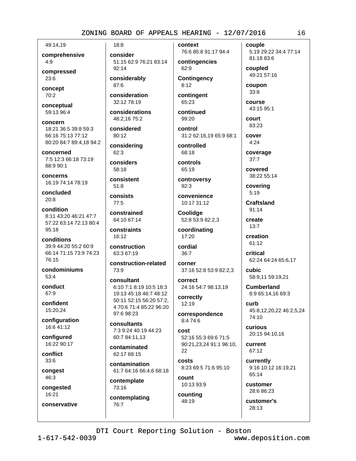49:14.19 comprehensive

 $4:9$ 

compressed  $23:6$ 

concept 70:2

conceptual 59:13 96:4

concern 18:21 36:5 39:8 59:3 66:16 75:13 77:12 80:20 84:7 89:4,18 94:2

concerned 7:5 12:3 66:18 73:19 88:9 90:1

concerns 16:19 74:14 78:19

concluded  $20:8$ 

condition 8:11 43:20 46:21 47:7 57:22 63:14 72:13 80:4  $95.18$ 

conditions 39:9 44:20 55:2 60:9 66:14 71:15 73:9 74:23 76:15

condominiums 53:4

conduct 67:9

confident 15:20.24

configuration 16:6 41:12

configured 16:22 90:17

conflict 33:6

congest 46:3

congested

16:21

conservative

consider 51:15 62:9 76:21 83:14  $92:14$ 

considerably 87:6

 $18:8$ 

consideration 32:12 78:19

considerations 48:2,16 75:2

considered 80:12

considering 62:3

considers 58:18

consistent  $51:8$ 

consists  $77:5$ 

constrained 64:10 67:14

constraints 16:12

construction 63:3 67:19

construction-related 73:9

consultant 6:10 7:1 8:19 10:5 18:3 19:13 45:18 46:7 48:12 50:11 52:15 56:20 57:2. 4 70:6 71:4 85:22 96:20 97:6 98:23

consultants 7:3 9:24 40:19 44:23 60:7 84:11.13

contaminated  $62.1768.15$ 

contamination 61:7 64:16 66:4,6 68:18

contemplate 73:16

contemplating 76:7

76:6 85:8 91:17 94:4 contingencies 62:9

context

**Contingency**  $8:12$ 

contingent 65:23

continued 99:20

control 31:2 62:16.19 65:9 68:1

controlled 68:18

controls 65:19

controversy  $92:3$ 

convenience 10:17 31:12

Coolidge 52:8 53:9 82:2,3

coordinating 17:20

cordial  $36:7$ 

corner

37:16 52:8 53:9 82:2,3 correct 24:16 54:7 98:13,19

correctly 12:19

correspondence 8:4 74:6

cost 52:16 55:3 69:6 71:5 90:21,23,24 91:1 96:10, 22

costs 8:23 69:5 71:6 95:10

count 10:13 93:9

counting 48:19

customer

DTI Court Reporting Solution - Boston

www.deposition.com

i6

5:19 29:22 34:4 77:14 81:18 83:6 coupled

49:21 57:16 coupon

couple

 $33:8$ course

43:15 95:1

**COULT** 83:23

cover  $4:24$ 

coverage  $37:7$ 

covered 38:22 55:14

covering  $5:19$ 

**Craftsland** 91:14

create

 $13:7$ 

creation  $61.12$ 

critical 62:24 64:24 65:6,17

**cubic** 58:9,11 59:19,21

**Cumberland** 8:9 65:14.16 69:3

curb 45:8,12,20,22 46:2,5,24  $74:10$ 

curious 20:15 94:10.16

current 67:12

currently 9:16 10:12 16:19,21 65:14

28:6 86:23

customer's 28:13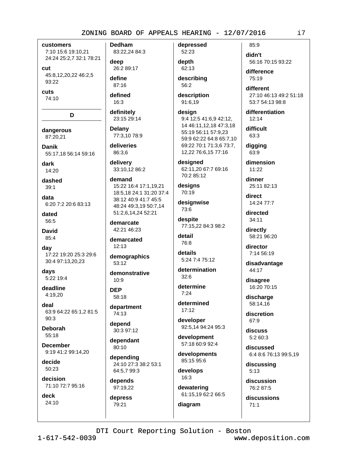customers 7:10 15:6 19:10,21 24:24 25:2,7 32:1 78:21

cut 45:8,12,20,22 46:2,5  $93:22$ 

cuts 74:10

D dangerous

87:20,21

Danik 55:17,18 56:14 59:16

dark 14:20

dashed  $39:1$ 

data 6:20 7:2 20:6 83:13

dated 56:5

**David** 85:4

day 17:22 19:20 25:3 29:6 30:4 97:13.20.23

days 5:22 19:4

deadline 4:19,20

deal 63:9 64:22 65:1,2 81:5  $90:3$ 

**Deborah**  $55.18$ 

**December** 9:19 41:2 99:14.20

decide 50:23

decision 71:10 72:7 95:16

deck 24:10 **Dedham** 83:22,24 84:3

deep 26:2 89:17

define 87:16

defined  $16:3$ 

definitely

23:15 29:14

**Delany** 77:3.10 78:9

deliveries 86:3.6

delivery 33:10.12 86:2

demand 15:22 16:4 17:1.19.21 18:5.18 24:1 31:20 37:4 38:12 40:9 41:7 45:5 48:24 49:3,19 50:7,14 51:2,6,14,24 52:21

demarcate  $42.2146.23$ 

demarcated  $12:13$ 

demographics  $53:12$ 

demonstrative  $10:9$ 

**DEP** 58:18

department 74:13

depend 30:3 97:12

dependant 80:10

depending 24:10 27:3 38:2 53:1 64:5.7 99:3

depends 97:19,22

depress 79:21

depressed 52:23

depth 62:13 describing

56:2 description

91:6,19

design 9:4 12:5 41:6,9 42:12, 14 46:11,12,18 47:3,18 55:19 56:11 57:9,23 59:9 62:22 64:8 65:7.10 69:22 70:1 71:3,6 73:7, 12,22 76:6,15 77:16

designed 62:11,20 67:7 69:16 70:2 85:12

designs 70:19

designwise 73:6

despite 77:15.22 84:3 98:2

detail 76:8

details 5:24 7:4 75:12

determination  $32:6$ 

determine  $7.24$ determined

 $17:12$ developer 92:5,14 94:24 95:3

development 57:18 60:9 92:4

developments 85:15 95:6

develops 16:3

diagram

dewatering 61:15,19 62:2 66:5

85:9 didn't 56:16 70:15 93:22

difference  $75.19$ 

different 27:10 46:13 49:2 51:18 53:7 54:13 98:8

differentiation  $12:14$ 

difficult 63:3

digging 63:9

dimension  $11:22$ 

dinner 25:11 82:13

direct 14:24 77:7

directed 34:11

directly 58:21 96:20

director 7:14 56:19

disadvantage 44:17

disagree 16:20 70:15

discharge 58:14.16

discretion 67:9

discuss  $5:260:3$ 

discussed 6:4 8:6 76:13 99:5,19

discussing  $5:13$ 

discussion 76:2 87:5

discussions  $71:1$ 

 $1 - 617 - 542 - 0039$ 

www.deposition.com

i7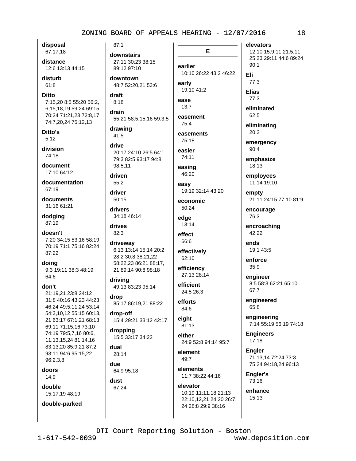disposal 67:17,18

distance 12:6 13:13 44:15

disturb  $61:8$ 

**Ditto** 

7:15.20 8:5 55:20 56:2. 6,15,18,19 59:24 69:15 70:24 71:21,23 72:8,17 74:7,20,24 75:12,13

Ditto's  $5:12$ 

division 74:18

document 17:10 64:12

documentation 67:19

documents 31:16 61:21

dodging 87:19

doesn't 7:20 34:15 53:16 58:19 70:19 71:1 75:16 82:24 87:22

doing 9:3 19:11 38:3 48:19 64:6

don't

21:19.21 23:8 24:12 31:8 40:16 43:23 44:23 46:24 49:5,11,24 53:14 54:3,10,12 55:15 60:13, 21 63:17 67:1.21 68:13 69:11 71:15,16 73:10 74:19 79:5,7,16 80:6, 11, 13, 15, 24 81: 14, 16 83:13,20 85:9,21 87:2 93:11 94:6 95:15.22 96:2.3.8

doors  $14:9$ 

double 15:17,19 48:19

double-parked

 $87:1$ 

downstairs 27:11 30:23 38:15 89:12 97:10

downtown 48:7 52:20,21 53:6

draft  $8:18$ drain

55:21 58:5,15,16 59:3,5

drawing  $41:5$ 

drive 20:17 24:10 26:5 64:1 79:3 82:5 93:17 94:8 98:5.11

driven  $55:2$ 

driver

50:15 drivers

34:18 46:14

drives 82:3

driveway 6:13 13:14 15:14 20:2 28:2 30:8 38:21,22 58:22,23 86:21 88:17, 21 89:14 90:8 98:18

driving 49:13 83:23 95:14

drop 85:17 86:19,21 88:22

drop-off 15:4 29:21 33:12 42:17

dropping 15:5 33:17 34:22

dual  $28.14$ 

due 64:9 95:18

dust 67:24 earlier 10:10 26:22 43:2 46:22 early 19:10 41:2 ease  $13:7$ 

E

easement  $75.4$ 

easements 75:18

easier 74:11

easing 46:20 easy

19:19 32:14 43:20

economic 50:24

edge 13:14

effect 66:6

effectively 62:10

efficiency 27:13 28:14

efficient 24:5 26:3

efforts 84:6

eight 81:13

either 24:9 52:8 94:14 95:7

element 49:7

elements 11:7 38:22 44:16

elevator 10:19 11:11,18 21:13 22:10,12,21 24:20 26:7, 24 28:8 29:9 38:16

elevators 12:10 15:9,11 21:5,11 25:23 29:11 44:6 89:24  $90:1$  $77:3$ **Elias**  $77:3$ eliminated 62:5 eliminating 20:2

emergency 90:4

Eli

emphasize 18:13

employees 11:14 19:10

empty 21:11 24:15 77:10 81:9

encourage 76:3

encroaching 42:22

ends 19:1 43:5

enforce  $35:9$ 

engineer 8:5 58:3 62:21 65:10 67:7

engineered 65:8

engineering 7:14 55:19 56:19 74:18

**Engineers**  $17:18$ 

**Engler** 71:13,14 72:24 73:3 75:24 94:18,24 96:13

Engler's 73:16

enhance 15:13

DTI Court Reporting Solution - Boston

www.deposition.com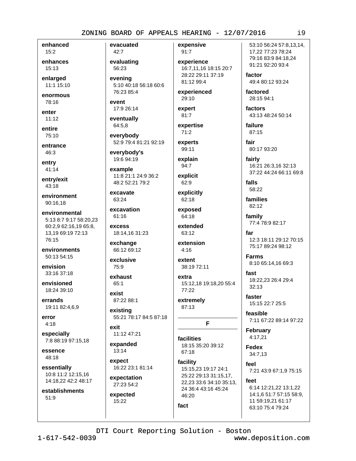enhanced  $15:2$ 

enhances 15:13

enlarged 11:1 15:10

enormous 78:16

enter

 $11:12$ 

entire 75:10

entrance 46:3

entry  $41:14$ 

entry/exit 43:18

environment 90:16.18

environmental 5:13 8:7 9:17 58:20,23 60:2,9 62:16,19 65:8, 13,19 69:19 72:13 76:15

environments 50:13 54:15

envision 33:16 37:18

envisioned 18:24 39:10

errands 19:11 82:4,6,9

error  $4:18$ 

especially 7:8 88:19 97:15,18

essence 48:18

essentially 10:8 11:2 12:15,16 14:18,22 42:2 48:17

establishments 51:9

evacuated 42:7 evaluating

evenina 5:10 40:18 56:18 60:6 76:23 85:4

event 17:9 26:14

56:23

eventually 64:5,8

everybody 52:9 79:4 81:21 92:19

everybody's 19:6 94:19

example 11:8 21:1 24:9 36:2 48:2 52:21 79:2

excavate 63:24

excavation 61:16 **AXCASS** 

18:14,16 31:23

exchange 66:12 69:12

exclusive  $75.9$ 

exhaust 65:1

exist 87:22 88:1

existing 55:21 78:17 84:5 87:18

exit 11:12 47:21

expanded  $13:14$ 

expect 16:22 23:1 81:14

expectation 27:23 54:2

expected 15:22

expensive  $91:7$ 

experience 16:7,11,16 18:15 20:7 28:22 29:11 37:19 81:12 99:4

experienced 29:10

expert

81:7

expertise  $71:2$ 

experts 99:11

explain 94:7

explicit 62:9

explicitly 62:18

exposed 64:18

extended 63:12

extension  $4:16$ 

extent 38:19 72:11

extra 15:12,18 19:18,20 55:4 77:22

extremely 87:13

F

facilities 18:15 35:20 39:12 67:18

facility 15:15,23 19:17 24:1 25:22 29:13 31:15,17, 22.23 33:6 34:10 35:13. 24 36:4 43:16 45:24 46:20

53:10 56:24 57:8.13.14. 17,22 77:23 78:24 79:16 83:9 84:18,24 91:21 92:20 93:4

factor 49:4 80:12 93:24

factored 28:15 94:1

factors 43:13 48:24 50:14

failure 87:15

fair 80:17 93:20

fairly 16:21 26:3,16 32:13 37:22 44:24 66:11 69:8

falls 58:22

families 82:12

family 77:4 78:9 82:17

far 12:3 18:11 29:12 70:15 75:17 89:24 98:12

**Farms** 8:10 65:14,16 69:3

fast 18:22.23 26:4 29:4  $32:13$ 

faster 15:15 22:7 25:5

feasible 7:11 67:22 89:14 97:22

**February** 4:17,21

Fedex 34:7,13

feel 7:21 43:9 67:1,9 75:15

feet 6:14 12:21,22 13:1,22 14:1,6 51:7 57:15 58:9, 11 59:19,21 61:17 63:10 75:4 79:24

DTI Court Reporting Solution - Boston

fact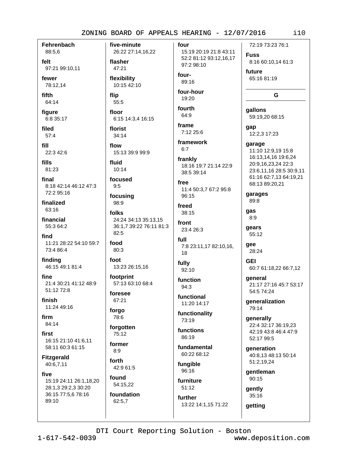**Fehrenbach** 88:5,6

felt 97:21 99:10.11

fewer 78:12,14

fifth 64:14

figure 6:8 35:17

filed  $57:4$ 

fill 22:3 42:6

fills 81:23

final 8:18 42:14 46:12 47:3 72:2 95:16

finalized 63:16

financial 55:3 64:2

find 11:21 28:22 54:10 59:7 73:4 86:4

finding 46:15 49:1 81:4

fine 21:4 30:21 41:12 48:9 51:12 72:8

finish 11:24 49:16

firm 84:14

first 16:15 21:10 41:6.11 58:11 60:3 61:15

**Fitzgerald** 40:6,7,11

five 15:19 24:11 26:1,18,20 28:1,3 29:2,3 30:20 36:15 77:5,6 78:16 89:10

26:22 27:14,16,22 flasher 47:21 flexibility 10:15 42:10

flip 55:5

five-minute

floor 6:15 14:3,4 16:15

florist  $34:14$ 

flow 15:13 39:9 99:9

fluid  $10:14$ 

focused  $9:5$ 

focusing 98:9

folks 24:24 34:13 35:13,15 36:1,7 39:22 76:11 81:3  $82:5$ 

food 80:3

foot 13:23 26:15,16

footprint 57:13 63:10 68:4

foresee 67:21

forgo 78:6

forgotten 75:12

former  $8.9$ forth

42:9 61:5 found 54:15.22

foundation 62:5,7

four 15:19 20:19 21:8 43:11

> 52:2 81:12 93:12,16,17 97:2 98:10

four-89:16 four-hour

19:20

fourth 64:9

frame 7:12 25:6

framework  $6:7$ 

frankly 18:16 19:7 21:14 22:9 38:5 39:14

free 11:4 50:3,7 67:2 95:8 96:15

freed  $38:15$ 

front  $23.426.3$ 

> full 7:8 23:11,17 82:10,16, 18

fully 92:10

function  $94:3$ 

functional 11:20 14:17

functionality 73:19

functions  $86.19$ 

fundamental 60:22 68:12

fungible 96:16

furniture  $51:12$ 

DTI Court Reporting Solution - Boston

further 13:22 14:1,15 71:22

72:19 73:23 76:1 **Fuss** 8:16 60:10,14 61:3

future 65:16 81:19

#### G

gallons 59:19,20 68:15 qap

12:2,3 17:23

garage 11:10 12:9,19 15:8 16:13,14,16 19:6,24 20:9,16,23,24 22:3 23:6,11,16 28:5 30:9,11 61:16 62:7.13 64:19.21 68:13 89:20,21

garages 89:8

qas  $8:9$ 

gears 55:12

aee

28:24 **GEI** 

60:7 61:18,22 66:7,12

qeneral 21:17 27:16 45:7 53:17 54:5 74:24

qeneralization 79:14

generally 22:4 32:17 36:19,23 42:19 43:8 46:4 47:9 52:17 99:5

generation 40:8.13 48:13 50:14 51:2,19,24

gentleman 90:15

gently 35:16

getting

 $1 - 617 - 542 - 0039$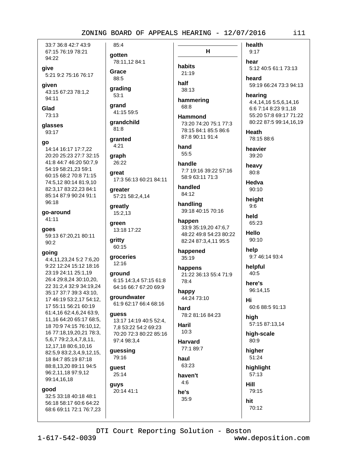33:7 36:8 42:7 43:9 67:15 76:19 78:21 94:22

give 5:21 9:2 75:16 76:17

given

43:15 67:23 78:1,2 94:11

Glad 73:13

glasses

93:17

#### qo

14:14 16:17 17:7,22 20:20 25:23 27:7 32:15 41:8 44:7 46:20 50:7,9 54:19 58:21,23 59:1 60:15 68:2 70:8 71:15 74:5,12 80:14 81:9,10 82:3,17 83:22,23 84:1 85:14 87:9 90:24 91:1 96:18

go-around  $41:11$ 

goes 59:13 67:20,21 80:11 90:2

#### going

4:4,11,23,24 5:2 7:6,20 9:22 12:24 15:12 18:16 23:19 24:11 25:1,19 26:4 29:8,24 30:10,20, 22 31:2,4 32:9 34:19,24 35:17 37:7 39:3 43:10, 17 46:19 53:2,17 54:12, 17 55:11 56:21 60:19 61:4,16 62:4,6,24 63:9, 11,16 64:20 65:17 68:5, 18 70:9 74:15 76:10,12, 16 77:18,19,20,21 78:3, 5,6,7 79:2,3,4,7,8,11, 12,17,18 80:6,10,16 82:5,9 83:2,3,4,9,12,15, 18 84:7 85:19 87:18 88:8.13.20 89:11 94:5 96:2,11,18 97:9,12 99:14,16,18

good

32:5 33:18 40:18 48:1 56:18 58:17 60:6 64:22 68:6 69:11 72:1 76:7,23

85:4 qotten

78:11,12 84:1

Grace 88:5

grading  $53:1$ 

grand 41:15 59:5

grandchild  $81:8$ 

granted  $4:21$ 

graph 26:22

qreat 17:3 56:13 60:21 84:11

greater 57:21 58:2,4,14

greatly 15:2,13

green 13:18 17:22

aritty 60:15

aroceries  $12:16$ 

around 6:15 14:3,4 57:15 61:8 64:16 66:7 67:20 69:9

groundwater 61:9 62:17 66:4 68:16

#### guess

13:17 14:19 40:5 52:4, 7,8 53:22 54:2 69:23 70:20 72:3 80:22 85:16 97:4 98:3,4

guessing 79:16

guest 25:14

guys 20:14 41:1

 $H$ habits 21:19

half  $38:13$ 

hammering 68:8

**Hammond** 73:20 74:20 75:1 77:3 78:15 84:1 85:5 86:6 87:8 90:11 91:4

hand 55:5

handle 7:7 19:16 39:22 57:16 58:9 63:11 71:3

handled 84:12

handling 39:18 40:15 70:16

happen 33:9 35:19,20 47:6,7 48:22 49:8 54:23 80:22 82:24 87:3,4,11 95:5

happened 35:19

happens 21:22 36:13 55:4 71:9 78:4

happy 44:24 73:10

hard 78:2 81:16 84:23

Haril  $10:3$ 

**Harvard** 77:1 89:7 haul

63:23 haven't  $4:6$ 

he's

35:9

**Hill** hit

health  $9:17$ hear 5:12 40:5 61:1 73:13 heard 59:19 66:24 73:3 94:13

hearing

4:4,14,16 5:5,6,14,16 6:6 7:14 8:23 9:1.18 55:20 57:8 69:17 71:22 80:22 87:5 99:14,16,19

**Heath** 78:15 88:6

heavier 39:20

heavy  $80:8$ 

Hedva  $90:10$ 

height  $9:6$ 

held 65:23

Hello 90:10

help 9:7 46:14 93:4

40:5 here's

helpful

96:14,15 Hi

high 57:15 87:13,14

60:6 88:5 91:13

high-scale 80:9

higher 51:24

highlight 57:13

79:15 70:12

DTI Court Reporting Solution - Boston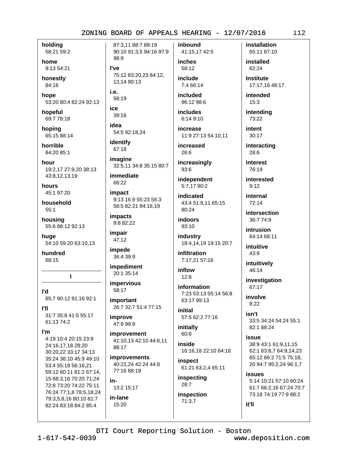holdina 58:21 59:2

home 9:13 54:21

honestly 84:16

hope 53:20 80:4 82:24 92:13

hopeful 69:7 78:18

hopina 65:15 88:14

horrible 84:20 85:1

hour 19:2.17 27:9.20 38:13 43:8,12,13,19

hours 45:1 97:20

household  $55:1$ 

housing 55:6 88:12 92:13

huge 54:10 59:20 63:10,13

hundred 68:15

L

ľd 85:7 90:12 91:16 92:1

**PIL** 31:7 35:8 41:5 55:17 61:13 74:2

l'm

4:19 10:4 20:15 23:9 24:16,17,18 28:20 30:20.22 33:17 34:13 35:24 36:10 45:9 49:10 53:4 55:18 56:16,21 59:12 60:11 61:2 67:14, 15 68:3,16 70:20 71:24 72:8 73:20 74:22 75:11 76:24 77:1,8 78:5,18,24 79:3,5,8,16 80:10 81:7 82:24 83:18 84:2 85:4

87:3.11 88:7 89:19 90:10 91:3,5 94:16 97:9 98:9 l've

75:12 83:20.23 84:12. 13,14 90:13

i.e. 58:19 ice

39:16

idea 54:5 92:18,24

identify 67:18

imagine 32:5,11 34:8 35:15 80:7

immediate 68:22

impact 9:13 16:9 55:23 56:3 58:5 82:21 84:16,19

*impacts* 9:8 82:22

impair 47:12

impede 36:4 39:9

impediment 20:1 35:14

impervious 58:17

important 26:7 32:7 51:4 77:15

improve 47:9 99:9

improvement 41:10,13 42:10 44:6,11 88:17

**improvements** 40:22,24 42:24 44:8 77:16 88:18

in-13:2 15:17

in-lane 15:20

inbound 41:15,17 42:5 inches

> 58:12 include

7:4 66:14 included

96:12 98:6

*includes* 6:14 9:10

increase 11:9 27:13 54:10.11

increased  $26:6$ 

increasingly  $93:6$ 

independent 5:7,17 90:2

**indicated** 43:4 51:9.11 65:15 80:24

indoors 93:10

industry 18:4,14,19 19:15 20:7

infiltration 7:17,21 57:16

inflow  $12:8$ 

information 7:23 53:13 55:14 56:8 63:17 99:13

initial 57:5 62:2 77:16

initially 60:8

inside 16:16,18 22:10 64:18

inspect 61:21 63:2,4 65:11

inspecting  $28:7$ 

inspection  $71:3.7$ 

73:18 74:19 77:9 88:2

it'll

DTI Court Reporting Solution - Boston

 $1 - 617 - 542 - 0039$ 

www.deposition.com

installation 65:11 67:10

installed 62:24

**Institute** 17:17,18 48:17

intended  $15:3$ 

intending 73:22

intent  $30:17$ 

interacting 28:6

interest 76:19

interested  $9:12$ 

internal  $72:14$ 

intersection 36:7 74:9

intrusion 64:14 68:11

intuitive 43:9

intuitively 46:14

investigation 67:17

involve  $8:22$ 

isn't 33:5 34:24 54:24 55:1 82:1 88:24

issue 38:9 43:1 61:9.11.15 62:1 63:6,7 64:9,14,23 65:12 66:2 71:5 75:18, 20 94:7 95:2,24 96:1,7

issues 5:14 10:21 57:10 60:24 61:7 66:2.16 67:24 70:7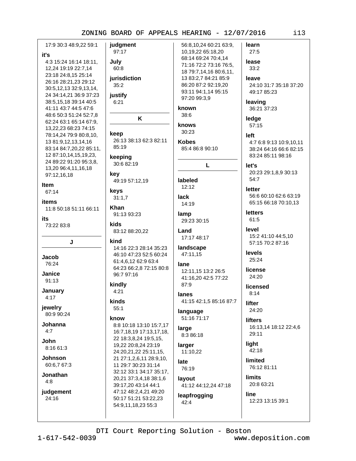17:9 30:3 48:9.22 59:1 judgment 97:17 4:3 15:24 16:14 18:11, July 12,24 19:19 22:7,14 60:8 23:18 24:8,15 25:14 iurisdiction 26:16 28:21,23 29:12  $35:2$ 30:5,12,13 32:9,13,14, 24 34:14,21 36:9 37:23 justify 38:5,15,18 39:14 40:5  $6:21$ 41:11 43:7 44:5 47:6 48:6 50:3 51:24 52:7,8 K 62:24 63:1 65:14 67:9. 13,22,23 68:23 74:15 keep 78:14,24 79:9 80:8,10, 26:13 38:13 62:3 82:11 13 81:9,12,13,14,16 85:19 83:14 84:7,20,22 85:11, 12 87:10,14,15,19,23, keeping 24 89:22 91:20 95:3.8. 30:6 82:19 13,20 96:4,11,16,18 kev 97:12,16,18 49:19 57:12.19 keys 67:14  $31:1,7$ items Khan 11:8 50:18 51:11 66:11 91:13 93:23 kids 73:22 83:8 83:12 88:20,22 kind J 14:16 22:3 28:14 35:23 46:10 47:23 52:5 60:24 **Jacob** 61:4.6.12 62:9 63:4 76:24 64:23 66:2,8 72:15 80:8 Janice 96:7 97:16 91:13 kindly January  $4:21$ kinds jewelry  $55:1$ 80:9 90:24 know Johanna 8:8 10:18 13:10 15:7,17 16:7,18,19 17:13,17,18, 22 18:3,8,24 19:5,15, 19,22 20:8,24 23:19  $8.1661.3$ 24:20,21,22 25:11,15, **Johnson** 21 27:1,2,6,11 28:9,10, 60:6.7 67:3 11 29:7 30:23 31:14 32:12 33:1 34:17 35:17, Jonathan 20,21 37:3,4,18 38:1,6 39:17,20 43:14 44:1 judgement

it's

Item

its

 $4:17$ 

 $4:7$ 

John.

 $4:8$ 

 $24:16$ 

56:8,10,24 60:21 63:9, 97:20 99:3,9 known  $38:6$ knows 30:23 **Kobes** labeled  $12:12$ lack 14:19 lamp 29:23 30:15 I and 17:17 48:17 landscape 47:11,15 lane 87:9 lanes language 51:16 71:17 large 8:3 86:18 larger 11:10,22 late 76:19 lavout 47:12 48:2,4,21 49:20 leapfrogging 50:17 51:21 53:22.23  $42:4$ 54:9,11,18,23 55:3

learn 10,19,22 65:18,20  $27:5$ 68:14 69:24 70:4,14 lease 71:16 72:2 73:16 76:5,  $33:2$ 18 79:7,14,16 80:6,11, 13 83:2,7 84:21 85:9 leave 86:20 87:2 92:19.20 93:11 94:1,14 95:15 leaving ledge 57:15 left 85:4 86:8 90:10 L let's 54:7 **letter** letters 61:5 level levels 25:24 license 12:11,15 13:2 26:5 24:20 41:16,20 42:5 77:22  $8:14$ 41:15 42:1,5 85:16 87:7 **lifter** 24:20 **lifters** light limited **limits** 41:12 44:12,24 47:18 line

24:10 31:7 35:18 37:20 49:17 85:23 36:21 37:23 4:7 6:8 9:13 10:9,10,11 38:24 64:16 66:6 82:15 83:24 85:11 98:16 20:23 29:1,8,9 30:13 56:6 60:10 62:6 63:19 65:15 66:18 70:10,13 15:2 41:10 44:5.10 57:15 70:2 87:16 licensed

16:13,14 18:12 22:4,6 29:11

 $42:18$ 

76:12 81:11

20:8 63:21 12:23 13:15 39:1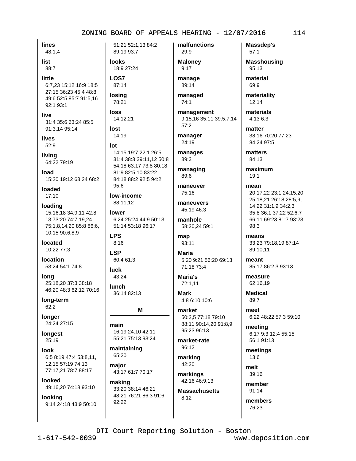**lines** 48:1,4

list 88:7

little

6:7,23 15:12 16:9 18:5 27:15 36:23 45:4 48:8 49:6 52:5 85:7 91:5.16 92:1 93:1

live 31:4 35:6 63:24 85:5 91:3,14 95:14

lives  $52:9$ 

livina 64:22 79:19

**Inad** 15:20 19:12 63:24 68:2

loaded 17:10

loading 15:16,18 34:9,11 42:8, 13 73:20 74:7,19,24 75:1.8.14.20 85:8 86:6. 10,15 90:6,8,9

located 10:22 77:3

location 53:24 54:1 74:8

lona 25:18.20 37:3 38:18 46:20 48:3 62:12 70:16

long-term 62:2

**longer** 24:24 27:15

longest 25:19

look 6:5 8:19 47:4 53:8,11, 12,15 57:19 74:13 77:17,21 78:7 88:17

**Innked** 49:16,20 74:18 93:10

looking 9:14 24:18 43:9 50:10 51:21 52:1.13 84:2 89:19 93:7

**looks** 18:9 27:24

LOS7 87:14

**losina** 

78:21 **loss** 

14:12,21

lost 14:19

lot

14:15 19:7 22:1 26:5 31:4 38:3 39:11,12 50:8 54:18 63:17 73:8 80:18 81:9 82:5.10 83:22 84:18 88:2 92:5 94:2  $95:6$ 

low-income 88:11.12

lower 6:24 25:24 44:9 50:13 51:14 53:18 96:17

**LPS**  $8:16$ **LSP** 

60:4 61:3

**luck**  $43:24$ 

lunch 36:14 82:13

#### M

main 16:19 24:10 42:11 55:21 75:13 93:24

maintaining 65:20

major 43:17 61:7 70:17

making 33:20 38:14 46:21 48:21 76:21 86:3 91:6 92:22

**Maloney**  $9:17$ 

29:9

malfunctions

manage 89:14

managed  $74:1$ 

management 9:15,16 35:11 39:5,7,14  $57:2$ 

manager 24:19

manages 39:3

managing 89:6

maneuver  $75.16$ 

maneuvers 45:19 46:3

manhole 58:20,24 59:1

map 93:11

**Maria** 5:20 9:21 56:20 69:13 71:18 73:4

Maria's 72:1.11

**Mark** 4:8 6:10 10:6

market 50:2,5 77:18 79:10 88:11 90:14,20 91:8,9 95:23 96:13

market-rate  $96:12$ 

marking 42:20

markings 42:16 46:9,13

**Massachusetts**  $8:12$ 

Massdep's  $57:1$ **Masshousing** 

95:13 material

69:9

materiality  $12:14$ 

materials 4:13 6:3

matter 38:16 70:20 77:23 84:24 97:5

matters 84:13

maximum  $19:1$ 

mean 20:17,22 23:1 24:15,20 25:18,21 26:18 28:5,9, 14,22 31:1,9 34:2,3 35:8 36:1 37:22 52:6,7 66:11 69:23 81:7 93:23 98:3

means 33:23 79:18,19 87:14 89:10,11

meant 85:17 86:2,3 93:13

measure 62:16,19

**Medical** 89:7

meet 6:22 48:22 57:3 59:10

meeting 6:17 9:3 12:4 55:15 56:1 91:13

meetings 13:6

melt 39:16

> member 91:14

members 76:23

DTI Court Reporting Solution - Boston

www.deposition.com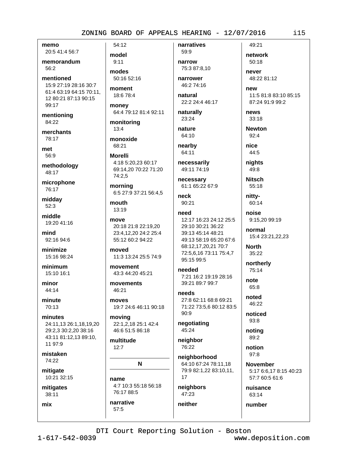memo 20:5 41:4 56:7

memorandum

56:2

mentioned 15:9 27:19 28:16 30:7 61:4 63:19 64:15 70:11. 12 80:21 87:13 90:15 99:17

mentioning 84:22

merchants 78:17

met 56:9

methodology 48:17

microphone 76:17

midday  $52:3$ 

middle 19:20 41:16

mind 92:16 94:6

minimize 15:16 98:24

minimum 15:10 16:1

minor 44:14

minute 70:13

minutes 24:11,13 26:1,18,19,20 29:2,3 30:2,20 38:16 43:11 81:12,13 89:10, 11 97:9

mistaken 74:22

mitigate 10:21 32:15

mitigates 38:11

mix

54:12 model  $9:11$ 

modes 50:16 52:16

moment 18:6 78:4

money 64:4 79:12 81:4 92:11

monitoring  $13:4$ 

monoxide 68:21

**Morelli** 4:18 5:20.23 60:17 69:14.20 70:22 71:20 74:2.5

morning 6:5 27:9 37:21 56:4,5

mouth 13:19

move 20:18 21:8 22:19.20 23:4,12,20 24:2 25:4 55:12 60:2 94:22

moved 11:3 13:24 25:5 74:9

movement 43:3 44:20 45:21

movements 46:21

moves 19:7 24:6 46:11 90:18

moving 22:1,2,18 25:1 42:4 46:6 51:5 86:18

multitude  $12:7$ 

narrative

57:5

N

name

4:7 10:3 55:18 56:18 76:17 88:5

narrow 75:3 87:8.10

59:9

narratives

narrower 46:2 74:16

natural 22:2 24:4 46:17

naturally 23:24

nature 64:10

nearby 64:11

necessarily 49:11 74:19

necessary 61:1 65:22 67:9

neck  $90:21$ 

#### need 12:17 16:23 24:12 25:5 29:10 30:21 36:22 39:13 45:14 48:21 49:13 58:19 65:20 67:6 68:12,17,20,21 70:7 72:5,6,16 73:11 75:4,7 95:15 99:5

needed 7:21 16:2 19:19 28:16 39:21 89:7 99:7

**Phagn** 27:8 62:11 68:8 69:21 71:22 73:5,6 80:12 83:5  $90:9$ 

negotiating 45:24

neighbor 76:22

neighborhood 64:10 67:24 78:11,18 79:9 82:1,22 83:10,11, 17

neighbors 47:23

neither

**November** 57:7 60:5 61:6

nuisance 63:14

number

news 33:18 **Newton**  $92:4$ nice 44:5 nights 49:8

11:5 81:8 83:10 85:15

87:24 91:9 99:2

**Nitsch** 55:18

49:21

network

48:22 81:12

50:18

never

new

nitty-60:14

noise 9:15,20 99:19

normal 15:4 23:21,22,23

**North** 35:22

northerly  $75:14$ 

note 65:8

noted  $46.22$ 

> noticed 93:8

noting 89:2

notion  $97:8$ 

5:17 6:6,17 8:15 40:23

DTI Court Reporting Solution - Boston

www.deposition.com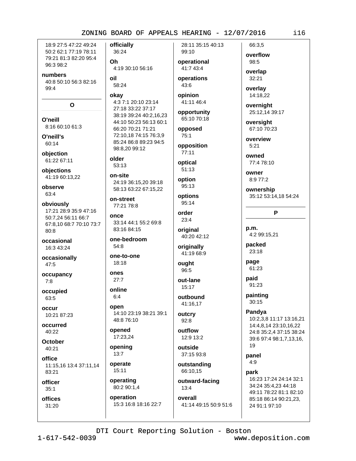18:9 27:5 47:22 49:24 50:2 62:1 77:19 78:11 79:21 81:3 82:20 95:4 96:3 98:2

numbers 40:8 50:10 56:3 82:16  $99:4$ 

 $\Omega$ 

O'neill 8:16 60:10 61:3

O'neill's 60:14

objection 61:22 67:11

objections 41:19 60:13.22

observe 63:4

obviously 17:21 28:9 35:9 47:16 50:7,24 56:11 66:7 67:8,10 68:7 70:10 73:7  $80:8$ 

occasional 16:3 43:24

occasionally 47:5

occupancy  $7:8$ 

occupied 63:5

occur 10:21 87:23

occurred 40:22

**October** 40:21

office

11:15,16 13:4 37:11,14 83:21

officer  $35:1$ 

offices 31:20

officially 36:24

0h 4:19 30:10 56:16

#### oil 58:24

okav

4:3 7:1 20:10 23:14 27:18 33:22 37:17 38:19 39:24 40:2,16,23 44:10 50:23 56:13 60:1 66:20 70:21 71:21 72:10,18 74:15 76:3,9 85:24 86:8 89:23 94:5 98:8.20 99:12

older  $53:13$ 

on-site 24:19 36:15,20 39:18 58:13 63:22 67:15,22

on-street 77:21 78:8

once 33:14 44:1 55:2 69:8 83:16 84:15

one-bedroom  $54:8$ 

one-to-one 18:18

ones  $27:7$ 

online  $6:4$ 

open 14:10 23:19 38:21 39:1 48:8 76:10

opened 17:23,24

opening  $13:7$ 

operate  $15:11$ 

operating 80:2 90:1,4 operation

15:3 16:8 18:16 22:7

28:11 35:15 40:13 99:10

operational 41:7 43:4 operations

43:6 opinion

41:11 46:4

opportunity 65:10 70:18

opposed  $75:1$ 

opposition 77:11

optical  $51:13$ 

option

95:13

options 95:14

order 23:4

original 40:20 42:12

originally 41:19 68:9

ought  $96:5$ 

out-lane 15:17

outbound 41:16.17

outcry  $92:8$ 

outflow 12:9 13:2

outside 37:15 93:8

outstanding 66:10,15

outward-facing

 $13:4$ overall

41:14 49:15 50:9 51:6

overflow 98:5 overlap

66:3.5

 $32:21$ 

overlay 14:18.22

overnight 25:12,14 39:17

oversight 67:10 70:23

overview  $5:21$ 

owned 77:4 78:10

OWDAY 8:9 77:2

ownership 35:12 53:14,18 54:24

P

p.m. 4:2 99:15,21

packed 23:18

page 61:23

paid 91:23

painting  $30:15$ 

Pandva 10:2,3,8 11:17 13:16,21 14:4,8,14 23:10,16,22

24:8 35:2.4 37:15 38:24 39:6 97:4 98:1,7,13,16, 19

panel  $4:9$ 

park 16:23 17:24 24:14 32:1

34:24 35:4.23 44:18 49:11 78:22 81:1 82:10 85:18 86:14 90:21,23, 24 91:1 97:10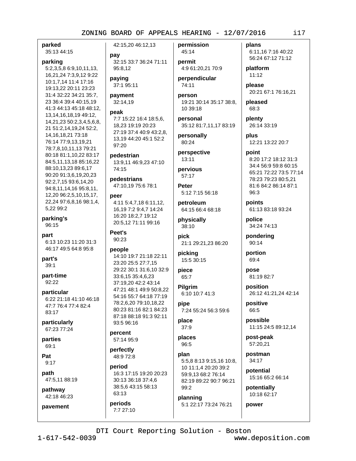parked 35:13 44:15

# parking

5:2,3,5,8 6:9,10,11,13, 16,21,24 7:3,9,12 9:22 10:1,7,14 11:4 17:16 19:13,22 20:11 23:23 31:4 32:22 34:21 35:7, 23 36:4 39:4 40:15,19 41:3 44:13 45:18 48:12, 13, 14, 16, 18, 19 49: 12, 14,21,23 50:2,3,4,5,6,8, 21 51:2,14,19,24 52:2, 14, 16, 18, 21 73: 18 76:14 77:9,13,19,21 78:7,8,10,11,13 79:21 80:18 81:1,10,22 83:17 84:5,11,13,18 85:16,22 88:10,13,23 89:6,17 90:20 91:3,6,19,20,23 92:2,7,15 93:6,14,20 94:8,11,14,16 95:8,11, 12,20 96:2,5,10,15,17, 22,24 97:6,8,16 98:1,4, 5,22 99:2

parking's 96:15

part 6:13 10:23 11:20 31:3 46:17 49:5 64:8 95:8

part's  $39:1$ 

part-time 92:22

particular 6:22 21:18 41:10 46:18 47:7 76:4 77:4 82:4  $83:17$ 

particularly 67:23 77:24

parties 69:1

Pat  $9:17$ 

path 47:5,11 88:19

pathway 42:18 46:23

pavement

42:15,20 46:12,13

pay 32:15 33:7 36:24 71:11 95:8.12

paying 37:1 95:11

payment 32:14,19

#### peak

7:7 15:22 16:4 18:5,6, 18,23 19:19 20:23 27:19 37:4 40:9 43:2.8. 13.19 44:20 45:1 52:2 97:20

pedestrian 13:9,11 46:9,23 47:10 74:15

pedestrians 47:10,19 75:6 78:1

peer 4:11 5:4,7,18 6:11,12, 16,19 7:2 9:4,7 14:24 16:20 18:2,7 19:12 20:5,12 71:11 99:16

Peet's 90:23

#### people

14:10 19:7 21:18 22:11 23:20 25:5 27:7,15 29:22 30:1 31:6,10 32:9 33:6,15 35:4,6,23 37:19.20 42:2 43:14 47:21 48:1 49:9 50:8,22 54:16 55:7 64:18 77:19 78:2.6.20 79:10.18.22 80:23 81:16 82:1 84:23 87:18 88:18 91:3 92:11 93:5 96:16

percent 57:14 95:9

perfectly 48:9 72:8

period 16:3 17:15 19:20 20:23 30:13 36:18 37:4,6 38:5,6 43:15 58:13 63:13

periods 7:7 27:10

45:14 permit 4:9 61:20,21 70:9

permission

perpendicular 74:11

person 19:21 30:14 35:17 38:8, 10 39:18

personal 35:12 81:7,11,17 83:19

personally 80:24

perspective 13:11

pervious 57:17

Peter 5:12 7:15 56:18

petroleum 64:15 66:4 68:18

physically 38:10

pick 21:1 29:21,23 86:20

picking 15:5 30:15

piece 65:7

Pilgrim 6:10 10:7 41:3

pipe 7:24 55:24 56:3 59:6

place  $37:9$ 

places 96:5

plan 5:5,8 8:13 9:15,16 10:8, 10 11:1,4 20:20 39:2 59:9,13 68:2 76:14 82:19 89:22 90:7 96:21  $99:2$ 

planning 5:1 22:17 73:24 76:21 plans 6:11,16 7:16 40:22 56:24 67:12 71:12

platform  $11:12$ 

please 20:21 67:1 76:16,21

pleased 68:3

plenty 26:14 33:19

plus 12:21 13:22 20:7

point 8:20 17:2 18:12 31:3 34:4 56:9 59:8 60:15 65:21 72:22 73:5 77:14 78:23 79:23 80:5,21 81:6 84:2 86:14 87:1  $96:3$ 

points 61:13 83:18 93:24

police 34:24 74:13

pondering 90:14

portion 69:4

pose 81:19 82:7

position 26:12 41:21,24 42:14

positive 66:5

possible 11:15 24:5 89:12,14

post-peak 57:20,21

postman 34:17

potential 15:16 65:2 66:14

potentially 10:18 62:17

power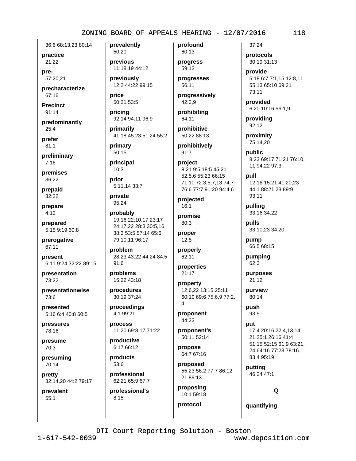36:6 68:13.23 80:14

practice 21:22

pre-57:20.21

precharacterize 67:16

**Precinct**  $91:14$ 

predominantly  $25:4$ 

prefer  $81:1$ 

preliminary  $7:16$ 

premises 36:22

prepaid  $32:22$ 

prepare  $4:12$ 

prepared 5:15 9:19 60:8

prerogative 67:11

present 6:11 9:24 32:22 89:15

presentation 73:22

presentationwise  $73:6$ 

presented 5:16 6:4 40:8 60:5

pressures 78:16

presume 70:3

presuming 70:14

pretty 32:14,20 44:2 79:17

prevalent  $55:1$ 

prevalently 50:20

previous 11:18.19 44:12 previously

12:2 44:22 99:15

price 50:21 53:5

pricing 92:14 94:11 96:9

primarily 41:18 45:23 51:24 55:2

primary 50:15

principal  $10:3$ 

prior 5:11,14 33:7

private 95:24

probably 19:16 22:10,17 23:17 24:17.22 28:3 30:5.16 38:3 53:5 57:14 65:6 79:10,11 96:17

problem 28:23 43:22 44:24 84:5  $91:6$ 

problems 15:22 43:18

procedures 30:19 37:24

proceedings 4:1 99:21

process 11:20 69:8,17 71:22

productive 6:17 66:12

products 53:6

professional 62:21 65:9 67:7

professional's  $8:15$ 

profound 60:13

progress 59:12 progresses

56:11

progressively 42:3,9

prohibiting 64:11

prohibitive 50:22 88:13

prohibitively  $91:7$ 

project 8:21 9:5 18:5 45:21 52:5,6 55:23 66:15 71:10 72:3,5,7,13 74:7 76:6 77:7 91:20 94:4,6

projected  $16:1$ 

promise 80:3

proper  $12:8$ 

properly 62:11

properties 21:17

property 12:6,22 13:15 25:11 60:10 69:6 75:6.9 77:2.  $\boldsymbol{\Lambda}$ 

proponent 44:23

proponent's 50:11 52:14

propose 64:7 67:16

proposed 55:23 56:2 77:7 86:12, 21 89:13

proposing 10:1 59:18

protocol

 $37:24$ protocols

30:19 31:13

provide 5:18 6:7 7:1.15 12:8.11 55:13 65:10 69:21 73:11

provided 6:20 10:16 56:1,9

providing 92:12

proximity 75:14,20

public 8:23 69:17 71:21 76:10, 11 94:22 97:3

pull 12:16 15:21 41:20,23 44:1 88:21,23 89:9 93:11

pulling 33:16 34:22

pulls 33:10,23 34:20

pump 66:5 68:15

pumping 62:3

purposes  $21:12$ 

purview 80:14

push 93:5

put 17:4 20:16 22:4,13,14, 21 25:1 26:16 41:4 51:15 52:15 61:9 63:21. 24 64:16 77:23 78:16 83:4 95:19

putting 46:24 47:1

 $\Omega$ 

quantifying

DTI Court Reporting Solution - Boston

 $1 - 617 - 542 - 0039$ 

www.deposition.com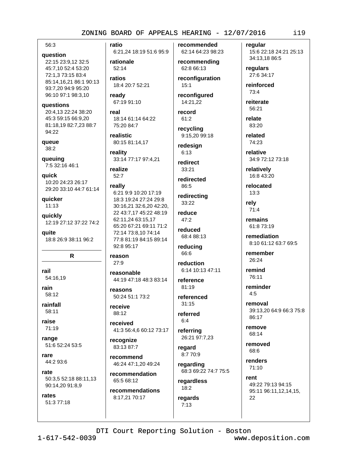#### 56:3

#### question

22:15 23:9,12 32:5 45:7,10 52:4 53:20 72:1.3 73:15 83:4 85:14,16,21 86:1 90:13 93:7,20 94:9 95:20 96:10 97:1 98:3,10

#### questions

20:4,13 22:24 38:20 45:3 59:15 66:9.20 81:18,19 82:7,23 88:7 94:22

queue 38:2

queuing 7:5 32:16 46:1

quick 10:20 24:23 26:17 29:20 33:10 44:7 61:14

quicker  $11:13$ 

quickly 12:19 27:12 37:22 74:2

quite 18:8 26:9 38:11 96:2

#### R.

rail 54:16,19

rain 58:12

rainfall 58:11

raise 71:19

range 51:6 52:24 53:5

rare 44:2 93:6

rate 50:3,5 52:18 88:11,13 90:14,20 91:8,9

rates 51:3 77:18 ratio 6:21,24 18:19 51:6 95:9

rationale  $52:14$ 

ratios 18:4 20:7 52:21

ready 67:19 91:10

real 18:14 61:14 64:22 75:20 84:7

realistic 80:15 81:14,17

reality 33:14 77:17 97:4,21

realize  $52:7$ 

# really

6:21 9:9 10:20 17:19 18:3 19:24 27:24 29:8 30:16,21 32:6,20 42:20, 22 43:7,17 45:22 48:19 62:11,24 63:15,17 65:20 67:21 69:11 71:2 72:14 73:8,10 74:14 77:8 81:19 84:15 89:14 92:8 95:17

reason 27:9

reasonable 44:19 47:18 48:3 83:14

reasons 50:24 51:1 73:2

receive 88:12

received 41:3 56:4,6 60:12 73:17

recognize 83:13 87:7

recommend 46:24 47:1,20 49:24

recommendation 65:5 68:12

recommendations 8:17,21 70:17

recommended 62:14 64:23 98:23

# recommending 62:8 66:13

reconfiguration  $15:1$ 

reconfigured 14:21,22

#### record 61:2

recycling 9:15,20 99:18

redesign

 $6:13$ redirect

 $33:21$ 

redirected 86:5

redirecting  $33:22$ 

reduce 47:2

reduced 68:4 88:13

reducing 66:6

reduction 6:14 10:13 47:11

reference 81:19

referenced  $31.15$ 

referred  $6:4$ 

referring 26:21 97:7,23

regard 8:7 70:9

regarding 68:3 69:22 74:7 75:5

regardless  $18:2$ regards  $7:13$ 

regular 15:6 22:18 24:21 25:13 34:13,18 86:5

regulars 27:6 34:17

reinforced 73:4

reiterate 56:21

relate 83:20

related 74:23

relative 34:9 72:12 73:18

relatively 16:8 43:20

relocated  $13:3$ 

rely  $71:4$ 

remains 61:8 73:19

remediation 8:10 61:12 63:7 69:5

remember 26:24

remind 76:11

reminder  $4:5$ 

removal 39:13,20 64:9 66:3 75:8  $86.17$ 

remove 68:14

removed 68:6

renders 71:10

rent 49:22 79:13 94:15 95:11 96:11,12,14,15, 22

 $1 - 617 - 542 - 0039$ 

www.deposition.com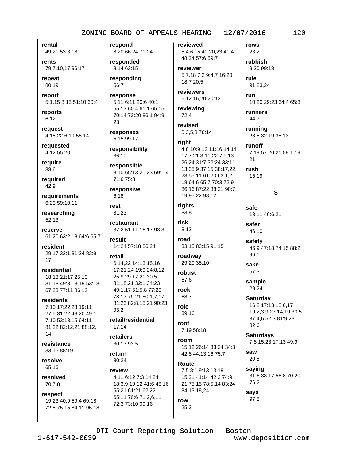rental

49:21 53:3,18

rents 79:7,10,17 96:17

repeat 80:19

report 5:1,15 8:15 51:10 60:4

reports  $6:12$ 

reauest 4:15.22 6:19 55:14

requested 4:12 55:20

require 38:6

required 42:9

requirements 6:23 59:10.11

researching 52:13

reserve 61:20 63:2,18 64:6 65:7

resident 29:17 33:1 81:24 82:9, 17

residential 18:18 21:17 25:13 31:18 49:3,18,19 53:18 67:23 77:11 86:12

#### residents

7:10 17:22,23 19:11 27:5 31:22 48:20 49:1. 7,10 53:13,15 64:11 81:22 82:12,21 88:12, 14

resistance 33:15 88:19

resolve 65:16

resolved 70:7,8

respect 19:23 40:9 59:4 69:18 72:5 75:15 84:11 95:18 respond 8:20 66:24 71:24

responded 8:14 63:15

responding 56:7

response 5:11 6:11 20:6 40:1 55:13 60:4 61:1 65:15 70:14 72:20 86:1 94:9, 23

responses 5:15 99:17

responsibility  $36:10$ 

responsible 8:10 65:13,20,23 69:1,4 71:6 75:8

responsive  $6:18$ 

rest 81:23

restaurant 37:2 51:11,16,17 93:3

result 14:24 57:18 86:24

retail 6:14,22 14:13,15,16 17:21,24 19:9 24:8,12 25:9 29:17.21 30:5 31:18.21 32:1 34:23 49:1,17 51:5,8 77:20 78:17 79:21 80:1,7,17 81:23 82:8,15,21 90:23  $93:2$ 

retail/residential  $17:14$ 

retailers 30:13 93:5

return 30:24

review 4:11 6:12 7:3 14:24

18:3,9 19:12 41:6 48:16 55:21 61:21 62:22 65:11 70:6 71:2,6,11 72:3 73:10 99:16

reviewed 5:4 6:15 40:20,23 41:4 48:24 57:6 59:7

reviewer 5:7,18 7:2 9:4,7 16:20 18:7 20:5

reviewers 6:12,16,20 20:12

reviewing  $72:4$ 

revised 5:3,5,8 76:14

#### riaht

4:8 10:9,12 11:16 14:14 17:7 21:3,11 22:7,9,13 26:24 31:7 32:24 33:11, 13 35:9 37:15 38:17,22, 23 55:11 61:20 63:1,2, 18 64:6 65:7 70:3 72:9 86:16 87:22 88:21 90:7, 19 95:22 98:12

riahts 83:8

risk  $8:12$ 

road 33:15 83:15 91:15

roadway 29:20 35:10

robust 67:6

rock 68:7

role

 $39:16$ roof

7:19 58:18 room

15:12 26:14 33:24 34:3 42:8 44:13,16 75:7

Route 7:5 8:1 9:13 13:19 15:21 41:14 42:2 74:9, 21 75:15 78:5,14 83:24 84:13,18,24

rubbish 9:20 99:18 rule 91:23,24 run 10:20 29:23 64:4 65:3

rows

 $23:2$ 

runners 44:7

runnina 28:5 32:19 35:13

runoff 7:19 57:20,21 58:1,19, 21

rush

15:19

#### S

safe 13:11 46:6,21

safer 46:10

safety 46:9 47:18 74:15 88:2

96:1

67:3 sample

sake

29:24

**Saturday** 16:2 17:13 18:6.17 19:2,3,9 27:14,19 30:5 37:4,6 52:3 81:9,23 82:6

**Saturdays** 7:8 15:23 17:13 49:9

saw 20:5

saying 31:6 33:17 56:8 70:20 76:21

says 97:8

DTI Court Reporting Solution - Boston

row

25:3

www.deposition.com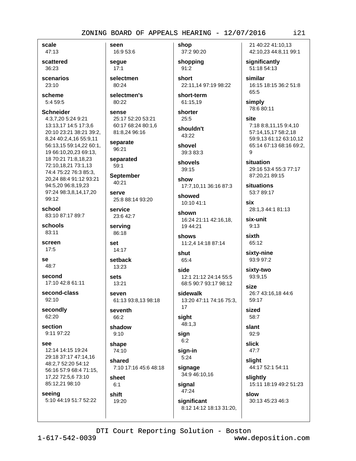scale 47:13

scattered 36:23

scenarios 23:10

scheme  $5:459:5$ 

#### **Schneider** 4:3,7,20 5:24 9:21

13:13,17 14:5 17:3,6 20:10 23:21 38:21 39:2, 8,24 40:2,4,16 55:9,11 56:13,15 59:14,22 60:1, 19 66:10.20.23 69:13. 18 70:21 71:8,18,23 72:10,18,21 73:1,13 74:4 75:22 76:3 85:3, 20,24 88:4 91:12 93:21 94:5,20 96:8,19,23 97:24 98:3,8,14,17,20 99:12

school 83:10 87:17 89:7

schools  $83:11$ 

screen  $17:5$ 

se 48:7

second 17:10 42:8 61:11

second-class 92:10

secondly 62:20

section 9:11 97:22

SAA

12:14 14:15 19:24 29:18 37:17 47:14,16 48:2,7 52:20 54:12 56:16 57:9 68:4 71:15, 17,22 72:5,6 73:10 85:12,21 98:10

seeing

5:10 44:19 51:7 52:22

seen 16:9 53:6

seque  $17:1$ 

selectmen 80:24

selectmen's  $80:22$ 

#### sense 25:17 52:20 53:21 60:17 68:24 80:1,6 81:8,24 96:16

separate 96:21

separated  $59:1$ 

**September** 40:21

**SALVA** 25:8 88:14 93:20

service 23:6 42:7

serving 86:18

set 14:17

setback 13:23

sets 13:21

seven 61:13 93:8,13 98:18

seventh 66:2

shadow  $9:10$ 

shape 74:10

shared 7:10 17:16 45:6 48:18

sheet  $6:1$ 

shift 19:20 shop 37:2 90:20

shopping  $91:2$ 

short 22:11,14 97:19 98:22

short-term 61:15,19

shorter  $25:5$ 

shouldn't 43:22

shovel 39:3 83:3

shovels  $39:15$ 

show 17:7,10,11 36:16 87:3

showed 10:10 41:1

shown 16:24 21:11 42:16,18, 19 44:21

shows 11:2,4 14:18 87:14

shut 65:4

side 12:1 21:12 24:14 55:5 68:5 90:7 93:17 98:12

sidewalk 13:20 47:11 74:16 75:3, 17

sight 48:1,3

sign  $6:2$ 

sign-in  $5:24$ 

signage 34:9 46:10,16

signal 47:24

significant 8:12 14:12 18:13 31:20, 21 40:22 41:10.13 42:10,23 44:8,11 99:1

significantly 51:18 54:13

similar 16:15 18:15 36:2 51:8 65:5

simply 78:6 80:11

site 7:18 8:8,11,15 9:4,10 57:14.15.17 58:2.18 59:9,13 61:12 63:10,12 65:14 67:13 68:16 69:2, 9

situation 29:16 53:4 55:3 77:17 87:20,21 89:15

**situations** 53:7 89:17

six 28:1,3 44:1 81:13

six-unit  $9:13$ 

sixth 65:12

sixty-nine 93:9 97:2

sixty-two 93:9.15

size 26:7 43:16,18 44:6 59:17

sized 58:7

slant  $92:9$ slick

 $47:7$ slight

44:17 52:1 54:11

slightly 15:11 18:19 49:2 51:23

slow 30:13 45:23 46:3

DTI Court Reporting Solution - Boston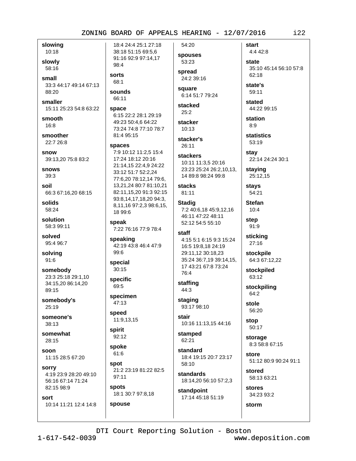slowing 10:18

slowly

58:16 small 33:3 44:17 49:14 67:13 88:20

smaller 15:11 25:23 54:8 63:22

smooth  $16:8$ 

smoother 22:7 26:8

snow 39:13,20 75:8 83:2

snows 39:3

soil 66:3 67:16,20 68:15

solids 58:24

solution 58:3 99:11

solved 95:4 96:7

solving  $91:6$ 

somebody 23:3 25:18 29:1,10 34:15,20 86:14,20 89:15

somebody's 25:19

someone's 38:13

somewhat 28:15

soon 11:15 28:5 67:20

sorry 4:19 23:9 28:20 49:10 56:16 67:14 71:24 82:15 98:9

sort 10:14 11:21 12:4 14:8

18:4 24:4 25:1 27:18 38:18 51:15 69:5,6 91:16 92:9 97:14,17 98:4

# sorts

68:1

66:11

sounds

space 6:15 22:2 28:1 29:19 49:23 50:4,6 64:22 73:24 74:8 77:10 78:7 81:4 95:15

#### spaces

7:9 10:12 11:2.5 15:4 17:24 18:12 20:16 21:14.15 22:4.9 24:22 33:12 51:7 52:2.24 77:6,20 78:12,14 79:6, 13,21,24 80:7 81:10,21 82:11,15,20 91:3 92:15 93:8,14,17,18,20 94:3, 8,11,16 97:2,3 98:6,15, 18 99:6

speak 7:22 76:16 77:9 78:4

speaking 42:19 43:8 46:4 47:9 99:6

special  $30:15$ 

specific 69:5

specimen  $47:13$ 

speed 11:9,13,15

spirit 92:12

spoke 61:6

spouse

spot 21:2 23:19 81:22 82:5 97:11

spots 18:1 30:7 97:8,18 **spouses** 53:23 spread

54:20

24:2 39:16 square 6:14 51:7 79:24

stacked  $25:2$ 

stacker  $10:13$ 

stacker's  $26:11$ 

#### **stackers**

10:11 11:3,5 20:16 23:23 25:24 26:2.10.13. 14 89:8 98:24 99:8

#### stacks 81:11

**Stadig** 7:2 40:6,18 45:9,12,16 46:11 47:22 48:11 52:12 54:5 55:10

```
staff
 4:15 5:1 6:15 9:3 15:24
 16:5 19:8,18 24:19
 29:11,12 30:18,23
 35:24 36:7,19 39:14,15,
 17 43:21 67:8 73:24
 76:4
```
staffing 44:3

staging 93:17 98:10

stair 10:16 11:13,15 44:16

stamped 62:21

standard 18:4 19:15 20:7 23:17 58:10

standards 18:14,20 56:10 57:2,3

standpoint 17:14 45:18 51:19 start 4:4 42:8

state 35:10 45:14 56:10 57:8  $62:18$ 

state's 59:11

stated 44:22 99:15

station  $8:9$ 

**statistics** 53:19

stay 22:14 24:24 30:1

staving 25:12,15

stays 54:21

**Stefan**  $10:4$ step

91:9

sticking 27:16

stockpile 64:3 67:12,22

stockpiled 63:12

stockpiling 64:2

stole 56:20

stop 50:17

> storage 8:3 58:8 67:15

store 51:12 80:9 90:24 91:1

stored 58:13 63:21

stores 34:23 93:2

storm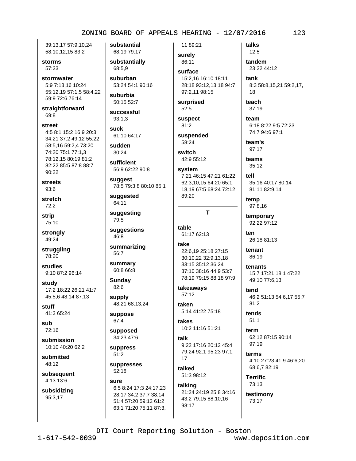39:13.17 57:9.10.24 58:10,12,15 83:2

storms 57:23

stormwater 5:9 7:13,16 10:24 55:12,19 57:1,5 58:4,22 59:9 72:6 76:14

straightforward 69:8

#### street

4:5 8:1 15:2 16:9 20:3 34:21 37:2 49:12 55:22 58:5,16 59:2,4 73:20 74:20 75:1 77:1.3 78:12.15 80:19 81:2 82:22 85:5 87:8 88:7 90:22

**streets**  $93:6$ 

stretch  $72:2$ 

**strip** 75:10

strongly 49:24

struggling 78:20

studies 9:10 87:2 96:14

study 17:2 18:22 26:21 41:7 45:5,6 48:14 87:13

stuff 41:3 65:24

suh 72:16

submission 10:10 40:20 62:2

submitted 48:12

subsequent 4:13 13:6

subsidizing 95:3,17

substantial 68:19 79:17

substantially 68:5.9

suburban 53:24 54:1 90:16

suburbia 50:15 52:7

successful  $93:1.3$ 

suck 61:10 64:17

sudden  $30:24$ 

sufficient 56:9 62:22 90:8

suggest 78:5 79:3,8 80:10 85:1

suggested 64:11

suggesting 79:5

suggestions 46:8

summarizing 56:7

summary 60:8 66:8

Sunday 82:6

supply 48:21 68:13,24

suppose

67:4 supposed

34:23 47:6

suppress  $51:2$ 

suppresses  $52:18$ 

sure 6:5 8:24 17:3 24:17,23 28:17 34:2 37:7 38:14 51:4 57:20 59:12 61:2 63:1 71:20 75:11 87:3,

11 89:21 surely

86:11 surface 15:2.16 16:10 18:11 28:18 93:12,13,18 94:7 97:2,11 98:15

surprised 52:5

suspect  $81:2$ 

suspended 58:24

switch 42:9 55:12

#### system

7:21 46:15 47:21 61:22 62:3,10,15 64:20 65:1, 18,19 67:5 68:24 72:12 89:20

T

table 61:17 62:13

take

```
22:6,19 25:18 27:15
30:10,22 32:9,13,18
33:15 35:12 36:24
37:10 38:16 44:9 53:7
78:19 79:15 88:18 97:9
```
takeaways 57:12

taken 5:14 41:22 75:18

takes 10:2 11:16 51:21

talk 9:22 17:16 20:12 45:4 79:24 92:1 95:23 97:1, 17

talked 51:3 98:12

98:17

#### talking 21:24 24:19 25:8 34:16

43:2 79:15 88:10,16

tandem 23:22 44:12 tank 8:3 58:8,15,21 59:2,17, 18 teach  $37:19$ team

6:18 8:22 9:5 72:23 74:7 94:6 97:1

team's 97:17

talks

 $12:5$ 

teams  $35:12$ 

tell 35:16 40:17 80:14 81:11 82:9,14

temp 97:8,16

temporary 92:22 97:12

 $tan$ 26:18 81:13

tenant 86:19

tenants 15:7 17:21 18:1 47:22 49:10 77:6,13

tend 46:2 51:13 54:6,17 55:7 81:2

tends  $51:1$ 

> term 62:12 87:15 90:14  $97:19$

terms 4:10 27:23 41:9 46:6,20 68:6.7 82:19

**Terrific** 73:13

testimony 73:17

DTI Court Reporting Solution - Boston

 $1 - 617 - 542 - 0039$ 

www.deposition.com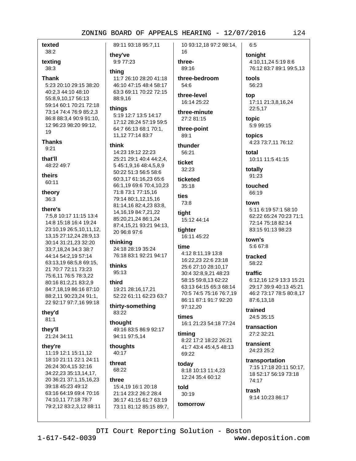texted 38:2

texting

 $38:3$ 

#### **Thank**

5:23 20:10 29:15 38:20 40:2.3 44:10 48:10 55:8.9.10.17 56:13 59:14 60:1 70:21 72:18 73:14 74:4 76:9 85:2,3 86:8 88:3,4 90:9 91:10, 12 96:23 98:20 99:12, 19

#### **Thanks**

 $9:21$ 

#### that'll

48:22 49:7

theirs

60:11

theory 36:3

#### there's

7:5,8 10:17 11:15 13:4 14:8 15:18 16:4 19:24 23:10,19 26:5,10,11,12, 13,15 27:12,24 28:9,13 30:14 31:21,23 32:20 33:7,18,24 34:3 38:7 44:14 54:2,19 57:14 63:13,19 68:5,8 69:15, 21 70:7 72:11 73:23 75:6,11 76:5 78:3,22 80:16 81:2,21 83:2,9 84:7,18,19 86:16 87:10 88:2,11 90:23,24 91:1, 22 92:17 97:7,16 99:18

#### they'd

 $81:1$ 

### they'll

21:24 34:11

#### they're

11:19 12:1 15:11,12 18:10 21:11 22:1 24:11 26:24 30:4,15 32:16 34:22,23 35:13,14,17, 20 36:21 37:1.15.16.23 39:18 45:23 49:12 63:16 64:19 69:4 70:16 74:10.11 77:18 78:7 79:2,12 83:2,3,12 88:11

89:11 93:18 95:7,11 they've

9:9 77:23

11:7 26:10 28:20 41:18 46:10 47:15 48:4 58:17 63:3 69:11 70:22 72:15 88:9.16

#### things

thina

5:19 12:7 13:5 14:17 17:12 28:24 57:19 59:5 64:7 66:13 68:1 70:1, 11,12 77:14 83:7

#### think

14:23 19:12 22:23 25:21 29:1 40:4 44:2,4, 5 45:1,9,16 48:4,5,8,9 50:22 51:3 56:5 58:6 60:3,17 61:16,23 65:6 66:1,19 69:6 70:4,10,23 71:8 73:1 77:15,16 79:14 80:1,12,15,16 81:14,16 82:4,23 83:8, 14, 16, 19 84: 7, 21, 22 85:20,21,24 86:1,24 87:4,15,21 93:21 94:13, 20 96:8 97:6

thinking 24:18 28:19 35:24 76:18 83:1 92:21 94:17

#### thinks 95:13

third 19:21 28:16.17.21 52:22 61:11 62:23 63:7

thirty-something 83:22

#### thought 49:16 83:5 86:9 92:17 94:11 97:5,14

thoughts 40:17

threat 68:22

#### three 15:4,19 16:1 20:18

21:14 23:2 26:2 28:4 36:17 41:15 61:7 63:19 73:11 81:12 85:15 89:7, 10 93:12,18 97:2 98:14, 16

# three-89:16

three-bedroom 54:6

three-level 16:14 25:22

#### three-minute 27:2 81:15

three-point 89:1

# thunder

56:21 ticket

 $32:23$ 

#### ticketed  $35:18$

ties 73:8

tight 15:12 44:14 tighter

16:11 45:22

#### time

4:12 8:11,19 13:8 16:22.23 22:6 23:18 25:6 27:10 28:10,17 30:4 32:8,9,21 48:23 58:15 59:8.13 62:22 63:13 64:15 65:3 68:14 70:5 74:5 75:16 76:7,19 86:11 87:1 91:7 92:20 97:12,20

#### times

16:1 21:23 54:18 77:24

#### timing 8:22 17:2 18:22 26:21 41:7 43:4 45:4.5 48:13

69:22 today 8:18 10:13 11:4.23 12:24 35:4 60:12

## told  $30:19$ tomorrow

# transportation 7:15 17:18 20:11 50:17.

18 52:17 56:19 73:18 74:17

trash 9:14 10:23 86:17

#### tonight 4:10,11,24 5:19 8:6 76:12 83:7 89:1 99:5,13

tools

56:23

 $6:5$ 

top 17:11 21:3,8,16,24 22:5,17

## topic 5:9 99:15

topics 4:23 73:7,11 76:12

#### total 10:11 11:5 41:15

totally 91:23

touched 66:19

#### town 5:11 6:19 57:1 58:10 62:22 65:24 70:23 71:1 72:14 75:18 82:14 83:15 91:13 98:23

town's 5:6 67:8

tracked 58:22

# traffic

6:12.16 12:9 13:3 15:21 29:17 39:9 40:13 45:21 46:2 73:17 78:5 80:8,17 87:6,13,18

trained 24:5 35:15

### transaction 27:2 32:21

transient 24:23 25:2

DTI Court Reporting Solution - Boston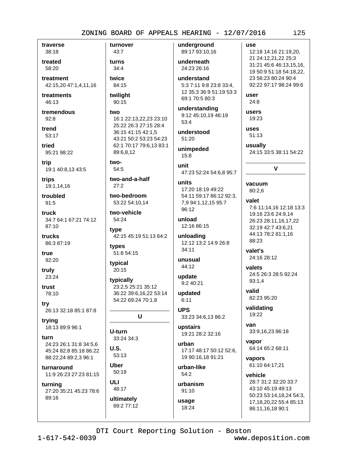traverse 38:18 treated

58:20 treatment 42:15,20 47:1,4,11,16

treatments  $46:13$ 

tremendous  $92:8$ 

trend 53:17

tried 95:21 98:22

trip 19:1 40:8,13 43:5

trips 19:1,14,16

troubled  $91:5$ 

**truck** 34:7 64:1 67:21 74:12  $87:10$ 

trucks 86:3 87:19

true 92:20

truly 23:24

trust 78:10

try 26:13 32:18 85:1 87:8

trying 18:13 89:9 96:1

furn 24:23 26:1 31:8 34:5.6 45:24 82:8 85:18 86:22 88:22,24 89:2,3 96:1

turnaround 11:9 26:23 27:23 81:15

turning 27:20 35:21 45:23 78:6

89:16

turnover  $43:7$ turns  $34:4$ twice 84:15 twiliaht 90:15 two 16:1 22:13,22,23 23:10 25:22 26:3 27:15 28:4 36:15 41:15 42:1,5 43:21 50:2 53:23 54:23 62:1 70:17 79:6,13 83:1 89:6.8.12 two-54:5 two-and-a-half  $27:2$ two-bedroom 53:22 54:10,14 two-vehicle 54:24 tvpe 42:15 45:19 51:13 64:2 types 51:8 54:15 typical 20:15 typically 23:2,5 25:21 35:12 36:22 39:6,16,22 53:14 54:22 69:24 70:1,8 U U-turn 33:24 34:3  $U.S.$  $53:13$ **Uber** 50:19 **ULI** 48:17

ultimately 69:2 77:12 underground 89:17 93:10,16 underneath 24:23 26:16 understand

5:3 7:11 9:8 23:8 33:4, 12 35:3 36:9 51:19 53:3 69:1 70:5 80:3

understanding 9:12 45:10,19 46:19  $53:4$ 

understood 51:20

unimpeded  $15:8$ 

unit 47:23 52:24 54:6,8 95:7

units 17:20 18:19 49:22 54:11 59:17 86:12 92:3, 7,9 94:1,12,15 95:7 96:12

unload 12:16 86:15

unloading 12:12 13:2 14:9 26:8  $34:11$ 

unusual 44:12

update  $9:240:21$ 

updated  $6:11$ 

**UPS** 33:23 34:6,13 86:2

upstairs 19:21 28:2 32:16

urban 17:17 48:17 50:12 52:6. 19 90:16,18 91:21

urban-like  $54:2$ 

urbanism 91:10

usage 18:24

user  $24:8$ users 19:23 **uses**  $51:13$ usually 24:15 33:5 38:11 54:22  $\mathbf{V}$ vacuum  $80:2.6$ valet 7:6 11:14,16 12:18 13:3 19:16 23:6 24:9,14 26:23 28:11,16,17,22 32:19 42:7 43:6,21 44:13 78:2 81:1,16 88:23 valet's 24:16 28:12 valets

use

12:18 14:16 21:19,20, 21 24:12,21,22 25:3

31:21 45:6 46:13,15,16,

19 50:9 51:18 54:18,22,

92:22 97:17 98:24 99:6

23 56:23 80:24 90:4

24:5 26:3 28:5 92:24  $93:1.4$ 

valid 82:23 95:20

validating 19:22

van 33:9,16,23 86:18

vapor 64:14 65:2 68:11

vapors 61:10 64:17,21

vehicle 28:7 31:2 32:20 33:7 43:10 45:19 49:13 50:23 53:14,18,24 54:3, 17, 18, 20, 22 55: 4 85: 13 86:11,16,18 90:1

DTI Court Reporting Solution - Boston

www.deposition.com

 $125$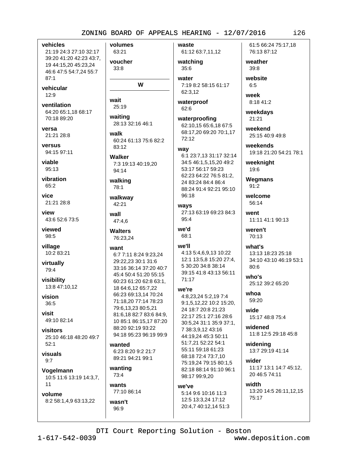vehicles 21:19 24:3 27:10 32:17 39:20 41:20 42:23 43:7, 19 44:15,20 45:23,24 46:6 47:5 54:7,24 55:7  $87:1$ vehicular  $12:9$ wait ventilation 64:20 65:1,18 68:17 70:18 89:20 versa walk 21:21 28:8 versus 94:15 97:11 viable 95:13 vibration 65:2 vice 21:21 28:8 view wall 43:6 52:6 73:5 **viewed** 98:5 village want 10:2 83:21 virtually 79:4 visibility 13:8 47:10,12 vision 36:5 visit 49:10 82:14 visitors 25:10 46:18 48:20 49:7  $52:1$ visuals

Vogelmann 10:5 11:6 13:19 14:3,7,  $11$ 

 $9:7$ 

volume 8:2 58:1,4,9 63:13,22

wasn't

 $96:9$ 

volumes 63:21 voucher  $33:8$  $35:6$ water W 62:3,12 25:19 62:6 waiting 28:13 32:16 46:1 60:24 61:13 75:6 82:2 83:12 way Walker 7:3 19:13 40:19,20 94:14 walking 78:1 96:18 walkway 42:21 ways  $95.4$ 47:4,6 we'd **Walters**  $68:1$ 76:23,24 we'll 6:7 7:11 8:24 9:23,24 29:22.23 30:1 31:6 33:16 36:14 37:20 40:7 45:4 50:4 51:20 55:15 60:23 61:20 62:8 63:1. 18 64:6,12 65:7,22 66:23 69:13,14 70:24 71:18,20 77:14 78:23 79:6,13,23 80:5,21 81:6,18 82:7 83:6 84:9, 10 85:1 86:15.17 87:20 88:20 92:19 93:22 94:18 95:23 96:19 99:9 wanted 6:23 8:20 9:2 21:7 89:21 94:21 99:1 wanting 73:4 wants we've 77:10 86:14

waste 61:12 63:7,11,12

watching

7:19 8:2 58:15 61:17

waterproof

waterproofing 62:10,15 65:6,18 67:5 68:17,20 69:20 70:1,17  $72:12$ 

6:1 23:7,13 31:17 32:14 34:5 46:1,5,15,20 49:2 53:17 56:17 59:23 62:23 64:22 76:5 81:2, 24 83:24 84:4 86:4 88:24 91:4 92:21 95:10

27:13 63:19 69:23 84:3

4:13 5:4,6,9,13 10:22 12:1 13:5,8 15:20 27:4, 5 30:20 34:8 38:14 39:15 41:8 43:13 56:11 71:17

#### we're

4:8,23,24 5:2,19 7:4 9:1.5.12.22 10:2 15:20. 24 18:7 20:8 21:23 22:17 25:1 27:16 28:6 30:5.24 31:1 35:9 37:1. 7 38:3,9,12 43:16 44:19,24 45:3 50:11 51:7.21 52:22 54:1 55:11 59:18 61:23 68:18 72:4 73:7,10 75:19.24 79:15 80:1.5 82:18 88:14 91:10 96:1 98:17 99:9,20

5:14 9:6 10:16 11:3 12:5 13:3.24 17:12 20:4,7 40:12,14 51:3 61:5 66:24 75:17.18 76:13 87:12

 $126$ 

weather  $39:8$ 

website  $6:5$ week

8:18 41:2

weekdays  $21:21$ 

weekend 25:15 40:9 49:8

weekends 19:18 21:20 54:21 78:1

weeknight 19:6

**Wegmans**  $91:2$ 

welcome 56:14

went 11:11 41:1 90:13 weren't

70:13

what's 13:13 18:23 25:18 34:10 43:10 46:19 53:1  $80:6$ 

who's 25:12 39:2 65:20

whoa 59:20

wide 15:17 48:8 75:4

widened 11:8 12:5 29:18 45:8

widening 13:7 29:19 41:14

wider 11:17 13:1 14:7 45:12, 20 46:5 74:11

width 13:20 14:5 26:11,12,15 75:17